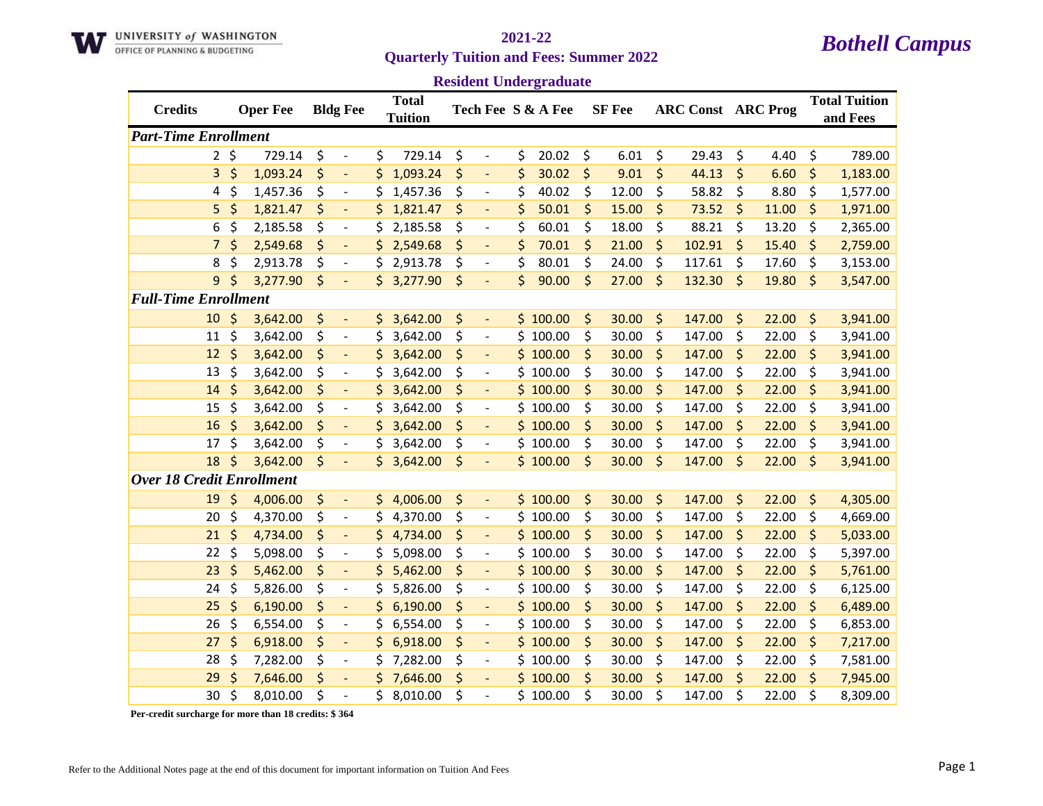

# **Quarterly Tuition and Fees: Summer 2022**

## *Bothell Campus* **2021-22**

**Resident Undergraduate**

|                                  |              |                 |                                |     |                                |                                | resident e nuel gruudue |         |               |         |                           |         |       |                                  |
|----------------------------------|--------------|-----------------|--------------------------------|-----|--------------------------------|--------------------------------|-------------------------|---------|---------------|---------|---------------------------|---------|-------|----------------------------------|
| <b>Credits</b>                   |              | <b>Oper Fee</b> | <b>Bldg Fee</b>                |     | <b>Total</b><br><b>Tuition</b> |                                | Tech Fee S & A Fee      |         | <b>SF</b> Fee |         | <b>ARC Const ARC Prog</b> |         |       | <b>Total Tuition</b><br>and Fees |
| <b>Part-Time Enrollment</b>      |              |                 |                                |     |                                |                                |                         |         |               |         |                           |         |       |                                  |
|                                  | $2 \; \zeta$ | 729.14          | \$<br>$\overline{\phantom{a}}$ | \$  | 729.14                         | \$<br>$\overline{\phantom{a}}$ | \$<br>20.02             | \$      | 6.01          | \$      | 29.43                     | \$      | 4.40  | \$<br>789.00                     |
| 3                                | \$           | 1,093.24        | \$<br>$\blacksquare$           | \$  | 1,093.24                       | \$<br>$\blacksquare$           | \$<br>30.02             | \$      | 9.01          | $\zeta$ | 44.13                     | \$      | 6.60  | \$<br>1,183.00                   |
| 4                                | \$           | 1,457.36        | \$<br>$\blacksquare$           | \$  | 1,457.36                       | \$<br>$\overline{\phantom{a}}$ | \$<br>40.02             | \$      | 12.00         | \$      | 58.82                     | \$      | 8.80  | \$<br>1,577.00                   |
| 5                                | \$           | 1,821.47        | \$                             | \$  | 1,821.47                       | \$                             | \$<br>50.01             | \$      | 15.00         | \$      | 73.52                     | $\zeta$ | 11.00 | \$<br>1,971.00                   |
| 6                                | \$           | 2,185.58        | \$<br>$\overline{\phantom{a}}$ | \$  | 2,185.58                       | \$<br>$\overline{\phantom{a}}$ | \$<br>60.01             | \$      | 18.00         | \$      | 88.21                     | \$      | 13.20 | \$<br>2,365.00                   |
| $\overline{7}$                   | $\zeta$      | 2,549.68        | \$<br>$\overline{\phantom{a}}$ | \$  | 2,549.68                       | \$<br>$\blacksquare$           | \$<br>70.01             | $\zeta$ | 21.00         | \$      | 102.91                    | $\zeta$ | 15.40 | \$<br>2,759.00                   |
| 8                                | \$           | 2,913.78        | \$<br>$\blacksquare$           | \$  | 2,913.78                       | \$<br>$\overline{\phantom{a}}$ | \$<br>80.01             | \$      | 24.00         | \$      | 117.61                    | \$      | 17.60 | \$<br>3,153.00                   |
| 9                                | \$           | 3,277.90        | \$<br>÷,                       | \$. | 3,277.90                       | \$<br>$\overline{\phantom{a}}$ | \$<br>90.00             | $\zeta$ | 27.00         | $\zeta$ | 132.30                    | $\zeta$ | 19.80 | \$<br>3,547.00                   |
| <b>Full-Time Enrollment</b>      |              |                 |                                |     |                                |                                |                         |         |               |         |                           |         |       |                                  |
| 10                               | \$           | 3,642.00        | \$<br>$\overline{\phantom{a}}$ |     | \$3,642.00                     | \$<br>$\blacksquare$           | \$100.00                | \$      | 30.00         | \$      | 147.00                    | \$      | 22.00 | \$<br>3,941.00                   |
| 11                               | \$           | 3,642.00        | \$<br>$\overline{\phantom{a}}$ | \$  | 3,642.00                       | \$<br>$\overline{\phantom{a}}$ | \$100.00                | \$      | 30.00         | \$      | 147.00                    | \$      | 22.00 | \$<br>3,941.00                   |
| 12                               | \$           | 3,642.00        | \$<br>$\blacksquare$           | \$  | 3,642.00                       | \$<br>$\blacksquare$           | \$100.00                | \$      | 30.00         | \$      | 147.00                    | $\zeta$ | 22.00 | \$<br>3,941.00                   |
| 13                               | $\zeta$      | 3,642.00        | \$<br>$\blacksquare$           | \$  | 3,642.00                       | \$<br>$\overline{\phantom{a}}$ | \$100.00                | \$      | 30.00         | \$      | 147.00                    | \$      | 22.00 | \$<br>3,941.00                   |
| 14                               | \$           | 3,642.00        | \$<br>$\Box$                   | \$  | 3,642.00                       | \$<br>$\overline{\phantom{a}}$ | \$100.00                | \$      | 30.00         | \$      | 147.00                    | $\zeta$ | 22.00 | \$<br>3,941.00                   |
| 15                               | $\zeta$      | 3,642.00        | \$<br>$\overline{\phantom{a}}$ | \$  | 3,642.00                       | \$<br>$\overline{\phantom{a}}$ | \$100.00                | \$      | 30.00         | \$      | 147.00                    | \$      | 22.00 | \$<br>3,941.00                   |
| 16                               | $\zeta$      | 3,642.00        | \$<br>$\overline{\phantom{a}}$ | \$  | 3,642.00                       | \$<br>$\overline{\phantom{a}}$ | \$100.00                | \$      | 30.00         | \$      | 147.00                    | \$      | 22.00 | \$<br>3,941.00                   |
| 17                               | $\zeta$      | 3,642.00        | \$<br>$\overline{\phantom{a}}$ | \$  | 3,642.00                       | \$<br>$\overline{\phantom{a}}$ | \$100.00                | \$      | 30.00         | \$      | 147.00                    | \$      | 22.00 | \$<br>3,941.00                   |
| 18                               | \$           | 3,642.00        | \$<br>$\overline{a}$           | \$  | 3,642.00                       | \$<br>$\overline{\phantom{a}}$ | \$100.00                | \$      | 30.00         | \$      | 147.00                    | $\zeta$ | 22.00 | \$<br>3,941.00                   |
| <b>Over 18 Credit Enrollment</b> |              |                 |                                |     |                                |                                |                         |         |               |         |                           |         |       |                                  |
| 19                               | $\zeta$      | 4,006.00        | \$<br>$\overline{\phantom{a}}$ | \$  | 4,006.00                       | \$<br>$\overline{\phantom{a}}$ | \$100.00                | \$      | 30.00         | \$      | 147.00                    | \$      | 22.00 | \$<br>4,305.00                   |
| 20                               | \$           | 4,370.00        | \$<br>$\overline{\phantom{a}}$ | \$  | 4,370.00                       | \$<br>$\overline{\phantom{a}}$ | \$100.00                | \$      | 30.00         | \$      | 147.00                    | \$      | 22.00 | \$<br>4,669.00                   |
| 21                               | \$           | 4,734.00        | \$<br>$\Box$                   | \$  | 4,734.00                       | \$<br>$\Box$                   | \$100.00                | \$      | 30.00         | \$      | 147.00                    | $\zeta$ | 22.00 | \$<br>5,033.00                   |
| 22                               | $\zeta$      | 5,098.00        | \$<br>$\blacksquare$           | \$  | 5,098.00                       | \$<br>$\overline{\phantom{a}}$ | \$100.00                | \$      | 30.00         | \$      | 147.00                    | \$      | 22.00 | \$<br>5,397.00                   |
| 23                               | \$           | 5,462.00        | \$<br>$\Box$                   | \$  | 5,462.00                       | \$<br>$\blacksquare$           | \$100.00                | \$      | 30.00         | \$      | 147.00                    | $\zeta$ | 22.00 | \$<br>5,761.00                   |
| 24                               | \$           | 5,826.00        | \$<br>$\overline{\phantom{a}}$ | \$  | 5,826.00                       | \$<br>$\overline{\phantom{a}}$ | \$100.00                | \$      | 30.00         | \$      | 147.00                    | $\zeta$ | 22.00 | \$<br>6,125.00                   |
| 25                               | \$           | 6,190.00        | \$                             | \$  | 6,190.00                       | \$<br>$\overline{\phantom{0}}$ | \$100.00                | \$      | 30.00         | \$      | 147.00                    | \$      | 22.00 | \$<br>6,489.00                   |
| 26                               | \$           | 6,554.00        | \$<br>$\overline{\phantom{a}}$ | \$  | 6,554.00                       | \$<br>$\overline{\phantom{a}}$ | \$100.00                | \$      | 30.00         | \$      | 147.00                    | \$      | 22.00 | \$<br>6,853.00                   |
| 27                               | \$           | 6,918.00        | \$<br>$\Box$                   | \$  | 6,918.00                       | \$<br>$\overline{\phantom{a}}$ | \$100.00                | \$      | 30.00         | \$      | 147.00                    | \$      | 22.00 | \$<br>7,217.00                   |
| 28                               | \$           | 7,282.00        | \$<br>$\blacksquare$           | \$  | 7,282.00                       | \$<br>$\overline{\phantom{a}}$ | \$100.00                | \$      | 30.00         | \$      | 147.00                    | \$      | 22.00 | \$<br>7,581.00                   |
| 29                               | \$           | 7,646.00        | \$<br>$\overline{\phantom{a}}$ | \$  | 7,646.00                       | \$<br>$\blacksquare$           | \$100.00                | \$      | 30.00         | \$      | 147.00                    | $\zeta$ | 22.00 | \$<br>7,945.00                   |
| 30                               | \$           | 8,010.00        | \$                             | \$  | 8,010.00                       | \$                             | \$100.00                | \$      | 30.00         | \$      | 147.00                    | \$      | 22.00 | \$<br>8,309.00                   |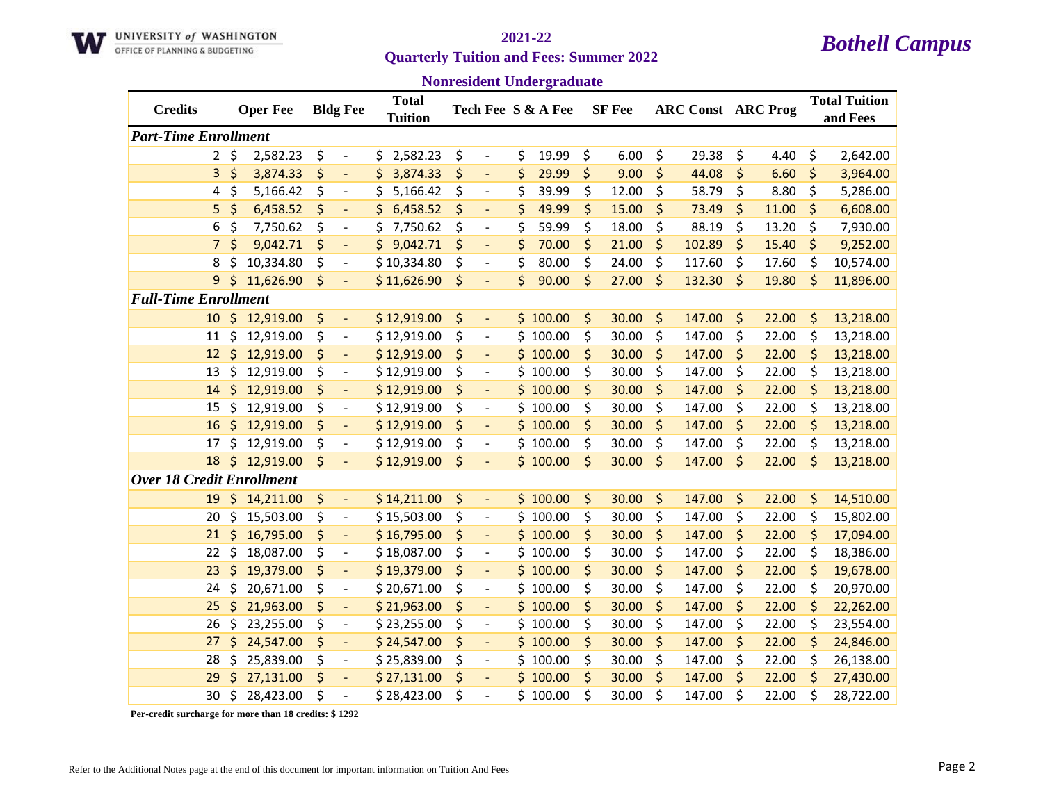

# **Quarterly Tuition and Fees: Summer 2022**

## *Bothell Campus* **2021-22**

**Nonresident Undergraduate**

| <b>Credits</b>                   |         | <b>Oper Fee</b> | <b>Bldg Fee</b>                | <b>Total</b><br><b>Tuition</b> |                                |    | Tech Fee S & A Fee | <b>SF</b> Fee |         | <b>ARC Const ARC Prog</b> |         |       | <b>Total Tuition</b><br>and Fees |
|----------------------------------|---------|-----------------|--------------------------------|--------------------------------|--------------------------------|----|--------------------|---------------|---------|---------------------------|---------|-------|----------------------------------|
| <b>Part-Time Enrollment</b>      |         |                 |                                |                                |                                |    |                    |               |         |                           |         |       |                                  |
| $2^{\circ}$                      | \$      | 2,582.23        | \$<br>$\overline{\phantom{a}}$ | 2,582.23<br>\$.                | \$<br>$\overline{\phantom{a}}$ | \$ | 19.99              | \$<br>6.00    | \$      | 29.38                     | \$      | 4.40  | \$<br>2,642.00                   |
| 3                                | \$      | 3,874.33        | \$<br>$\overline{\phantom{a}}$ | \$<br>3,874.33                 | \$<br>$\blacksquare$           | \$ | 29.99              | \$<br>9.00    | \$      | 44.08                     | \$      | 6.60  | \$<br>3,964.00                   |
| 4                                | \$      | 5,166.42        | \$<br>$\overline{\phantom{a}}$ | 5,166.42<br>\$                 | \$<br>$\overline{\phantom{a}}$ | \$ | 39.99              | \$<br>12.00   | \$      | 58.79                     | \$      | 8.80  | \$<br>5,286.00                   |
| 5                                | \$      | 6,458.52        | \$<br>$\overline{\phantom{a}}$ | 6,458.52<br>\$.                | \$<br>$\overline{\phantom{a}}$ | \$ | 49.99              | \$<br>15.00   | \$      | 73.49                     | $\zeta$ | 11.00 | \$<br>6,608.00                   |
| 6                                | \$      | 7,750.62        | \$<br>$\overline{\phantom{a}}$ | \$.<br>7,750.62                | \$<br>$\overline{\phantom{a}}$ | \$ | 59.99              | \$<br>18.00   | \$      | 88.19                     | \$      | 13.20 | \$<br>7,930.00                   |
| $7\overline{ }$                  | \$      | 9,042.71        | \$<br>$\overline{\phantom{a}}$ | 9,042.71                       | \$<br>$\overline{\phantom{a}}$ | \$ | 70.00              | \$<br>21.00   | \$      | 102.89                    | \$      | 15.40 | \$<br>9,252.00                   |
| 8                                | \$      | 10,334.80       | \$<br>$\overline{\phantom{a}}$ | \$10,334.80                    | \$<br>$\overline{\phantom{a}}$ | \$ | 80.00              | \$<br>24.00   | \$      | 117.60                    | \$      | 17.60 | \$<br>10,574.00                  |
| 9                                | $\zeta$ | 11,626.90       | \$<br>$\overline{\phantom{a}}$ | \$11,626.90                    | \$<br>$\overline{\phantom{a}}$ | \$ | 90.00              | \$<br>27.00   | \$      | 132.30                    | $\zeta$ | 19.80 | \$<br>11,896.00                  |
| <b>Full-Time Enrollment</b>      |         |                 |                                |                                |                                |    |                    |               |         |                           |         |       |                                  |
| 10                               | \$      | 12,919.00       | \$<br>$\Box$                   | \$12,919.00                    | \$<br>$\Box$                   |    | \$100.00           | \$<br>30.00   | \$      | 147.00                    | $\zeta$ | 22.00 | \$<br>13,218.00                  |
| 11                               | \$      | 12,919.00       | \$<br>$\overline{\phantom{a}}$ | \$12,919.00                    | \$<br>$\overline{\phantom{a}}$ |    | \$100.00           | \$<br>30.00   | \$      | 147.00                    | \$      | 22.00 | \$<br>13,218.00                  |
| 12                               | \$      | 12,919.00       | \$<br>$\overline{\phantom{a}}$ | \$12,919.00                    | \$<br>$\overline{\phantom{0}}$ |    | \$100.00           | \$<br>30.00   | \$      | 147.00                    | $\zeta$ | 22.00 | \$<br>13,218.00                  |
| 13                               | \$      | 12,919.00       | \$<br>$\overline{\phantom{a}}$ | \$12,919.00                    | \$<br>$\overline{\phantom{a}}$ |    | \$100.00           | \$<br>30.00   | \$      | 147.00                    | \$      | 22.00 | \$<br>13,218.00                  |
| 14                               | \$      | 12,919.00       | \$<br>$\overline{\phantom{a}}$ | \$12,919.00                    | \$<br>$\Box$                   |    | \$100.00           | \$<br>30.00   | \$      | 147.00                    | \$      | 22.00 | \$<br>13,218.00                  |
| 15                               | \$      | 12,919.00       | \$<br>$\overline{\phantom{a}}$ | \$12,919.00                    | \$<br>$\overline{\phantom{a}}$ |    | \$100.00           | \$<br>30.00   | \$      | 147.00                    | \$      | 22.00 | \$<br>13,218.00                  |
| 16                               | \$      | 12,919.00       | \$<br>$\overline{\phantom{0}}$ | \$12,919.00                    | \$<br>$\overline{\phantom{a}}$ |    | \$100.00           | \$<br>30.00   | \$      | 147.00                    | \$      | 22.00 | \$<br>13,218.00                  |
| 17                               | \$      | 12,919.00       | \$<br>$\overline{\phantom{a}}$ | \$12,919.00                    | \$<br>$\overline{\phantom{a}}$ |    | \$100.00           | \$<br>30.00   | \$      | 147.00                    | \$      | 22.00 | \$<br>13,218.00                  |
| 18                               | \$      | 12,919.00       | \$<br>$\blacksquare$           | \$12,919.00                    | \$<br>÷,                       |    | \$100.00           | \$<br>30.00   | \$      | 147.00                    | $\zeta$ | 22.00 | \$<br>13,218.00                  |
| <b>Over 18 Credit Enrollment</b> |         |                 |                                |                                |                                |    |                    |               |         |                           |         |       |                                  |
| 19                               | $\zeta$ | 14,211.00       | \$<br>$\blacksquare$           | \$14,211.00                    | \$<br>$\blacksquare$           |    | \$100.00           | \$<br>30.00   | \$      | 147.00                    | $\zeta$ | 22.00 | \$<br>14,510.00                  |
| 20                               | \$      | 15,503.00       | \$<br>$\overline{\phantom{a}}$ | \$15,503.00                    | \$<br>$\overline{\phantom{a}}$ | Ś. | 100.00             | \$<br>30.00   | \$      | 147.00                    | \$      | 22.00 | \$<br>15,802.00                  |
| 21                               | \$      | 16,795.00       | \$<br>$\overline{\phantom{a}}$ | \$16,795.00                    | \$<br>$\overline{\phantom{a}}$ |    | \$100.00           | \$<br>30.00   | \$      | 147.00                    | \$      | 22.00 | \$<br>17,094.00                  |
| 22                               | \$      | 18,087.00       | \$<br>$\overline{\phantom{a}}$ | \$18,087.00                    | \$<br>$\overline{\phantom{a}}$ |    | \$100.00           | \$<br>30.00   | \$      | 147.00                    | \$      | 22.00 | \$<br>18,386.00                  |
| 23                               | \$      | 19,379.00       | \$<br>$\blacksquare$           | \$19,379.00                    | \$<br>$\overline{\phantom{a}}$ |    | \$100.00           | \$<br>30.00   | \$      | 147.00                    | \$      | 22.00 | \$<br>19,678.00                  |
| 24                               | \$      | 20,671.00       | \$<br>$\overline{\phantom{a}}$ | \$20,671.00                    | \$<br>$\overline{\phantom{a}}$ | Ś. | 100.00             | \$<br>30.00   | \$      | 147.00                    | \$      | 22.00 | \$<br>20,970.00                  |
| 25                               | \$      | 21,963.00       | \$<br>$\overline{\phantom{a}}$ | \$21,963.00                    | \$<br>$\overline{\phantom{0}}$ |    | \$100.00           | \$<br>30.00   | \$      | 147.00                    | \$      | 22.00 | \$<br>22,262.00                  |
| 26                               | \$      | 23,255.00       | \$<br>$\overline{\phantom{a}}$ | \$23,255.00                    | \$<br>$\overline{\phantom{a}}$ |    | \$100.00           | \$<br>30.00   | \$      | 147.00                    | \$      | 22.00 | \$<br>23,554.00                  |
| 27                               | \$      | 24,547.00       | \$<br>$\blacksquare$           | \$24,547.00                    | \$<br>$\overline{\phantom{a}}$ |    | \$100.00           | \$<br>30.00   | \$      | 147.00                    | \$      | 22.00 | \$<br>24,846.00                  |
| 28                               | \$      | 25,839.00       | \$<br>$\overline{\phantom{a}}$ | \$25,839.00                    | \$<br>$\overline{\phantom{0}}$ | Ś. | 100.00             | \$<br>30.00   | \$      | 147.00                    | \$      | 22.00 | \$<br>26,138.00                  |
| 29                               | $\zeta$ | 27,131.00       | \$                             | \$27,131.00                    | \$                             |    | \$100.00           | \$<br>30.00   | $\zeta$ | 147.00                    | $\zeta$ | 22.00 | \$<br>27,430.00                  |

\$ 28,423.00 \$ - \$ 28,423.00 \$ - \$ 100.00 \$ 30.00 \$ 147.00 \$ 22.00 \$ 28,722.00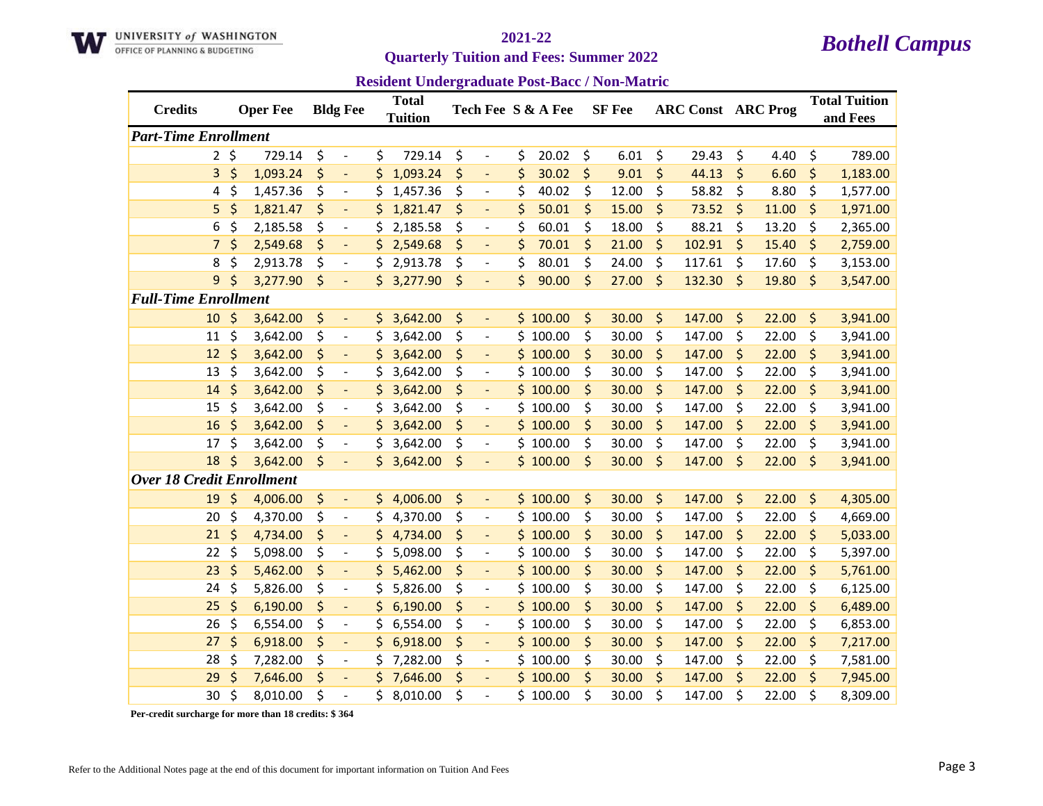

### **Quarterly Tuition and Fees: Summer 2022**

**Resident Undergraduate Post-Bacc / Non-Matric**

| <b>Credits</b>                   |             | <b>Oper Fee</b> | <b>Bldg Fee</b>                |     | <b>Total</b><br><b>Tuition</b> |    |                          | Tech Fee S & A Fee | <b>SF</b> Fee |         | <b>ARC Const ARC Prog</b> |         |       | <b>Total Tuition</b><br>and Fees |
|----------------------------------|-------------|-----------------|--------------------------------|-----|--------------------------------|----|--------------------------|--------------------|---------------|---------|---------------------------|---------|-------|----------------------------------|
| <b>Part-Time Enrollment</b>      |             |                 |                                |     |                                |    |                          |                    |               |         |                           |         |       |                                  |
|                                  | $2 \;$ \$   | 729.14          | \$<br>$\overline{\phantom{a}}$ | \$  | 729.14                         | \$ | $\overline{\phantom{a}}$ | \$<br>20.02        | \$<br>6.01    | \$      | 29.43                     | \$      | 4.40  | \$<br>789.00                     |
| 3                                | $\zeta$     | 1,093.24        | \$<br>$\overline{\phantom{a}}$ | \$  | 1,093.24                       | \$ | $\overline{\phantom{a}}$ | \$<br>30.02        | \$<br>9.01    | \$      | 44.13                     | \$      | 6.60  | \$<br>1,183.00                   |
| 4                                | \$          | 1,457.36        | \$<br>$\overline{\phantom{a}}$ | \$  | 1,457.36                       | \$ | $\overline{\phantom{a}}$ | \$<br>40.02        | \$<br>12.00   | \$      | 58.82                     | \$      | 8.80  | \$<br>1,577.00                   |
| 5                                | $\varsigma$ | 1,821.47        | \$                             | \$  | 1,821.47                       | \$ |                          | \$<br>50.01        | \$<br>15.00   | \$      | 73.52                     | \$      | 11.00 | \$<br>1,971.00                   |
| 6                                | \$          | 2,185.58        | \$<br>$\overline{\phantom{a}}$ | \$  | 2,185.58                       | \$ | $\overline{\phantom{a}}$ | \$<br>60.01        | \$<br>18.00   | \$      | 88.21                     | \$      | 13.20 | \$<br>2,365.00                   |
| $\overline{7}$                   | $\zeta$     | 2,549.68        | \$<br>$\blacksquare$           |     | \$2,549.68                     | \$ | $\blacksquare$           | \$<br>70.01        | \$<br>21.00   | \$      | 102.91                    | $\zeta$ | 15.40 | \$<br>2,759.00                   |
| 8                                | \$          | 2,913.78        | \$<br>$\overline{\phantom{a}}$ | \$  | 2,913.78                       | \$ | $\overline{\phantom{a}}$ | \$<br>80.01        | \$<br>24.00   | \$      | 117.61                    | \$      | 17.60 | \$<br>3,153.00                   |
| 9                                | \$          | 3,277.90        | \$<br>$\overline{\phantom{a}}$ |     | \$3,277.90                     | \$ | $\overline{\phantom{a}}$ | \$<br>90.00        | \$<br>27.00   | \$      | 132.30                    | \$      | 19.80 | \$<br>3,547.00                   |
| <b>Full-Time Enrollment</b>      |             |                 |                                |     |                                |    |                          |                    |               |         |                           |         |       |                                  |
| 10                               | $\zeta$     | 3,642.00        | \$<br>$\blacksquare$           |     | \$3,642.00                     | \$ | $\blacksquare$           | \$100.00           | \$<br>30.00   | \$      | 147.00                    | \$      | 22.00 | \$<br>3,941.00                   |
| 11                               | \$          | 3,642.00        | \$<br>$\overline{\phantom{a}}$ | S   | 3,642.00                       | \$ | $\overline{\phantom{a}}$ | \$100.00           | \$<br>30.00   | \$      | 147.00                    | \$      | 22.00 | \$<br>3,941.00                   |
| 12                               | $\zeta$     | 3,642.00        | \$<br>$\blacksquare$           | S   | 3,642.00                       | \$ | $\overline{\phantom{a}}$ | \$100.00           | \$<br>30.00   | \$      | 147.00                    | \$      | 22.00 | \$<br>3,941.00                   |
| 13                               | \$          | 3,642.00        | \$<br>$\overline{\phantom{a}}$ | \$  | 3,642.00                       | \$ |                          | \$100.00           | \$<br>30.00   | \$      | 147.00                    | \$      | 22.00 | \$<br>3,941.00                   |
| 14                               | $\varsigma$ | 3,642.00        | \$                             | \$  | 3,642.00                       | \$ |                          | \$100.00           | \$<br>30.00   | \$      | 147.00                    | \$      | 22.00 | \$<br>3,941.00                   |
| 15                               | \$          | 3,642.00        | \$<br>$\overline{\phantom{a}}$ | \$  | 3,642.00                       | \$ | $\overline{\phantom{a}}$ | \$100.00           | \$<br>30.00   | \$      | 147.00                    | \$      | 22.00 | \$<br>3,941.00                   |
| 16                               | $\zeta$     | 3,642.00        | \$<br>$\blacksquare$           | \$  | 3,642.00                       | \$ | $\overline{\phantom{a}}$ | \$100.00           | \$<br>30.00   | \$      | 147.00                    | \$      | 22.00 | \$<br>3,941.00                   |
| 17                               | \$          | 3,642.00        | \$<br>$\overline{\phantom{a}}$ | \$  | 3,642.00                       | \$ | $\overline{\phantom{a}}$ | \$100.00           | \$<br>30.00   | \$      | 147.00                    | \$      | 22.00 | \$<br>3,941.00                   |
| 18                               | $\zeta$     | 3,642.00        | \$<br>$\overline{\phantom{a}}$ |     | \$3,642.00                     | \$ | $\overline{\phantom{a}}$ | \$100.00           | \$<br>30.00   | $\zeta$ | 147.00                    | \$      | 22.00 | \$<br>3,941.00                   |
| <b>Over 18 Credit Enrollment</b> |             |                 |                                |     |                                |    |                          |                    |               |         |                           |         |       |                                  |
| 19                               | $\zeta$     | 4,006.00        | \$<br>$\blacksquare$           |     | \$4,006.00                     | \$ | $\overline{\phantom{a}}$ | \$100.00           | \$<br>30.00   | \$      | 147.00                    | \$      | 22.00 | \$<br>4,305.00                   |
| 20                               | \$          | 4,370.00        | \$<br>$\overline{\phantom{a}}$ | \$. | 4,370.00                       | \$ | $\overline{\phantom{a}}$ | \$100.00           | \$<br>30.00   | \$      | 147.00                    | \$      | 22.00 | \$<br>4,669.00                   |
| 21                               | $\zeta$     | 4,734.00        | \$<br>$\overline{\phantom{a}}$ | \$  | 4,734.00                       | \$ | $\overline{\phantom{a}}$ | \$100.00           | \$<br>30.00   | \$      | 147.00                    | \$      | 22.00 | \$<br>5,033.00                   |
| 22                               | \$          | 5,098.00        | \$<br>$\overline{a}$           | \$  | 5,098.00                       | \$ | $\overline{a}$           | \$100.00           | \$<br>30.00   | \$      | 147.00                    | \$      | 22.00 | \$<br>5,397.00                   |
| 23                               | \$          | 5,462.00        | \$<br>$\blacksquare$           | \$  | 5,462.00                       | \$ | $\blacksquare$           | \$100.00           | \$<br>30.00   | \$      | 147.00                    | \$      | 22.00 | \$<br>5,761.00                   |
| 24                               | \$          | 5,826.00        | \$<br>$\overline{\phantom{a}}$ | \$  | 5,826.00                       | \$ | $\overline{\phantom{a}}$ | \$100.00           | \$<br>30.00   | \$      | 147.00                    | \$      | 22.00 | \$<br>6,125.00                   |
| 25                               | $\zeta$     | 6,190.00        | \$<br>$\blacksquare$           | \$  | 6,190.00                       | \$ | $\overline{\phantom{a}}$ | \$100.00           | \$<br>30.00   | \$      | 147.00                    | \$      | 22.00 | \$<br>6,489.00                   |
| 26                               | \$          | 6,554.00        | \$<br>$\overline{\phantom{a}}$ | \$  | 6,554.00                       | \$ | $\overline{\phantom{a}}$ | \$100.00           | \$<br>30.00   | \$      | 147.00                    | \$      | 22.00 | \$<br>6,853.00                   |
| 27                               | $\zeta$     | 6,918.00        | \$<br>$\overline{\phantom{a}}$ | \$  | 6,918.00                       | \$ |                          | \$100.00           | \$<br>30.00   | \$      | 147.00                    | \$      | 22.00 | \$<br>7,217.00                   |
| 28                               | \$          | 7,282.00        | \$<br>$\overline{\phantom{a}}$ |     | \$7,282.00                     | \$ | $\overline{\phantom{a}}$ | \$100.00           | \$<br>30.00   | \$      | 147.00                    | \$      | 22.00 | \$<br>7,581.00                   |
| 29                               | \$          | 7,646.00        | \$<br>$\overline{\phantom{a}}$ | \$  | 7,646.00                       | \$ | $\overline{\phantom{a}}$ | \$100.00           | \$<br>30.00   | \$      | 147.00                    | \$      | 22.00 | \$<br>7,945.00                   |
| 30                               | \$          | 8,010.00        | \$<br>$\overline{a}$           | \$  | 8,010.00                       | Ś  |                          | \$100.00           | \$<br>30.00   | \$      | 147.00                    | \$      | 22.00 | \$<br>8,309.00                   |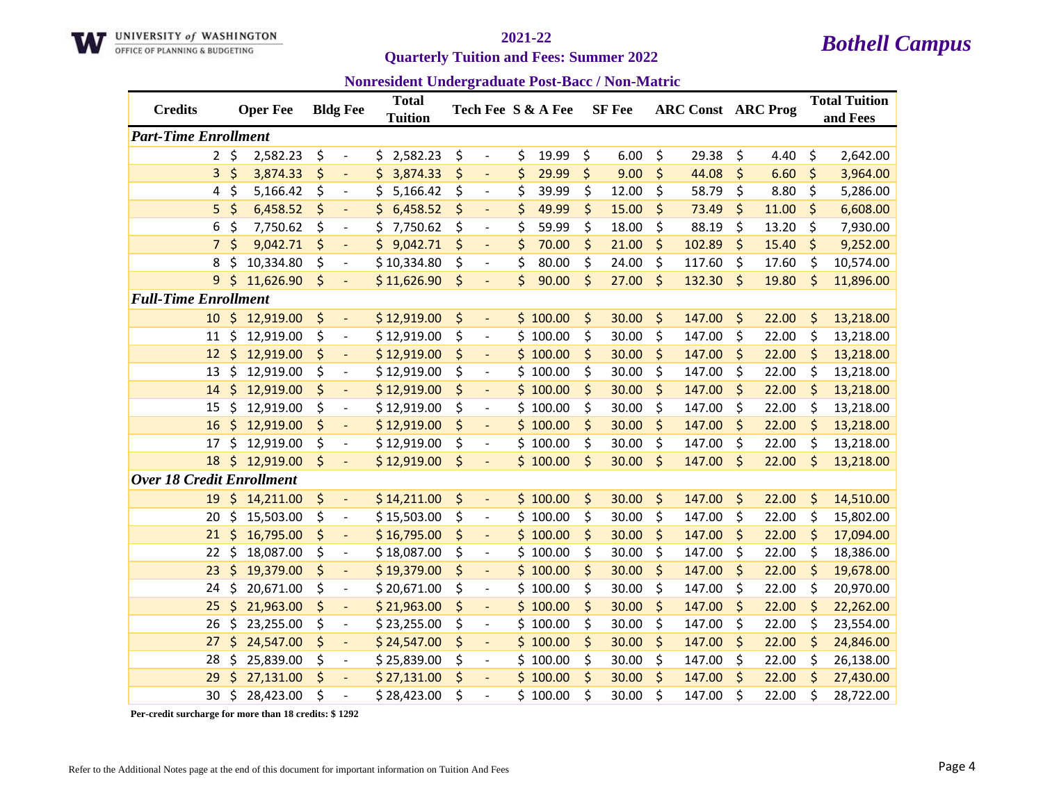

**Quarterly Tuition and Fees: Summer 2022** 

**Nonresident Undergraduate Post-Bacc / Non-Matric**

| <b>Credits</b>                   |             | <b>Oper Fee</b> |    | <b>Bldg Fee</b>              | <b>Total</b><br><b>Tuition</b> |    |                          | Tech Fee S & A Fee | <b>SF</b> Fee |         | <b>ARC Const ARC Prog</b> |    |       | <b>Total Tuition</b><br>and Fees |
|----------------------------------|-------------|-----------------|----|------------------------------|--------------------------------|----|--------------------------|--------------------|---------------|---------|---------------------------|----|-------|----------------------------------|
| <b>Part-Time Enrollment</b>      |             |                 |    |                              |                                |    |                          |                    |               |         |                           |    |       |                                  |
|                                  | $2 \;$ \$   | 2,582.23        | \$ | $\overline{\phantom{a}}$     | \$2,582.23                     | \$ | $\overline{\phantom{a}}$ | \$<br>19.99        | \$<br>6.00    | \$      | 29.38                     | \$ | 4.40  | \$<br>2,642.00                   |
| 3                                | \$          | 3,874.33        | \$ | $\blacksquare$               | 3,874.33<br>Ś.                 | \$ | $\Box$                   | \$<br>29.99        | \$<br>9.00    | \$      | 44.08                     | \$ | 6.60  | \$<br>3,964.00                   |
| 4                                | \$          | 5,166.42        | \$ | $\overline{\phantom{a}}$     | 5,166.42<br>\$                 | \$ | $\overline{\phantom{a}}$ | \$<br>39.99        | \$<br>12.00   | \$      | 58.79                     | \$ | 8.80  | \$<br>5,286.00                   |
| 5                                | $\varsigma$ | 6,458.52        | \$ |                              | \$<br>6,458.52                 | \$ |                          | \$<br>49.99        | \$<br>15.00   | \$      | 73.49                     | \$ | 11.00 | \$<br>6,608.00                   |
| 6                                | \$          | 7,750.62        | \$ | $\overline{\phantom{a}}$     | \$<br>7,750.62                 | \$ | $\overline{\phantom{a}}$ | \$<br>59.99        | \$<br>18.00   | \$      | 88.19                     | \$ | 13.20 | \$<br>7,930.00                   |
| $\overline{7}$                   | $\zeta$     | 9,042.71        | \$ | $\blacksquare$               | \$9,042.71                     | \$ | $\Box$                   | \$<br>70.00        | \$<br>21.00   | \$      | 102.89                    | \$ | 15.40 | \$<br>9,252.00                   |
| 8                                | \$          | 10,334.80       | \$ | $\overline{\phantom{a}}$     | \$10,334.80                    | \$ | $\overline{\phantom{a}}$ | \$<br>80.00        | \$<br>24.00   | \$      | 117.60                    | \$ | 17.60 | \$<br>10,574.00                  |
| 9                                | $\zeta$     | 11,626.90       | \$ | $\overline{\phantom{a}}$     | \$11,626.90                    | \$ | $\overline{\phantom{a}}$ | \$<br>90.00        | \$<br>27.00   | $\zeta$ | 132.30                    | \$ | 19.80 | \$<br>11,896.00                  |
| <b>Full-Time Enrollment</b>      |             |                 |    |                              |                                |    |                          |                    |               |         |                           |    |       |                                  |
| 10                               |             | \$12,919.00     | \$ | $\blacksquare$               | \$12,919.00                    | \$ | $\overline{\phantom{a}}$ | \$100.00           | \$<br>30.00   | \$      | 147.00                    | \$ | 22.00 | \$<br>13,218.00                  |
| 11                               | \$          | 12,919.00       | \$ | $\overline{\phantom{a}}$     | \$12,919.00                    | \$ | $\blacksquare$           | \$100.00           | \$<br>30.00   | \$      | 147.00                    | \$ | 22.00 | \$<br>13,218.00                  |
| 12                               | $\zeta$     | 12,919.00       | \$ | $\Box$                       | \$12,919.00                    | \$ | $\Box$                   | \$100.00           | \$<br>30.00   | \$      | 147.00                    | \$ | 22.00 | \$<br>13,218.00                  |
| 13                               | \$          | 12,919.00       | \$ | $\overline{\phantom{a}}$     | \$12,919.00                    | \$ |                          | \$100.00           | \$<br>30.00   | \$      | 147.00                    | \$ | 22.00 | \$<br>13,218.00                  |
| 14                               | $\zeta$     | 12,919.00       | \$ | $\overline{\phantom{0}}$     | \$12,919.00                    | \$ | $\overline{\phantom{a}}$ | \$100.00           | \$<br>30.00   | \$      | 147.00                    | \$ | 22.00 | \$<br>13,218.00                  |
| 15                               | \$          | 12,919.00       | \$ | $\overline{\phantom{a}}$     | \$12,919.00                    | \$ | $\overline{\phantom{a}}$ | \$100.00           | \$<br>30.00   | \$      | 147.00                    | \$ | 22.00 | \$<br>13,218.00                  |
| 16                               | \$          | 12,919.00       | \$ | $\overline{\phantom{a}}$     | \$12,919.00                    | \$ | $\blacksquare$           | \$100.00           | \$<br>30.00   | \$      | 147.00                    | \$ | 22.00 | \$<br>13,218.00                  |
| 17                               | \$          | 12,919.00       | \$ | $\overline{\phantom{a}}$     | \$12,919.00                    | \$ | $\overline{\phantom{a}}$ | \$100.00           | \$<br>30.00   | \$      | 147.00                    | \$ | 22.00 | \$<br>13,218.00                  |
| 18                               | $\zeta$     | 12,919.00       | \$ | $\overline{\phantom{a}}$     | \$12,919.00                    | \$ |                          | \$100.00           | \$<br>30.00   | $\zeta$ | 147.00                    | \$ | 22.00 | \$<br>13,218.00                  |
| <b>Over 18 Credit Enrollment</b> |             |                 |    |                              |                                |    |                          |                    |               |         |                           |    |       |                                  |
| 19                               | $\zeta$     | 14,211.00       | \$ | $\blacksquare$               | \$14,211.00                    | \$ | $\overline{\phantom{a}}$ | \$100.00           | \$<br>30.00   | \$      | 147.00                    | \$ | 22.00 | \$<br>14,510.00                  |
| 20                               | \$          | 15,503.00       | \$ | $\overline{\phantom{a}}$     | \$15,503.00                    | \$ | $\overline{\phantom{a}}$ | \$100.00           | \$<br>30.00   | \$      | 147.00                    | \$ | 22.00 | \$<br>15,802.00                  |
| 21                               | \$          | 16,795.00       | \$ | $\blacksquare$               | \$16,795.00                    | \$ | $\overline{\phantom{a}}$ | \$100.00           | \$<br>30.00   | \$      | 147.00                    | \$ | 22.00 | \$<br>17,094.00                  |
| 22                               | \$          | 18,087.00       | \$ | $\qquad \qquad \blacksquare$ | \$18,087.00                    | \$ | $\overline{\phantom{a}}$ | \$100.00           | \$<br>30.00   | \$      | 147.00                    | \$ | 22.00 | \$<br>18,386.00                  |
| 23                               | \$          | 19,379.00       | \$ | $\overline{\phantom{a}}$     | \$19,379.00                    | \$ | $\overline{\phantom{a}}$ | \$100.00           | \$<br>30.00   | \$      | 147.00                    | \$ | 22.00 | \$<br>19,678.00                  |
| 24                               | \$          | 20,671.00       | \$ | $\overline{\phantom{a}}$     | \$20,671.00                    | \$ | $\overline{\phantom{a}}$ | \$100.00           | \$<br>30.00   | \$      | 147.00                    | \$ | 22.00 | \$<br>20,970.00                  |
| 25                               | \$          | 21,963.00       | \$ | $\Box$                       | \$21,963.00                    | \$ | $\Box$                   | \$100.00           | \$<br>30.00   | \$      | 147.00                    | \$ | 22.00 | \$<br>22,262.00                  |
| 26                               | \$          | 23,255.00       | \$ | $\overline{\phantom{a}}$     | \$23,255.00                    | \$ | $\overline{\phantom{a}}$ | \$100.00           | \$<br>30.00   | \$      | 147.00                    | \$ | 22.00 | \$<br>23,554.00                  |
| 27                               | \$          | 24,547.00       | \$ | $\overline{\phantom{a}}$     | \$24,547.00                    | \$ |                          | \$100.00           | \$<br>30.00   | \$      | 147.00                    | \$ | 22.00 | \$<br>24,846.00                  |
| 28                               | \$          | 25,839.00       | \$ | $\overline{\phantom{a}}$     | \$25,839.00                    | \$ | $\overline{\phantom{a}}$ | \$100.00           | \$<br>30.00   | \$      | 147.00                    | \$ | 22.00 | \$<br>26,138.00                  |
| 29                               | Ś           | 27,131.00       | \$ | $\blacksquare$               | \$27,131.00                    | \$ | $\overline{\phantom{a}}$ | \$100.00           | \$<br>30.00   | $\zeta$ | 147.00                    | \$ | 22.00 | \$<br>27,430.00                  |
| 30                               | \$          | 28,423.00       | Ś  | $\overline{a}$               | \$28,423.00                    | Ś  |                          | \$100.00           | \$<br>30.00   | \$      | 147.00                    | Ś  | 22.00 | \$<br>28,722.00                  |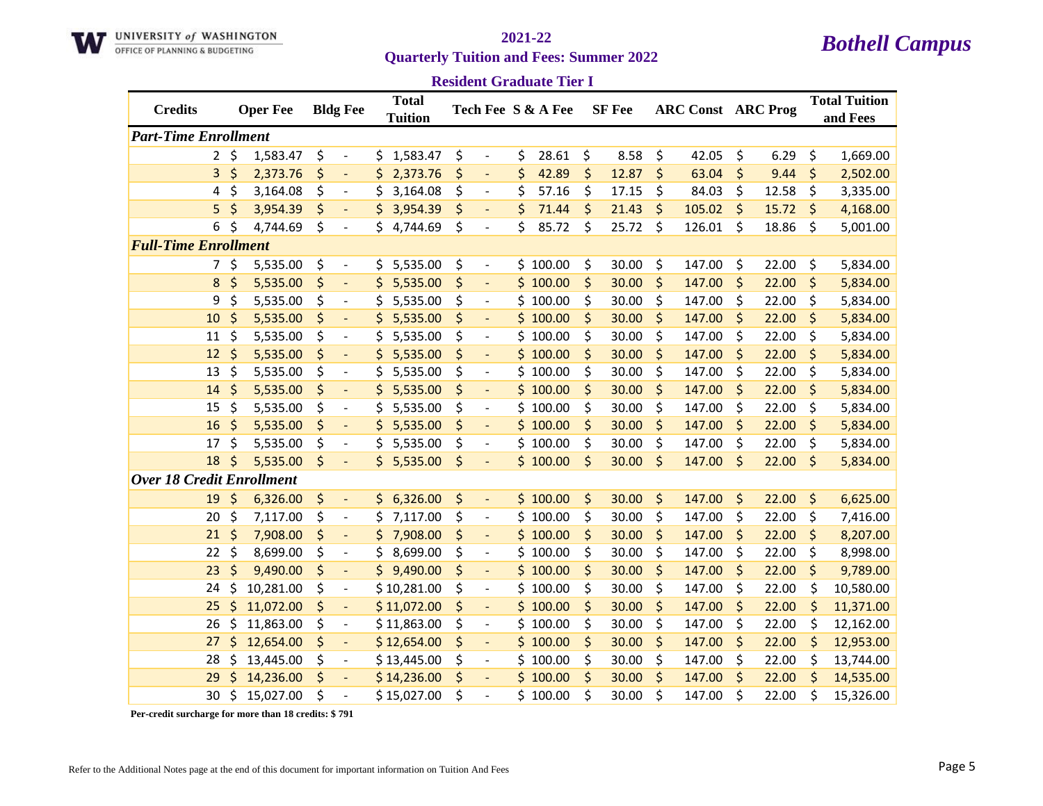

### **Resident Graduate Tier I**

| <b>Credits</b>                   |         | <b>Oper Fee</b> | <b>Bldg Fee</b>                | <b>Total</b><br><b>Tuition</b> |    |                              | Tech Fee S & A Fee |         | <b>SF</b> Fee |         | <b>ARC Const ARC Prog</b> |             |         | <b>Total Tuition</b><br>and Fees |
|----------------------------------|---------|-----------------|--------------------------------|--------------------------------|----|------------------------------|--------------------|---------|---------------|---------|---------------------------|-------------|---------|----------------------------------|
| <b>Part-Time Enrollment</b>      |         |                 |                                |                                |    |                              |                    |         |               |         |                           |             |         |                                  |
| $2^{\circ}$                      | $\zeta$ | 1,583.47        | \$<br>$\blacksquare$           | \$1,583.47                     | \$ | $\overline{\phantom{a}}$     | \$<br>28.61        | \$      | 8.58          | \$      | 42.05                     | \$<br>6.29  | \$      | 1,669.00                         |
| 3                                | \$      | 2,373.76        | \$<br>$\overline{\phantom{a}}$ | \$<br>2,373.76                 | \$ |                              | \$<br>42.89        | \$      | 12.87         | $\zeta$ | 63.04                     | \$<br>9.44  | \$      | 2,502.00                         |
| 4                                | \$      | 3,164.08        | \$<br>$\overline{\phantom{a}}$ | \$<br>3,164.08                 | \$ | $\overline{\phantom{a}}$     | \$<br>57.16        | \$      | 17.15         | \$      | 84.03                     | \$<br>12.58 | \$      | 3,335.00                         |
| 5                                | \$      | 3,954.39        | \$<br>$\overline{\phantom{a}}$ | 3,954.39<br>\$                 | \$ | $\Box$                       | \$<br>71.44        | \$      | 21.43         | \$      | 105.02                    | \$<br>15.72 | \$      | 4,168.00                         |
| 6                                | \$      | 4,744.69        | \$<br>$\overline{\phantom{a}}$ | 4,744.69<br>Ś.                 | \$ | $\overline{\phantom{a}}$     | \$<br>85.72        | \$      | 25.72         | \$      | 126.01                    | \$<br>18.86 | \$      | 5,001.00                         |
| <b>Full-Time Enrollment</b>      |         |                 |                                |                                |    |                              |                    |         |               |         |                           |             |         |                                  |
| 7.                               | \$      | 5,535.00        | \$<br>$\overline{\phantom{a}}$ | 5,535.00<br>\$                 | \$ | $\overline{\phantom{a}}$     | \$100.00           | \$      | 30.00         | \$      | 147.00                    | \$<br>22.00 | \$      | 5,834.00                         |
| $\bf 8$                          | \$      | 5,535.00        | \$<br>$\blacksquare$           | 5,535.00<br>\$                 | \$ | $\overline{\phantom{a}}$     | \$100.00           | \$      | 30.00         | \$      | 147.00                    | \$<br>22.00 | \$      | 5,834.00                         |
| 9                                | \$      | 5,535.00        | \$<br>$\overline{\phantom{a}}$ | 5,535.00<br>S                  | \$ | $\overline{\phantom{a}}$     | \$100.00           | \$      | 30.00         | \$      | 147.00                    | \$<br>22.00 | \$      | 5,834.00                         |
| 10                               | \$      | 5,535.00        | \$<br>$\blacksquare$           | 5,535.00<br>\$                 | \$ | $\overline{\phantom{a}}$     | \$100.00           | \$      | 30.00         | \$      | 147.00                    | \$<br>22.00 | \$      | 5,834.00                         |
| 11                               | \$      | 5,535.00        | \$<br>$\blacksquare$           | \$<br>5,535.00                 | \$ | $\qquad \qquad \blacksquare$ | \$100.00           | \$      | 30.00         | \$      | 147.00                    | \$<br>22.00 | \$      | 5,834.00                         |
| 12                               | \$      | 5,535.00        | \$<br>$\overline{\phantom{a}}$ | \$<br>5,535.00                 | \$ | $\overline{\phantom{a}}$     | \$100.00           | \$      | 30.00         | \$      | 147.00                    | \$<br>22.00 | \$      | 5,834.00                         |
| 13                               | \$      | 5,535.00        | \$<br>$\overline{\phantom{a}}$ | \$<br>5,535.00                 | \$ | $\qquad \qquad -$            | \$100.00           | \$      | 30.00         | \$      | 147.00                    | \$<br>22.00 | \$      | 5,834.00                         |
| 14                               | \$      | 5,535.00        | \$<br>$\blacksquare$           | 5,535.00<br>\$                 | \$ | $\blacksquare$               | \$100.00           | \$      | 30.00         | \$      | 147.00                    | \$<br>22.00 | \$      | 5,834.00                         |
| 15                               | \$      | 5,535.00        | \$<br>$\overline{\phantom{a}}$ | \$<br>5,535.00                 | \$ | $\overline{\phantom{a}}$     | \$100.00           | \$      | 30.00         | \$      | 147.00                    | \$<br>22.00 | \$      | 5,834.00                         |
| 16                               | \$      | 5,535.00        | \$<br>$\Box$                   | 5,535.00<br>\$                 | \$ | $\overline{\phantom{a}}$     | \$100.00           | \$      | 30.00         | \$      | 147.00                    | \$<br>22.00 | \$      | 5,834.00                         |
| 17                               | \$      | 5,535.00        | \$                             | \$<br>5,535.00                 | \$ |                              | \$100.00           | \$      | 30.00         | \$      | 147.00                    | \$<br>22.00 | \$      | 5,834.00                         |
| 18                               | \$      | 5,535.00        | \$                             | \$5,535.00                     | \$ |                              | \$100.00           | $\zeta$ | 30.00         | \$      | 147.00                    | \$<br>22.00 | \$      | 5,834.00                         |
| <b>Over 18 Credit Enrollment</b> |         |                 |                                |                                |    |                              |                    |         |               |         |                           |             |         |                                  |
| 19                               | \$      | 6,326.00        | \$<br>$\Box$                   | \$6,326.00                     | \$ | $\overline{\phantom{a}}$     | \$100.00           | \$      | 30.00         | \$      | 147.00                    | \$<br>22.00 | \$      | 6,625.00                         |
| 20                               | \$      | 7,117.00        | \$<br>$\overline{\phantom{a}}$ | \$<br>7,117.00                 | \$ | $\overline{\phantom{a}}$     | \$100.00           | \$      | 30.00         | \$      | 147.00                    | \$<br>22.00 | \$      | 7,416.00                         |
| 21                               | \$      | 7,908.00        | \$<br>$\blacksquare$           | \$.<br>7,908.00                | \$ | $\overline{\phantom{a}}$     | \$100.00           | \$      | 30.00         | $\zeta$ | 147.00                    | \$<br>22.00 | $\zeta$ | 8,207.00                         |
| 22                               | \$      | 8,699.00        | \$<br>$\overline{\phantom{a}}$ | \$<br>8,699.00                 | \$ | $\qquad \qquad \blacksquare$ | \$100.00           | \$      | 30.00         | \$      | 147.00                    | \$<br>22.00 | \$      | 8,998.00                         |
| 23                               | \$      | 9,490.00        | \$<br>$\blacksquare$           | 9,490.00<br>\$                 | \$ | $\blacksquare$               | \$100.00           | \$      | 30.00         | \$      | 147.00                    | \$<br>22.00 | \$      | 9,789.00                         |
| 24                               | \$      | 10,281.00       | \$<br>$\overline{\phantom{a}}$ | \$10,281.00                    | \$ | $\overline{\phantom{a}}$     | \$100.00           | \$      | 30.00         | \$      | 147.00                    | \$<br>22.00 | \$      | 10,580.00                        |
| 25                               | \$      | 11,072.00       | \$<br>$\blacksquare$           | \$11,072.00                    | \$ | $\overline{\phantom{a}}$     | \$100.00           | \$      | 30.00         | \$      | 147.00                    | \$<br>22.00 | \$      | 11,371.00                        |
| 26                               | \$      | 11,863.00       | \$<br>$\overline{\phantom{a}}$ | \$11,863.00                    | \$ | $\qquad \qquad \blacksquare$ | \$100.00           | \$      | 30.00         | \$      | 147.00                    | \$<br>22.00 | \$      | 12,162.00                        |
| 27                               | \$      | 12,654.00       | \$<br>$\overline{\phantom{a}}$ | \$12,654.00                    | \$ |                              | \$100.00           | \$      | 30.00         | \$      | 147.00                    | \$<br>22.00 | \$      | 12,953.00                        |
| 28                               | \$      | 13,445.00       | \$<br>$\overline{\phantom{a}}$ | \$13,445.00                    | \$ | $\overline{\phantom{a}}$     | \$100.00           | \$      | 30.00         | \$      | 147.00                    | \$<br>22.00 | \$      | 13,744.00                        |
| 29                               | \$      | 14,236.00       | \$<br>$\overline{\phantom{a}}$ | \$14,236.00                    | \$ | $\overline{\phantom{a}}$     | \$100.00           | \$      | 30.00         | \$      | 147.00                    | \$<br>22.00 | \$      | 14,535.00                        |
| 30                               | \$      | 15,027.00       | \$<br>$\overline{\phantom{a}}$ | \$15,027.00                    | \$ |                              | \$100.00           | Ś       | 30.00         | \$      | 147.00                    | \$<br>22.00 | \$      | 15,326.00                        |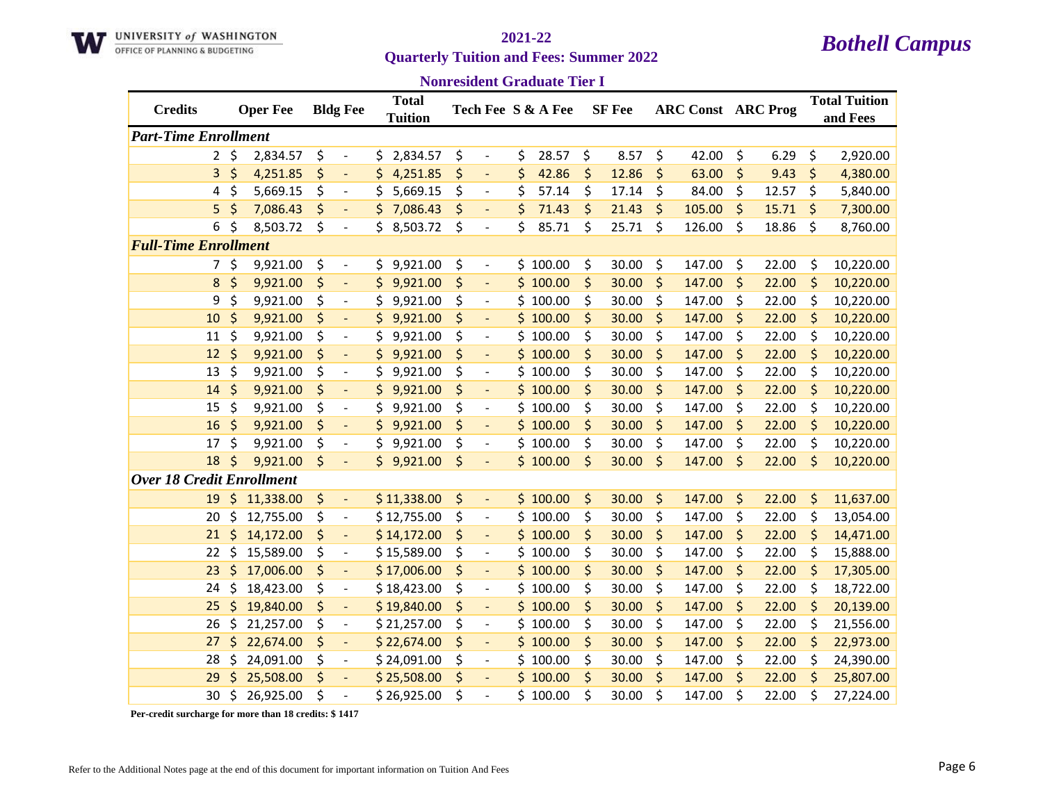

### **Nonresident Graduate Tier I**

| <b>Credits</b>                   |         | <b>Oper Fee</b> | <b>Bldg Fee</b>                | <b>Total</b>    |                                | Tech Fee S & A Fee | <b>SF</b> Fee |         | <b>ARC Const ARC Prog</b> |             |         | <b>Total Tuition</b> |
|----------------------------------|---------|-----------------|--------------------------------|-----------------|--------------------------------|--------------------|---------------|---------|---------------------------|-------------|---------|----------------------|
|                                  |         |                 |                                | <b>Tuition</b>  |                                |                    |               |         |                           |             |         | and Fees             |
| <b>Part-Time Enrollment</b>      |         |                 |                                |                 |                                |                    |               |         |                           |             |         |                      |
| $\overline{2}$                   | $\zeta$ | 2,834.57        | \$<br>$\overline{\phantom{a}}$ | 2,834.57<br>\$. | \$<br>$\overline{\phantom{a}}$ | \$<br>28.57        | \$<br>8.57    | \$      | 42.00                     | \$<br>6.29  | \$      | 2,920.00             |
| 3                                | \$      | 4,251.85        | \$<br>÷,                       | \$<br>4,251.85  | \$<br>$\overline{\phantom{a}}$ | \$<br>42.86        | \$<br>12.86   | \$      | 63.00                     | \$<br>9.43  | \$      | 4,380.00             |
| 4                                | \$      | 5,669.15        | \$<br>$\overline{\phantom{a}}$ | \$<br>5,669.15  | \$<br>$\overline{\phantom{a}}$ | \$<br>57.14        | \$<br>17.14   | \$      | 84.00                     | \$<br>12.57 | \$      | 5,840.00             |
| 5                                | \$      | 7,086.43        | \$<br>$\blacksquare$           | \$<br>7,086.43  | \$<br>$\blacksquare$           | \$<br>71.43        | \$<br>21.43   | \$      | 105.00                    | \$<br>15.71 | \$      | 7,300.00             |
| 6                                | \$      | 8,503.72        | \$<br>$\overline{\phantom{a}}$ | 8,503.72<br>\$  | \$<br>$\overline{\phantom{a}}$ | \$<br>85.71        | \$<br>25.71   | \$      | 126.00                    | \$<br>18.86 | \$      | 8,760.00             |
| <b>Full-Time Enrollment</b>      |         |                 |                                |                 |                                |                    |               |         |                           |             |         |                      |
| 7                                | \$      | 9,921.00        | \$<br>$\overline{\phantom{a}}$ | \$9,921.00      | \$<br>$\overline{\phantom{a}}$ | \$100.00           | \$<br>30.00   | \$      | 147.00                    | \$<br>22.00 | \$      | 10,220.00            |
| 8                                | \$      | 9,921.00        | \$<br>$\blacksquare$           | 9,921.00<br>\$  | \$<br>$\blacksquare$           | \$100.00           | \$<br>30.00   | \$      | 147.00                    | \$<br>22.00 | \$      | 10,220.00            |
| 9                                | \$      | 9,921.00        | \$<br>$\overline{\phantom{a}}$ | 9,921.00<br>\$  | \$<br>$\overline{\phantom{a}}$ | \$100.00           | \$<br>30.00   | \$      | 147.00                    | \$<br>22.00 | \$      | 10,220.00            |
| 10                               | \$      | 9,921.00        | \$<br>$\blacksquare$           | 9,921.00<br>\$  | \$<br>$\overline{\phantom{a}}$ | \$100.00           | \$<br>30.00   | $\zeta$ | 147.00                    | \$<br>22.00 | $\zeta$ | 10,220.00            |
| 11                               | \$      | 9,921.00        | \$<br>$\overline{\phantom{a}}$ | \$<br>9,921.00  | \$<br>$\overline{\phantom{a}}$ | \$100.00           | \$<br>30.00   | \$      | 147.00                    | \$<br>22.00 | \$      | 10,220.00            |
| 12                               | \$      | 9,921.00        | \$<br>÷,                       | \$<br>9,921.00  | \$                             | \$100.00           | \$<br>30.00   | \$      | 147.00                    | \$<br>22.00 | \$      | 10,220.00            |
| 13                               | \$      | 9,921.00        | \$<br>$\overline{\phantom{a}}$ | \$<br>9,921.00  | \$<br>$\overline{\phantom{a}}$ | \$100.00           | \$<br>30.00   | \$      | 147.00                    | \$<br>22.00 | \$      | 10,220.00            |
| 14                               | \$      | 9,921.00        | \$<br>$\overline{\phantom{a}}$ | \$<br>9,921.00  | \$<br>$\overline{\phantom{a}}$ | \$100.00           | \$<br>30.00   | \$      | 147.00                    | \$<br>22.00 | \$      | 10,220.00            |
| 15                               | \$      | 9,921.00        | \$<br>$\overline{\phantom{a}}$ | 9,921.00<br>\$  | \$<br>$\overline{\phantom{a}}$ | \$100.00           | \$<br>30.00   | \$      | 147.00                    | \$<br>22.00 | \$      | 10,220.00            |
| 16                               | $\zeta$ | 9,921.00        | \$<br>$\blacksquare$           | 9,921.00<br>\$  | \$<br>$\blacksquare$           | \$100.00           | \$<br>30.00   | $\zeta$ | 147.00                    | \$<br>22.00 | $\zeta$ | 10,220.00            |
| 17                               | \$      | 9,921.00        | \$<br>$\overline{\phantom{a}}$ | \$<br>9,921.00  | \$<br>$\overline{\phantom{a}}$ | \$100.00           | \$<br>30.00   | \$      | 147.00                    | \$<br>22.00 | \$      | 10,220.00            |
| 18                               | \$      | 9,921.00        | \$                             | \$9,921.00      | \$                             | \$100.00           | \$<br>30.00   | $\zeta$ | 147.00                    | \$<br>22.00 | \$      | 10,220.00            |
| <b>Over 18 Credit Enrollment</b> |         |                 |                                |                 |                                |                    |               |         |                           |             |         |                      |
| 19                               | \$      | 11,338.00       | \$<br>$\overline{\phantom{a}}$ | \$11,338.00     | \$<br>$\overline{\phantom{a}}$ | \$100.00           | \$<br>30.00   | \$      | 147.00                    | \$<br>22.00 | \$      | 11,637.00            |
| 20                               | \$      | 12,755.00       | \$<br>$\overline{\phantom{a}}$ | \$12,755.00     | \$<br>$\overline{\phantom{a}}$ | \$100.00           | \$<br>30.00   | \$      | 147.00                    | \$<br>22.00 | \$      | 13,054.00            |
| 21                               | \$      | 14,172.00       | \$<br>$\overline{\phantom{a}}$ | \$14,172.00     | \$<br>$\overline{\phantom{a}}$ | \$100.00           | \$<br>30.00   | \$      | 147.00                    | \$<br>22.00 | \$      | 14,471.00            |
| 22                               | \$      | 15,589.00       | \$<br>$\overline{\phantom{a}}$ | \$15,589.00     | \$<br>$\overline{\phantom{a}}$ | \$100.00           | \$<br>30.00   | \$      | 147.00                    | \$<br>22.00 | \$      | 15,888.00            |
| 23                               | \$      | 17,006.00       | \$<br>$\blacksquare$           | \$17,006.00     | \$<br>$\overline{\phantom{a}}$ | \$100.00           | \$<br>30.00   | \$      | 147.00                    | \$<br>22.00 | \$      | 17,305.00            |
| 24                               | \$      | 18,423.00       | \$<br>$\overline{\phantom{a}}$ | \$18,423.00     | \$<br>$\overline{\phantom{a}}$ | \$100.00           | \$<br>30.00   | \$      | 147.00                    | \$<br>22.00 | \$      | 18,722.00            |
| 25                               | \$      | 19,840.00       | \$<br>$\overline{\phantom{a}}$ | \$19,840.00     | \$<br>$\overline{\phantom{a}}$ | \$100.00           | \$<br>30.00   | $\zeta$ | 147.00                    | \$<br>22.00 | $\zeta$ | 20,139.00            |
| 26                               | \$      | 21,257.00       | \$<br>$\overline{\phantom{a}}$ | \$21,257.00     | \$<br>$\overline{\phantom{a}}$ | \$100.00           | \$<br>30.00   | \$      | 147.00                    | \$<br>22.00 | \$      | 21,556.00            |
| 27                               | \$      | 22,674.00       | \$<br>$\overline{\phantom{a}}$ | \$22,674.00     | \$                             | \$100.00           | \$<br>30.00   | \$      | 147.00                    | \$<br>22.00 | \$      | 22,973.00            |
| 28                               | \$      | 24,091.00       | \$<br>$\overline{\phantom{a}}$ | \$24,091.00     | \$<br>$\overline{\phantom{a}}$ | \$100.00           | \$<br>30.00   | \$      | 147.00                    | \$<br>22.00 | \$      | 24,390.00            |
| 29                               |         | 25,508.00       | \$<br>$\overline{\phantom{a}}$ | \$25,508.00     | \$<br>$\overline{\phantom{a}}$ | \$100.00           | \$<br>30.00   | \$      | 147.00                    | \$<br>22.00 | \$      | 25,807.00            |
| 30                               | \$      | 26,925.00       | \$<br>$\overline{a}$           | \$26,925.00     | \$                             | \$100.00           | \$<br>30.00   | \$      | 147.00                    | \$<br>22.00 | \$      | 27,224.00            |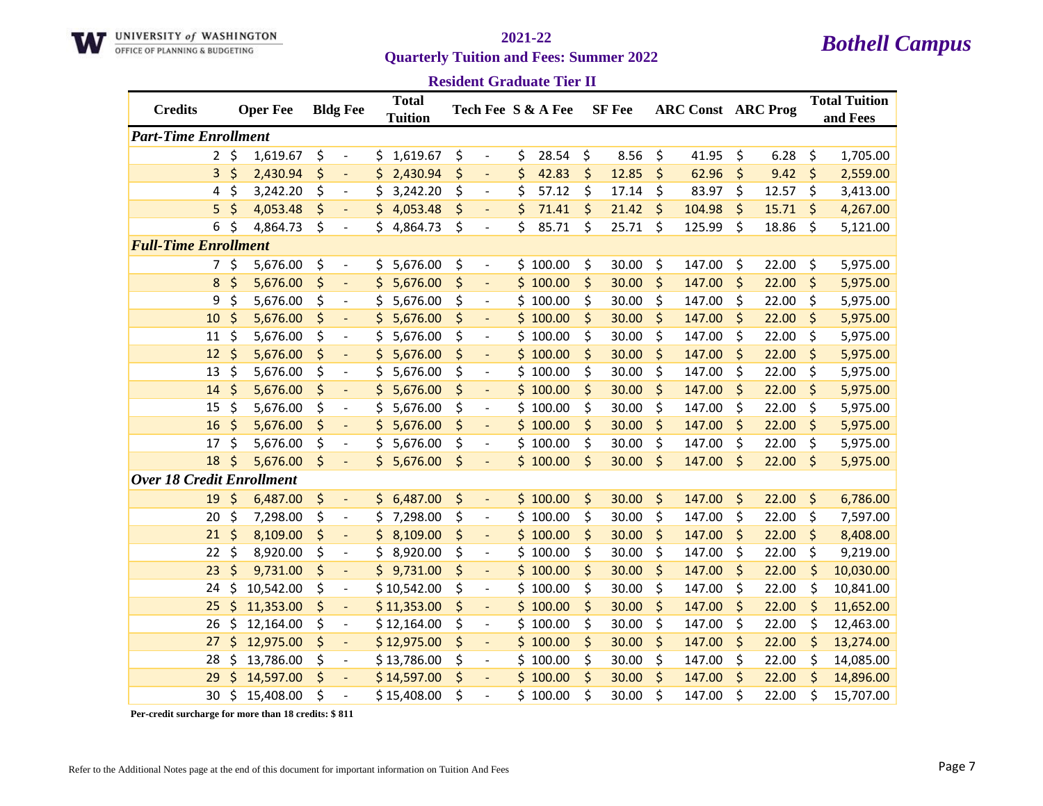

**Resident Graduate Tier II**

| <b>Credits</b>                   | <b>Oper Fee</b> | <b>Bldg Fee</b>                |     | <b>Total</b><br><b>Tuition</b> |                                |     | Tech Fee S & A Fee | <b>SF</b> Fee |         | <b>ARC Const ARC Prog</b> |             | <b>Total Tuition</b><br>and Fees |
|----------------------------------|-----------------|--------------------------------|-----|--------------------------------|--------------------------------|-----|--------------------|---------------|---------|---------------------------|-------------|----------------------------------|
| <b>Part-Time Enrollment</b>      |                 |                                |     |                                |                                |     |                    |               |         |                           |             |                                  |
| $\mathbf{2}$                     | \$<br>1,619.67  | \$<br>$\overline{\phantom{a}}$ | \$  | 1,619.67                       | \$<br>$\overline{\phantom{a}}$ | \$  | 28.54              | \$<br>8.56    | \$      | 41.95                     | \$<br>6.28  | \$<br>1,705.00                   |
| 3                                | \$<br>2,430.94  | \$<br>$\overline{a}$           | \$  | 2,430.94                       | \$<br>$\overline{a}$           | \$  | 42.83              | \$<br>12.85   | \$      | 62.96                     | \$<br>9.42  | \$<br>2,559.00                   |
| 4                                | \$<br>3,242.20  | \$<br>$\overline{\phantom{a}}$ | \$  | 3,242.20                       | \$<br>$\overline{\phantom{a}}$ | \$  | 57.12              | \$<br>17.14   | \$      | 83.97                     | \$<br>12.57 | \$<br>3,413.00                   |
| 5                                | \$<br>4,053.48  | \$<br>$\blacksquare$           | \$  | 4,053.48                       | \$<br>$\overline{\phantom{a}}$ | \$  | 71.41              | \$<br>21.42   | \$      | 104.98                    | \$<br>15.71 | \$<br>4,267.00                   |
| 6                                | \$<br>4,864.73  | \$<br>$\overline{\phantom{a}}$ | \$  | 4,864.73                       | \$<br>$\overline{\phantom{a}}$ | \$  | 85.71              | \$<br>25.71   | \$      | 125.99                    | \$<br>18.86 | \$<br>5,121.00                   |
| <b>Full-Time Enrollment</b>      |                 |                                |     |                                |                                |     |                    |               |         |                           |             |                                  |
| 7                                | \$<br>5,676.00  | \$<br>$\overline{\phantom{a}}$ | \$  | 5,676.00                       | \$<br>$\overline{\phantom{a}}$ |     | \$100.00           | \$<br>30.00   | \$      | 147.00                    | \$<br>22.00 | \$<br>5,975.00                   |
| 8                                | \$<br>5,676.00  | \$<br>$\blacksquare$           | \$  | 5,676.00                       | \$<br>$\blacksquare$           |     | \$100.00           | \$<br>30.00   | \$      | 147.00                    | \$<br>22.00 | \$<br>5,975.00                   |
| 9                                | \$<br>5,676.00  | \$<br>$\overline{\phantom{a}}$ | \$  | 5,676.00                       | \$<br>$\overline{\phantom{a}}$ |     | \$100.00           | \$<br>30.00   | \$      | 147.00                    | \$<br>22.00 | \$<br>5,975.00                   |
| 10                               | \$<br>5,676.00  | \$<br>$\blacksquare$           | \$  | 5,676.00                       | \$<br>$\overline{\phantom{a}}$ |     | \$100.00           | \$<br>30.00   | \$      | 147.00                    | \$<br>22.00 | \$<br>5,975.00                   |
| 11                               | \$<br>5,676.00  | \$<br>$\overline{\phantom{a}}$ | \$  | 5,676.00                       | \$<br>$\overline{\phantom{a}}$ |     | \$100.00           | \$<br>30.00   | \$      | 147.00                    | \$<br>22.00 | \$<br>5,975.00                   |
| 12                               | \$<br>5,676.00  | \$<br>$\overline{a}$           | \$  | 5,676.00                       | \$                             | \$  | 100.00             | \$<br>30.00   | \$      | 147.00                    | \$<br>22.00 | \$<br>5,975.00                   |
| 13                               | \$<br>5,676.00  | \$<br>$\blacksquare$           | \$  | 5,676.00                       | \$<br>$\overline{\phantom{a}}$ | \$  | 100.00             | \$<br>30.00   | \$      | 147.00                    | \$<br>22.00 | \$<br>5,975.00                   |
| 14                               | \$<br>5,676.00  | \$<br>$\blacksquare$           | \$  | 5,676.00                       | \$<br>$\overline{\phantom{a}}$ |     | \$100.00           | \$<br>30.00   | \$      | 147.00                    | \$<br>22.00 | \$<br>5,975.00                   |
| 15                               | \$<br>5,676.00  | \$<br>$\overline{\phantom{a}}$ | \$  | 5,676.00                       | \$<br>$\overline{\phantom{a}}$ |     | \$100.00           | \$<br>30.00   | \$      | 147.00                    | \$<br>22.00 | \$<br>5,975.00                   |
| 16                               | \$<br>5,676.00  | \$<br>$\overline{\phantom{a}}$ | \$  | 5,676.00                       | \$<br>$\overline{\phantom{a}}$ |     | \$100.00           | \$<br>30.00   | \$      | 147.00                    | \$<br>22.00 | \$<br>5,975.00                   |
| 17                               | \$<br>5,676.00  | \$<br>$\overline{\phantom{a}}$ | \$  | 5,676.00                       | \$<br>$\overline{\phantom{a}}$ |     | \$100.00           | \$<br>30.00   | \$      | 147.00                    | \$<br>22.00 | \$<br>5,975.00                   |
| 18                               | \$<br>5,676.00  | \$                             | \$  | 5,676.00                       | \$                             |     | \$100.00           | \$<br>30.00   | $\zeta$ | 147.00                    | \$<br>22.00 | \$<br>5,975.00                   |
| <b>Over 18 Credit Enrollment</b> |                 |                                |     |                                |                                |     |                    |               |         |                           |             |                                  |
| 19                               | \$<br>6,487.00  | \$<br>$\blacksquare$           | \$. | 6,487.00                       | \$<br>$\overline{\phantom{a}}$ |     | \$100.00           | \$<br>30.00   | \$      | 147.00                    | \$<br>22.00 | \$<br>6,786.00                   |
| 20                               | \$<br>7,298.00  | \$<br>$\overline{\phantom{a}}$ | \$  | 7,298.00                       | \$<br>$\overline{\phantom{a}}$ |     | \$100.00           | \$<br>30.00   | \$      | 147.00                    | \$<br>22.00 | \$<br>7,597.00                   |
| 21                               | \$<br>8,109.00  | \$                             | \$  | 8,109.00                       | \$<br>$\overline{\phantom{a}}$ |     | \$100.00           | \$<br>30.00   | \$      | 147.00                    | \$<br>22.00 | \$<br>8,408.00                   |
| 22                               | \$<br>8,920.00  | \$<br>$\overline{\phantom{a}}$ | \$  | 8,920.00                       | \$<br>$\overline{\phantom{a}}$ |     | \$100.00           | \$<br>30.00   | \$      | 147.00                    | \$<br>22.00 | \$<br>9,219.00                   |
| 23                               | \$<br>9,731.00  | \$<br>$\blacksquare$           | \$  | 9,731.00                       | \$<br>$\overline{\phantom{a}}$ | \$. | 100.00             | \$<br>30.00   | \$      | 147.00                    | \$<br>22.00 | \$<br>10,030.00                  |
| 24                               | \$<br>10,542.00 | \$<br>$\overline{\phantom{a}}$ |     | \$10,542.00                    | \$<br>$\overline{\phantom{a}}$ |     | \$100.00           | \$<br>30.00   | \$      | 147.00                    | \$<br>22.00 | \$<br>10,841.00                  |
| 25                               | \$<br>11,353.00 | \$<br>$\overline{\phantom{a}}$ |     | \$11,353.00                    | \$                             |     | \$100.00           | \$<br>30.00   | \$      | 147.00                    | \$<br>22.00 | \$<br>11,652.00                  |
| 26                               | \$<br>12,164.00 | \$<br>$\overline{\phantom{a}}$ |     | \$12,164.00                    | \$<br>$\overline{\phantom{a}}$ |     | \$100.00           | \$<br>30.00   | \$      | 147.00                    | \$<br>22.00 | \$<br>12,463.00                  |
| 27                               | \$<br>12,975.00 | \$<br>$\overline{\phantom{a}}$ |     | \$12,975.00                    | \$                             |     | \$100.00           | \$<br>30.00   | \$      | 147.00                    | \$<br>22.00 | \$<br>13,274.00                  |
| 28                               | \$<br>13,786.00 | \$<br>$\overline{\phantom{a}}$ |     | \$13,786.00                    | \$<br>$\overline{\phantom{a}}$ |     | \$100.00           | \$<br>30.00   | \$      | 147.00                    | \$<br>22.00 | \$<br>14,085.00                  |
| 29                               | \$<br>14,597.00 | \$<br>$\overline{\phantom{a}}$ |     | \$14,597.00                    | \$<br>$\blacksquare$           |     | \$100.00           | \$<br>30.00   | \$      | 147.00                    | \$<br>22.00 | \$<br>14,896.00                  |
| 30                               | \$<br>15,408.00 | \$                             |     | \$15,408.00                    | \$                             |     | \$100.00           | \$<br>30.00   | \$      | 147.00                    | \$<br>22.00 | \$<br>15,707.00                  |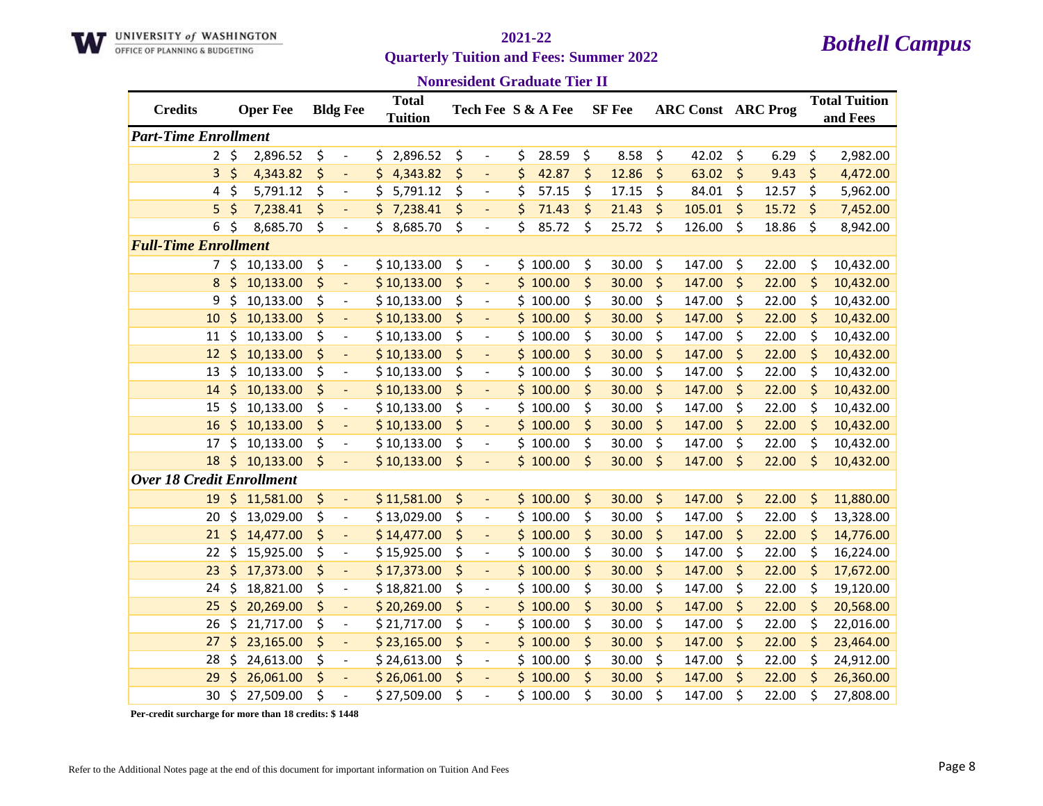

### **Nonresident Graduate Tier II**

| <b>Credits</b>                   |         | <b>Oper Fee</b> | <b>Bldg Fee</b>                | <b>Total</b>   |                                    | Tech Fee S & A Fee | <b>SF</b> Fee |         | <b>ARC Const ARC Prog</b> |         |       |         | <b>Total Tuition</b> |
|----------------------------------|---------|-----------------|--------------------------------|----------------|------------------------------------|--------------------|---------------|---------|---------------------------|---------|-------|---------|----------------------|
|                                  |         |                 |                                | <b>Tuition</b> |                                    |                    |               |         |                           |         |       |         | and Fees             |
| <b>Part-Time Enrollment</b>      |         |                 |                                |                |                                    |                    |               |         |                           |         |       |         |                      |
| $\overline{2}$                   | \$      | 2,896.52        | \$<br>$\overline{\phantom{a}}$ | 2,896.52<br>\$ | \$                                 | \$<br>28.59        | \$<br>8.58    | \$      | 42.02                     | \$      | 6.29  | \$      | 2,982.00             |
| 3                                | \$      | 4,343.82        | \$<br>÷,                       | \$<br>4,343.82 | \$                                 | \$<br>42.87        | \$<br>12.86   | \$      | 63.02                     | \$      | 9.43  | \$      | 4,472.00             |
| 4                                | \$      | 5,791.12        | \$<br>$\overline{\phantom{a}}$ | \$<br>5,791.12 | \$<br>$\overline{\phantom{a}}$     | \$<br>57.15        | \$<br>17.15   | \$      | 84.01                     | \$      | 12.57 | \$      | 5,962.00             |
| 5.                               | \$      | 7,238.41        | \$<br>$\blacksquare$           | \$<br>7,238.41 | \$<br>$\blacksquare$               | \$<br>71.43        | \$<br>21.43   | \$      | 105.01                    | $\zeta$ | 15.72 | \$      | 7,452.00             |
| 6                                | \$      | 8,685.70        | \$<br>$\overline{\phantom{a}}$ | 8,685.70<br>\$ | \$<br>$\overline{\phantom{a}}$     | \$<br>85.72        | \$<br>25.72   | \$      | 126.00                    | \$      | 18.86 | \$      | 8,942.00             |
| <b>Full-Time Enrollment</b>      |         |                 |                                |                |                                    |                    |               |         |                           |         |       |         |                      |
| 7                                | \$      | 10,133.00       | \$<br>$\overline{\phantom{a}}$ | \$10,133.00    | \$<br>$\overline{\phantom{a}}$     | \$100.00           | \$<br>30.00   | \$      | 147.00                    | \$      | 22.00 | \$      | 10,432.00            |
| 8                                | \$      | 10,133.00       | \$<br>$\blacksquare$           | \$10,133.00    | \$<br>$\Box$                       | \$100.00           | \$<br>30.00   | \$      | 147.00                    | \$      | 22.00 | \$      | 10,432.00            |
| 9                                | \$      | 10,133.00       | \$<br>$\overline{\phantom{a}}$ | \$10,133.00    | \$<br>$\overline{\phantom{a}}$     | \$100.00           | \$<br>30.00   | \$      | 147.00                    | \$      | 22.00 | \$      | 10,432.00            |
| 10                               | \$      | 10,133.00       | \$<br>$\overline{\phantom{a}}$ | \$10,133.00    | \$<br>$\blacksquare$               | \$100.00           | \$<br>30.00   | \$      | 147.00                    | \$      | 22.00 | \$      | 10,432.00            |
| 11                               | \$      | 10,133.00       | \$<br>$\blacksquare$           | \$10,133.00    | \$                                 | \$100.00           | \$<br>30.00   | \$      | 147.00                    | \$      | 22.00 | \$      | 10,432.00            |
| 12                               | \$      | 10,133.00       | \$<br>÷,                       | \$10,133.00    | \$                                 | \$100.00           | \$<br>30.00   | \$      | 147.00                    | \$      | 22.00 | \$      | 10,432.00            |
| 13                               | \$      | 10,133.00       | \$<br>$\overline{\phantom{a}}$ | \$10,133.00    | \$<br>$\qquad \qquad \blacksquare$ | \$100.00           | \$<br>30.00   | \$      | 147.00                    | \$      | 22.00 | \$      | 10,432.00            |
| 14                               | \$      | 10,133.00       | \$<br>$\blacksquare$           | \$10,133.00    | \$<br>$\Box$                       | \$100.00           | \$<br>30.00   | \$      | 147.00                    | \$      | 22.00 | \$      | 10,432.00            |
| 15                               | \$      | 10,133.00       | \$<br>$\overline{\phantom{a}}$ | \$10,133.00    | \$<br>$\overline{\phantom{a}}$     | \$100.00           | \$<br>30.00   | \$      | 147.00                    | \$      | 22.00 | \$      | 10,432.00            |
| 16                               | \$      | 10,133.00       | \$<br>$\overline{\phantom{a}}$ | \$10,133.00    | \$<br>$\blacksquare$               | \$100.00           | \$<br>30.00   | $\zeta$ | 147.00                    | \$      | 22.00 | \$      | 10,432.00            |
| 17                               | \$      | 10,133.00       | \$<br>$\overline{\phantom{a}}$ | \$10,133.00    | \$<br>$\overline{\phantom{a}}$     | \$100.00           | \$<br>30.00   | \$      | 147.00                    | \$      | 22.00 | \$      | 10,432.00            |
| 18                               | $\zeta$ | 10,133.00       | \$                             | \$10,133.00    | \$                                 | \$100.00           | \$<br>30.00   | \$      | 147.00                    | $\zeta$ | 22.00 | \$      | 10,432.00            |
| <b>Over 18 Credit Enrollment</b> |         |                 |                                |                |                                    |                    |               |         |                           |         |       |         |                      |
| 19                               | \$      | 11,581.00       | \$<br>$\overline{\phantom{a}}$ | \$11,581.00    | \$<br>$\blacksquare$               | \$100.00           | \$<br>30.00   | \$      | 147.00                    | \$      | 22.00 | $\zeta$ | 11,880.00            |
| 20                               | \$      | 13,029.00       | \$<br>$\blacksquare$           | \$13,029.00    | \$<br>$\overline{\phantom{a}}$     | \$100.00           | \$<br>30.00   | \$      | 147.00                    | \$      | 22.00 | \$      | 13,328.00            |
| 21                               | \$      | 14,477.00       | \$<br>$\overline{\phantom{a}}$ | \$14,477.00    | \$<br>$\overline{\phantom{a}}$     | \$100.00           | \$<br>30.00   | \$      | 147.00                    | \$      | 22.00 | \$      | 14,776.00            |
| 22                               | \$      | 15,925.00       | \$<br>$\overline{\phantom{a}}$ | \$15,925.00    | \$<br>$\overline{\phantom{a}}$     | \$100.00           | \$<br>30.00   | \$      | 147.00                    | \$      | 22.00 | \$      | 16,224.00            |
| 23                               | \$      | 17,373.00       | \$<br>$\blacksquare$           | \$17,373.00    | \$<br>$\overline{\phantom{a}}$     | \$100.00           | \$<br>30.00   | \$      | 147.00                    | \$      | 22.00 | \$      | 17,672.00            |
| 24                               | \$      | 18,821.00       | \$<br>$\overline{\phantom{a}}$ | \$18,821.00    | \$<br>$\overline{\phantom{a}}$     | \$100.00           | \$<br>30.00   | \$      | 147.00                    | \$      | 22.00 | \$      | 19,120.00            |
| 25                               | \$      | 20,269.00       | \$<br>$\Box$                   | \$20,269.00    | \$<br>$\blacksquare$               | \$100.00           | \$<br>30.00   | $\zeta$ | 147.00                    | \$      | 22.00 | $\zeta$ | 20,568.00            |
| 26                               | \$      | 21,717.00       | \$<br>$\overline{\phantom{a}}$ | \$21,717.00    | \$<br>$\overline{\phantom{a}}$     | \$100.00           | \$<br>30.00   | \$      | 147.00                    | \$      | 22.00 | \$      | 22,016.00            |
| 27                               | \$      | 23,165.00       | \$<br>$\overline{\phantom{a}}$ | \$23,165.00    | \$                                 | \$100.00           | \$<br>30.00   | \$      | 147.00                    | \$      | 22.00 | \$      | 23,464.00            |
| 28                               | \$      | 24,613.00       | \$<br>$\overline{\phantom{a}}$ | \$24,613.00    | \$<br>$\overline{\phantom{a}}$     | \$100.00           | \$<br>30.00   | \$      | 147.00                    | \$      | 22.00 | \$      | 24,912.00            |
| 29                               |         | 26,061.00       | \$<br>$\blacksquare$           | \$26,061.00    | \$<br>$\overline{\phantom{a}}$     | \$100.00           | \$<br>30.00   | \$      | 147.00                    | \$      | 22.00 | \$      | 26,360.00            |
| 30                               | \$      | 27,509.00       | \$<br>$\overline{a}$           | \$27,509.00    | \$                                 | \$100.00           | \$<br>30.00   | \$      | 147.00                    | \$      | 22.00 | Ś       | 27,808.00            |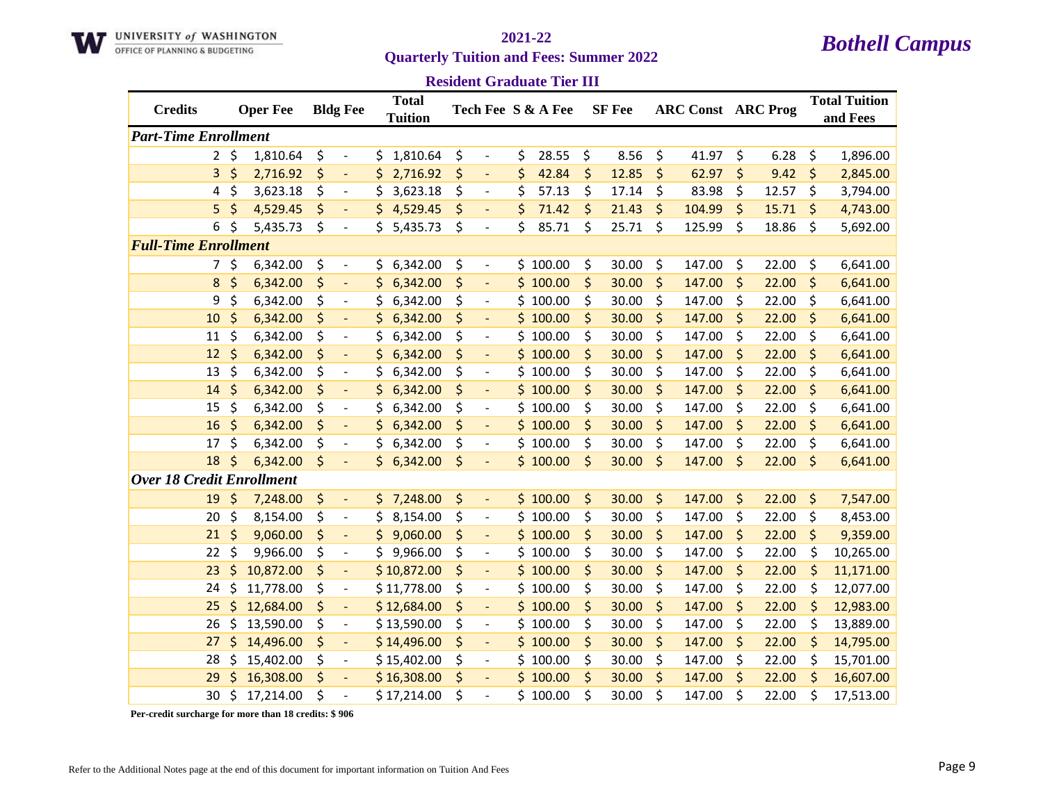

**Resident Graduate Tier III**

| <b>Credits</b>                   | <b>Oper Fee</b> | <b>Bldg Fee</b>                |     | <b>Total</b><br><b>Tuition</b> |                                    | Tech Fee S & A Fee |         | <b>SF</b> Fee |         | <b>ARC Const ARC Prog</b> |             |         | <b>Total Tuition</b><br>and Fees |
|----------------------------------|-----------------|--------------------------------|-----|--------------------------------|------------------------------------|--------------------|---------|---------------|---------|---------------------------|-------------|---------|----------------------------------|
| <b>Part-Time Enrollment</b>      |                 |                                |     |                                |                                    |                    |         |               |         |                           |             |         |                                  |
| $\mathbf{2}$                     | \$<br>1,810.64  | \$<br>$\overline{\phantom{a}}$ | \$  | 1,810.64                       | \$                                 | \$<br>28.55        | \$      | 8.56          | \$      | 41.97                     | \$<br>6.28  | \$      | 1,896.00                         |
| 3                                | \$<br>2,716.92  | \$<br>$\overline{\phantom{a}}$ | \$  | 2,716.92                       | \$<br>$\overline{\phantom{a}}$     | \$<br>42.84        | \$      | 12.85         | $\zeta$ | 62.97                     | \$<br>9.42  | \$      | 2,845.00                         |
| 4                                | \$<br>3,623.18  | \$<br>$\overline{\phantom{a}}$ | \$  | 3,623.18                       | \$<br>$\overline{\phantom{a}}$     | \$<br>57.13        | \$      | 17.14         | \$      | 83.98                     | \$<br>12.57 | \$      | 3,794.00                         |
| 5                                | \$<br>4,529.45  | \$<br>$\overline{\phantom{a}}$ | \$. | 4,529.45                       | \$<br>$\blacksquare$               | \$<br>71.42        | $\zeta$ | 21.43         | $\zeta$ | 104.99                    | \$<br>15.71 | \$      | 4,743.00                         |
| 6                                | \$<br>5,435.73  | \$<br>$\overline{\phantom{a}}$ | \$  | 5,435.73                       | \$<br>$\overline{\phantom{a}}$     | \$<br>85.71        | \$      | 25.71         | \$      | 125.99                    | \$<br>18.86 | \$      | 5,692.00                         |
| <b>Full-Time Enrollment</b>      |                 |                                |     |                                |                                    |                    |         |               |         |                           |             |         |                                  |
| $7^{\circ}$                      | \$<br>6,342.00  | \$<br>$\overline{\phantom{a}}$ | \$  | 6,342.00                       | \$<br>$\overline{\phantom{a}}$     | \$100.00           | \$      | 30.00         | \$      | 147.00                    | \$<br>22.00 | \$      | 6,641.00                         |
| 8                                | \$<br>6,342.00  | \$<br>$\overline{\phantom{a}}$ | \$  | 6,342.00                       | \$<br>$\overline{\phantom{a}}$     | \$100.00           | \$      | 30.00         | $\zeta$ | 147.00                    | \$<br>22.00 | \$      | 6,641.00                         |
| 9                                | \$<br>6,342.00  | \$<br>$\overline{\phantom{a}}$ | \$  | 6,342.00                       | \$<br>$\blacksquare$               | \$100.00           | \$      | 30.00         | \$      | 147.00                    | \$<br>22.00 | \$      | 6,641.00                         |
| 10                               | \$<br>6,342.00  | \$<br>$\overline{\phantom{a}}$ | \$  | 6,342.00                       | \$<br>$\overline{\phantom{a}}$     | \$100.00           | \$      | 30.00         | $\zeta$ | 147.00                    | \$<br>22.00 | \$      | 6,641.00                         |
| 11                               | \$<br>6,342.00  | \$                             | \$  | 6,342.00                       | \$<br>$\blacksquare$               | \$100.00           | \$      | 30.00         | \$      | 147.00                    | \$<br>22.00 | \$      | 6,641.00                         |
| 12                               | \$<br>6,342.00  | \$<br>÷                        | \$  | 6,342.00                       | \$<br>$\blacksquare$               | \$100.00           | \$      | 30.00         | $\zeta$ | 147.00                    | \$<br>22.00 | \$      | 6,641.00                         |
| 13                               | \$<br>6,342.00  | \$<br>$\overline{\phantom{a}}$ | \$  | 6,342.00                       | \$<br>$\overline{\phantom{a}}$     | \$100.00           | \$      | 30.00         | \$      | 147.00                    | \$<br>22.00 | \$      | 6,641.00                         |
| 14                               | \$<br>6,342.00  | \$<br>$\overline{\phantom{a}}$ | \$  | 6,342.00                       | \$<br>$\blacksquare$               | \$100.00           | \$      | 30.00         | $\zeta$ | 147.00                    | \$<br>22.00 | \$      | 6,641.00                         |
| 15                               | \$<br>6,342.00  | \$<br>$\overline{\phantom{a}}$ | \$  | 6,342.00                       | \$<br>$\overline{\phantom{a}}$     | \$100.00           | \$      | 30.00         | \$      | 147.00                    | \$<br>22.00 | \$      | 6,641.00                         |
| 16                               | \$<br>6,342.00  | \$                             | \$  | 6,342.00                       | \$                                 | \$100.00           | \$      | 30.00         | $\zeta$ | 147.00                    | \$<br>22.00 | \$      | 6,641.00                         |
| 17                               | \$<br>6,342.00  | \$<br>$\overline{\phantom{a}}$ | \$  | 6,342.00                       | \$<br>$\qquad \qquad \blacksquare$ | \$100.00           | \$      | 30.00         | \$      | 147.00                    | \$<br>22.00 | \$      | 6,641.00                         |
| 18                               | \$<br>6,342.00  | \$<br>$\blacksquare$           |     | \$6,342.00                     | \$<br>$\blacksquare$               | \$100.00           | \$      | 30.00         | $\zeta$ | 147.00                    | \$<br>22.00 | \$      | 6,641.00                         |
| <b>Over 18 Credit Enrollment</b> |                 |                                |     |                                |                                    |                    |         |               |         |                           |             |         |                                  |
| 19                               | \$<br>7,248.00  | \$<br>$\blacksquare$           |     | \$7,248.00                     | \$<br>$\overline{\phantom{a}}$     | \$100.00           | \$      | 30.00         | \$      | 147.00                    | \$<br>22.00 | \$      | 7,547.00                         |
| 20                               | \$<br>8,154.00  | \$<br>$\overline{\phantom{a}}$ | \$. | 8,154.00                       | \$<br>$\overline{\phantom{a}}$     | \$100.00           | \$      | 30.00         | \$      | 147.00                    | \$<br>22.00 | \$      | 8,453.00                         |
| 21                               | \$<br>9,060.00  | \$<br>$\overline{\phantom{a}}$ |     | 9,060.00                       | \$<br>$\overline{\phantom{a}}$     | \$100.00           | \$      | 30.00         | \$      | 147.00                    | \$<br>22.00 | \$      | 9,359.00                         |
| 22                               | \$<br>9,966.00  | \$<br>$\overline{\phantom{a}}$ | \$  | 9,966.00                       | \$<br>$\overline{\phantom{a}}$     | \$100.00           | \$      | 30.00         | \$      | 147.00                    | \$<br>22.00 | \$      | 10,265.00                        |
| 23                               | \$<br>10,872.00 | \$<br>$\overline{\phantom{a}}$ |     | \$10,872.00                    | \$<br>$\overline{\phantom{a}}$     | \$100.00           | \$      | 30.00         | $\zeta$ | 147.00                    | \$<br>22.00 | $\zeta$ | 11,171.00                        |
| 24                               | \$<br>11,778.00 | \$<br>$\overline{\phantom{a}}$ |     | \$11,778.00                    | \$<br>$\overline{\phantom{a}}$     | \$100.00           | \$      | 30.00         | \$      | 147.00                    | \$<br>22.00 | \$      | 12,077.00                        |
| 25                               | \$<br>12,684.00 | \$<br>$\overline{\phantom{a}}$ |     | \$12,684.00                    | \$                                 | \$100.00           | \$      | 30.00         | \$      | 147.00                    | \$<br>22.00 | \$      | 12,983.00                        |
| 26                               | \$<br>13,590.00 | \$<br>$\overline{\phantom{a}}$ |     | \$13,590.00                    | \$<br>$\overline{\phantom{a}}$     | \$100.00           | \$      | 30.00         | \$      | 147.00                    | \$<br>22.00 | \$      | 13,889.00                        |
| 27                               | \$<br>14,496.00 | \$<br>$\blacksquare$           |     | \$14,496.00                    | \$<br>$\overline{\phantom{a}}$     | \$100.00           | \$      | 30.00         | $\zeta$ | 147.00                    | \$<br>22.00 | \$      | 14,795.00                        |
| 28                               | \$<br>15,402.00 | \$<br>$\overline{\phantom{a}}$ |     | \$15,402.00                    | \$<br>$\overline{\phantom{a}}$     | \$100.00           | \$      | 30.00         | \$      | 147.00                    | \$<br>22.00 | \$      | 15,701.00                        |
| 29                               | \$<br>16,308.00 | \$<br>$\overline{\phantom{a}}$ |     | \$16,308.00                    | \$<br>$\overline{\phantom{a}}$     | \$100.00           | \$      | 30.00         | $\zeta$ | 147.00                    | \$<br>22.00 | \$      | 16,607.00                        |
| 30                               | \$<br>17,214.00 | \$                             |     | \$17,214.00                    | \$                                 | \$100.00           | \$      | 30.00         | \$      | 147.00                    | \$<br>22.00 | \$      | 17,513.00                        |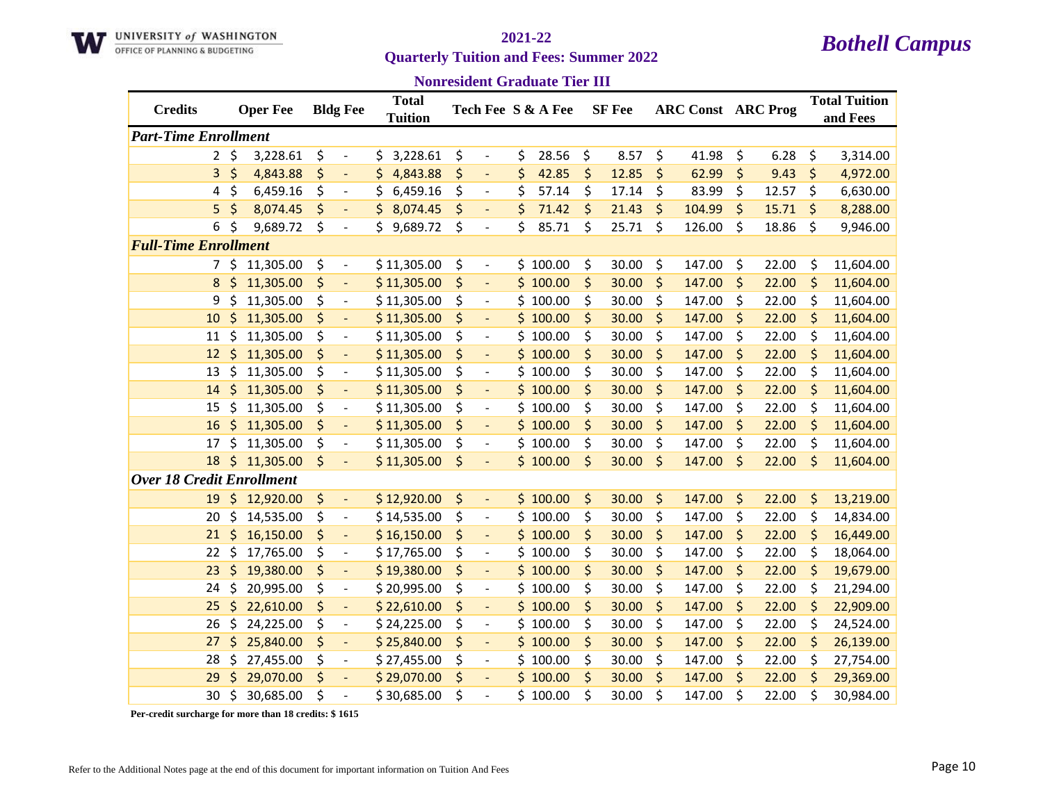

# **Quarterly Tuition and Fees: Summer 2022**

## *Bothell Campus* **2021-22**

### **Nonresident Graduate Tier III**

| <b>Credits</b>                   |         | <b>Oper Fee</b> | <b>Bldg Fee</b>                | <b>Total</b><br><b>Tuition</b> |         |                          | Tech Fee S & A Fee | <b>SF</b> Fee |         | <b>ARC Const ARC Prog</b> |             | <b>Total Tuition</b><br>and Fees |
|----------------------------------|---------|-----------------|--------------------------------|--------------------------------|---------|--------------------------|--------------------|---------------|---------|---------------------------|-------------|----------------------------------|
| <b>Part-Time Enrollment</b>      |         |                 |                                |                                |         |                          |                    |               |         |                           |             |                                  |
| $\overline{2}$                   | $\zeta$ | 3,228.61        | \$<br>$\overline{\phantom{a}}$ | 3,228.61<br>\$                 | \$      | $\overline{a}$           | \$<br>28.56        | \$<br>8.57    | \$      | 41.98                     | \$<br>6.28  | \$<br>3,314.00                   |
| 3                                | \$      | 4,843.88        | \$<br>$\overline{\phantom{0}}$ | \$<br>4,843.88                 | \$      | $\overline{a}$           | \$<br>42.85        | \$<br>12.85   | \$      | 62.99                     | \$<br>9.43  | \$<br>4,972.00                   |
| 4                                | \$      | 6,459.16        | \$<br>$\overline{\phantom{a}}$ | \$<br>6,459.16                 | \$      | $\overline{\phantom{a}}$ | \$<br>57.14        | \$<br>17.14   | \$      | 83.99                     | \$<br>12.57 | \$<br>6,630.00                   |
| 5                                | \$      | 8,074.45        | \$<br>$\overline{\phantom{a}}$ | \$<br>8,074.45                 | \$      | $\blacksquare$           | \$<br>71.42        | \$<br>21.43   | \$      | 104.99                    | \$<br>15.71 | \$<br>8,288.00                   |
| 6                                | \$      | 9,689.72        | \$<br>$\overline{\phantom{a}}$ | 9,689.72<br>\$                 | \$      | $\overline{\phantom{a}}$ | \$<br>85.71        | \$<br>25.71   | \$      | 126.00                    | \$<br>18.86 | \$<br>9,946.00                   |
| <b>Full-Time Enrollment</b>      |         |                 |                                |                                |         |                          |                    |               |         |                           |             |                                  |
| 7                                | \$      | 11,305.00       | \$<br>$\overline{\phantom{a}}$ | \$11,305.00                    | \$      | $\overline{\phantom{a}}$ | \$100.00           | \$<br>30.00   | \$      | 147.00                    | \$<br>22.00 | \$<br>11,604.00                  |
| 8                                | \$      | 11,305.00       | \$<br>$\overline{\phantom{a}}$ | \$11,305.00                    | \$      | $\blacksquare$           | \$100.00           | \$<br>30.00   | \$      | 147.00                    | \$<br>22.00 | \$<br>11,604.00                  |
| 9                                | \$      | 11,305.00       | \$<br>$\overline{\phantom{a}}$ | \$11,305.00                    | \$      | $\blacksquare$           | \$100.00           | \$<br>30.00   | \$      | 147.00                    | \$<br>22.00 | \$<br>11,604.00                  |
| 10                               | \$      | 11,305.00       | \$<br>$\Box$                   | \$11,305.00                    | \$      | $\overline{\phantom{a}}$ | \$100.00           | \$<br>30.00   | \$      | 147.00                    | \$<br>22.00 | \$<br>11,604.00                  |
| 11                               | \$      | 11,305.00       | \$<br>$\overline{\phantom{a}}$ | \$11,305.00                    | \$      | $\overline{\phantom{a}}$ | \$100.00           | \$<br>30.00   | \$      | 147.00                    | \$<br>22.00 | \$<br>11,604.00                  |
| 12                               | \$      | 11,305.00       | \$<br>$\overline{a}$           | \$11,305.00                    | \$      |                          | \$100.00           | \$<br>30.00   | \$      | 147.00                    | \$<br>22.00 | \$<br>11,604.00                  |
| 13                               | \$      | 11,305.00       | \$<br>$\overline{\phantom{a}}$ | \$11,305.00                    | \$      | $\overline{\phantom{a}}$ | \$<br>100.00       | \$<br>30.00   | \$      | 147.00                    | \$<br>22.00 | \$<br>11,604.00                  |
| 14                               | \$      | 11,305.00       | \$<br>$\overline{\phantom{a}}$ | \$11,305.00                    | \$      | $\blacksquare$           | \$100.00           | \$<br>30.00   | \$      | 147.00                    | \$<br>22.00 | \$<br>11,604.00                  |
| 15                               | \$      | 11,305.00       | \$<br>$\overline{\phantom{0}}$ | \$11,305.00                    | \$      | $\overline{\phantom{0}}$ | \$100.00           | \$<br>30.00   | \$      | 147.00                    | \$<br>22.00 | \$<br>11,604.00                  |
| 16                               | \$      | 11,305.00       | \$<br>$\Box$                   | \$11,305.00                    | \$      | $\overline{\phantom{a}}$ | \$100.00           | \$<br>30.00   | $\zeta$ | 147.00                    | \$<br>22.00 | \$<br>11,604.00                  |
| 17                               | \$      | 11,305.00       | \$<br>$\overline{\phantom{a}}$ | \$11,305.00                    | \$      | $\overline{\phantom{a}}$ | \$100.00           | \$<br>30.00   | \$      | 147.00                    | \$<br>22.00 | \$<br>11,604.00                  |
| 18                               | \$      | 11,305.00       | \$                             | \$11,305.00                    | $\zeta$ |                          | \$100.00           | \$<br>30.00   | $\zeta$ | 147.00                    | \$<br>22.00 | \$<br>11,604.00                  |
| <b>Over 18 Credit Enrollment</b> |         |                 |                                |                                |         |                          |                    |               |         |                           |             |                                  |
| 19                               | \$      | 12,920.00       | \$<br>$\overline{\phantom{a}}$ | \$12,920.00                    | \$      | $\overline{\phantom{a}}$ | \$100.00           | \$<br>30.00   | \$      | 147.00                    | \$<br>22.00 | \$<br>13,219.00                  |
| 20                               | \$      | 14,535.00       | \$<br>$\overline{\phantom{a}}$ | \$14,535.00                    | \$      | $\overline{\phantom{a}}$ | \$100.00           | \$<br>30.00   | \$      | 147.00                    | \$<br>22.00 | \$<br>14,834.00                  |
| 21                               | \$      | 16,150.00       | \$<br>$\overline{a}$           | \$16,150.00                    | \$      | $\blacksquare$           | \$100.00           | \$<br>30.00   | \$      | 147.00                    | \$<br>22.00 | \$<br>16,449.00                  |
| 22                               | \$      | 17,765.00       | \$<br>$\overline{\phantom{a}}$ | \$17,765.00                    | \$      | $\overline{\phantom{a}}$ | \$100.00           | \$<br>30.00   | \$      | 147.00                    | \$<br>22.00 | \$<br>18,064.00                  |
| 23                               | \$      | 19,380.00       | \$<br>$\blacksquare$           | \$19,380.00                    | \$      | $\overline{\phantom{a}}$ | \$100.00           | \$<br>30.00   | \$      | 147.00                    | \$<br>22.00 | \$<br>19,679.00                  |
| 24                               | \$      | 20,995.00       | \$<br>$\overline{\phantom{a}}$ | \$20,995.00                    | \$      | $\frac{1}{2}$            | \$100.00           | \$<br>30.00   | \$      | 147.00                    | \$<br>22.00 | \$<br>21,294.00                  |
| 25                               | \$      | 22,610.00       | \$<br>$\blacksquare$           | \$22,610.00                    | \$      | $\Box$                   | \$100.00           | \$<br>30.00   | \$      | 147.00                    | \$<br>22.00 | \$<br>22,909.00                  |
| 26                               | \$      | 24,225.00       | \$<br>$\overline{\phantom{a}}$ | \$24,225.00                    | \$      | $\overline{\phantom{a}}$ | \$100.00           | \$<br>30.00   | \$      | 147.00                    | \$<br>22.00 | \$<br>24,524.00                  |
| 27                               | \$      | 25,840.00       | \$<br>$\overline{\phantom{a}}$ | \$25,840.00                    | \$      |                          | \$100.00           | \$<br>30.00   | \$      | 147.00                    | \$<br>22.00 | \$<br>26,139.00                  |
| 28                               | \$      | 27,455.00       | \$<br>$\overline{\phantom{a}}$ | \$27,455.00                    | \$      | $\overline{\phantom{a}}$ | \$100.00           | \$<br>30.00   | \$      | 147.00                    | \$<br>22.00 | \$<br>27,754.00                  |
| 29                               | Ś       | 29,070.00       | \$<br>$\overline{\phantom{a}}$ | \$29,070.00                    | \$      | $\overline{\phantom{a}}$ | \$100.00           | \$<br>30.00   | \$      | 147.00                    | \$<br>22.00 | \$<br>29,369.00                  |
| 30                               | \$      | 30,685.00       | \$<br>$\overline{a}$           | \$30,685.00                    | \$      |                          | \$100.00           | \$<br>30.00   | \$      | 147.00                    | \$<br>22.00 | \$<br>30,984.00                  |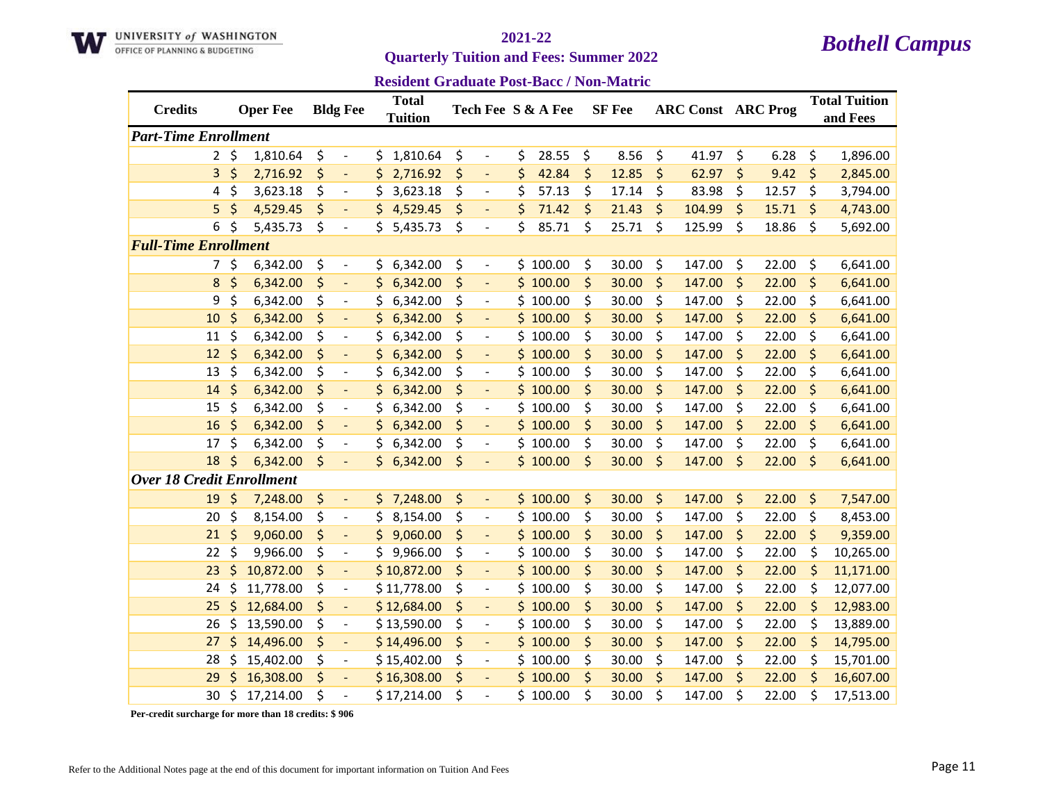

**Quarterly Tuition and Fees: Summer 2022** 

**Resident Graduate Post-Bacc / Non-Matric**

| <b>Credits</b>                   |           | <b>Oper Fee</b> |    | <b>Bldg Fee</b>          |     | <b>Total</b><br><b>Tuition</b> |    |                          | Tech Fee S & A Fee |         | <b>SF</b> Fee | <b>ARC Const ARC Prog</b> |    |       | <b>Total Tuition</b><br>and Fees |
|----------------------------------|-----------|-----------------|----|--------------------------|-----|--------------------------------|----|--------------------------|--------------------|---------|---------------|---------------------------|----|-------|----------------------------------|
| <b>Part-Time Enrollment</b>      |           |                 |    |                          |     |                                |    |                          |                    |         |               |                           |    |       |                                  |
|                                  | $2 \zeta$ | 1,810.64        | \$ | $\overline{\phantom{a}}$ | \$  | 1,810.64                       | \$ | $\overline{\phantom{a}}$ | \$<br>28.55        | \$      | 8.56          | \$<br>41.97               | \$ | 6.28  | \$<br>1,896.00                   |
| 3                                | \$        | 2,716.92        | \$ | $\blacksquare$           | \$  | 2,716.92                       | \$ | $\blacksquare$           | \$<br>42.84        | $\zeta$ | 12.85         | \$<br>62.97               | \$ | 9.42  | \$<br>2,845.00                   |
| 4                                | \$        | 3,623.18        | \$ | $\overline{\phantom{a}}$ | \$  | 3,623.18                       | \$ | $\overline{\phantom{a}}$ | \$<br>57.13        | \$      | 17.14         | \$<br>83.98               | \$ | 12.57 | \$<br>3,794.00                   |
| 5                                | \$        | 4,529.45        | \$ |                          |     | \$4,529.45                     | \$ |                          | \$<br>71.42        | \$      | 21.43         | \$<br>104.99              | \$ | 15.71 | \$<br>4,743.00                   |
| 6                                | Ś.        | 5,435.73        | \$ | $\overline{\phantom{a}}$ | \$. | 5,435.73                       | \$ | $\overline{\phantom{a}}$ | \$<br>85.71        | \$      | 25.71         | \$<br>125.99              | \$ | 18.86 | \$<br>5,692.00                   |
| <b>Full-Time Enrollment</b>      |           |                 |    |                          |     |                                |    |                          |                    |         |               |                           |    |       |                                  |
| 7                                | \$        | 6,342.00        | \$ | $\overline{\phantom{0}}$ | \$  | 6,342.00                       | \$ | $\overline{\phantom{a}}$ | \$100.00           | \$      | 30.00         | \$<br>147.00              | \$ | 22.00 | \$<br>6,641.00                   |
| 8                                | \$        | 6,342.00        | \$ |                          | \$. | 6,342.00                       | \$ |                          | \$100.00           | \$      | 30.00         | \$<br>147.00              | \$ | 22.00 | \$<br>6,641.00                   |
| 9                                | \$        | 6,342.00        | \$ | $\overline{\phantom{a}}$ | \$  | 6,342.00                       | \$ | $\overline{\phantom{a}}$ | \$100.00           | \$      | 30.00         | \$<br>147.00              | \$ | 22.00 | \$<br>6,641.00                   |
| 10                               | \$        | 6,342.00        | \$ | $\overline{\phantom{a}}$ | \$  | 6,342.00                       | \$ | $\overline{\phantom{a}}$ | \$100.00           | \$      | 30.00         | \$<br>147.00              | \$ | 22.00 | \$<br>6,641.00                   |
| 11                               | \$        | 6,342.00        | \$ | $\overline{\phantom{a}}$ | \$  | 6,342.00                       | \$ | $\overline{\phantom{a}}$ | \$100.00           | \$      | 30.00         | \$<br>147.00              | \$ | 22.00 | \$<br>6,641.00                   |
| 12                               | \$        | 6,342.00        | \$ | $\Box$                   | \$  | 6,342.00                       | \$ | $\blacksquare$           | \$100.00           | \$      | 30.00         | \$<br>147.00              | \$ | 22.00 | \$<br>6,641.00                   |
| 13                               | \$        | 6,342.00        | \$ | $\overline{a}$           | \$  | 6,342.00                       | \$ |                          | \$100.00           | \$      | 30.00         | \$<br>147.00              | \$ | 22.00 | \$<br>6,641.00                   |
| 14                               | \$        | 6,342.00        | \$ |                          | \$  | 6,342.00                       | \$ |                          | \$100.00           | \$      | 30.00         | \$<br>147.00              | \$ | 22.00 | \$<br>6,641.00                   |
| 15                               | \$        | 6,342.00        | \$ | $\overline{\phantom{a}}$ | \$  | 6,342.00                       | \$ | $\overline{\phantom{a}}$ | \$100.00           | \$      | 30.00         | \$<br>147.00              | \$ | 22.00 | \$<br>6,641.00                   |
| 16                               | \$        | 6,342.00        | \$ | $\blacksquare$           | \$  | 6,342.00                       | \$ | $\blacksquare$           | \$100.00           | \$      | 30.00         | \$<br>147.00              | \$ | 22.00 | \$<br>6,641.00                   |
| 17                               | \$        | 6,342.00        | \$ | $\overline{\phantom{a}}$ | \$  | 6,342.00                       | \$ | $\overline{\phantom{a}}$ | \$100.00           | \$      | 30.00         | \$<br>147.00              | \$ | 22.00 | \$<br>6,641.00                   |
| 18                               | \$        | 6,342.00        | \$ | $\overline{\phantom{a}}$ |     | \$6,342.00                     | \$ | $\overline{\phantom{a}}$ | \$100.00           | \$      | 30.00         | \$<br>147.00              | \$ | 22.00 | \$<br>6,641.00                   |
| <b>Over 18 Credit Enrollment</b> |           |                 |    |                          |     |                                |    |                          |                    |         |               |                           |    |       |                                  |
| 19                               | \$        | 7,248.00        | \$ | $\blacksquare$           |     | \$7,248.00                     | \$ | $\blacksquare$           | \$100.00           | \$      | 30.00         | \$<br>147.00              | \$ | 22.00 | \$<br>7,547.00                   |
| 20                               | \$        | 8,154.00        | \$ | $\blacksquare$           | \$  | 8,154.00                       | \$ | $\overline{\phantom{a}}$ | \$100.00           | \$      | 30.00         | \$<br>147.00              | \$ | 22.00 | \$<br>8,453.00                   |
| 21                               | \$        | 9,060.00        | \$ | $\blacksquare$           | \$. | 9,060.00                       | \$ | $\blacksquare$           | \$100.00           | \$      | 30.00         | \$<br>147.00              | \$ | 22.00 | \$<br>9,359.00                   |
| 22                               | \$        | 9,966.00        | \$ | $\overline{a}$           | \$. | 9,966.00                       | \$ | $\overline{\phantom{a}}$ | \$100.00           | \$      | 30.00         | \$<br>147.00              | \$ | 22.00 | \$<br>10,265.00                  |
| 23                               | \$        | 10,872.00       | \$ | $\blacksquare$           |     | \$10,872.00                    | \$ | $\blacksquare$           | \$100.00           | \$      | 30.00         | \$<br>147.00              | \$ | 22.00 | \$<br>11,171.00                  |
| 24                               | \$        | 11,778.00       | \$ | $\overline{\phantom{a}}$ |     | \$11,778.00                    | \$ | $\overline{\phantom{a}}$ | \$100.00           | \$      | 30.00         | \$<br>147.00              | \$ | 22.00 | \$<br>12,077.00                  |
| 25                               | \$        | 12,684.00       | \$ | $\blacksquare$           |     | \$12,684.00                    | \$ | $\overline{\phantom{a}}$ | \$100.00           | \$      | 30.00         | \$<br>147.00              | \$ | 22.00 | \$<br>12,983.00                  |
| 26                               | \$        | 13,590.00       | \$ | $\overline{\phantom{a}}$ |     | \$13,590.00                    | \$ | $\overline{\phantom{a}}$ | \$100.00           | \$      | 30.00         | \$<br>147.00              | \$ | 22.00 | \$<br>13,889.00                  |
| 27                               | \$        | 14,496.00       | \$ | $\overline{\phantom{a}}$ |     | \$14,496.00                    | \$ |                          | \$100.00           | \$      | 30.00         | \$<br>147.00              | \$ | 22.00 | \$<br>14,795.00                  |
| 28                               | \$        | 15,402.00       | \$ | $\overline{\phantom{a}}$ |     | \$15,402.00                    | \$ | $\overline{\phantom{a}}$ | \$100.00           | \$      | 30.00         | \$<br>147.00              | \$ | 22.00 | \$<br>15,701.00                  |
| 29                               | Ś         | 16,308.00       | \$ | $\blacksquare$           |     | \$16,308.00                    | \$ | $\overline{\phantom{a}}$ | \$100.00           | \$      | 30.00         | \$<br>147.00              | \$ | 22.00 | \$<br>16,607.00                  |
| 30                               | \$        | 17,214.00       | Ś  | $\overline{a}$           |     | \$17,214.00                    | Ś  |                          | \$100.00           | Ś.      | 30.00         | \$<br>147.00              | Ś  | 22.00 | \$<br>17,513.00                  |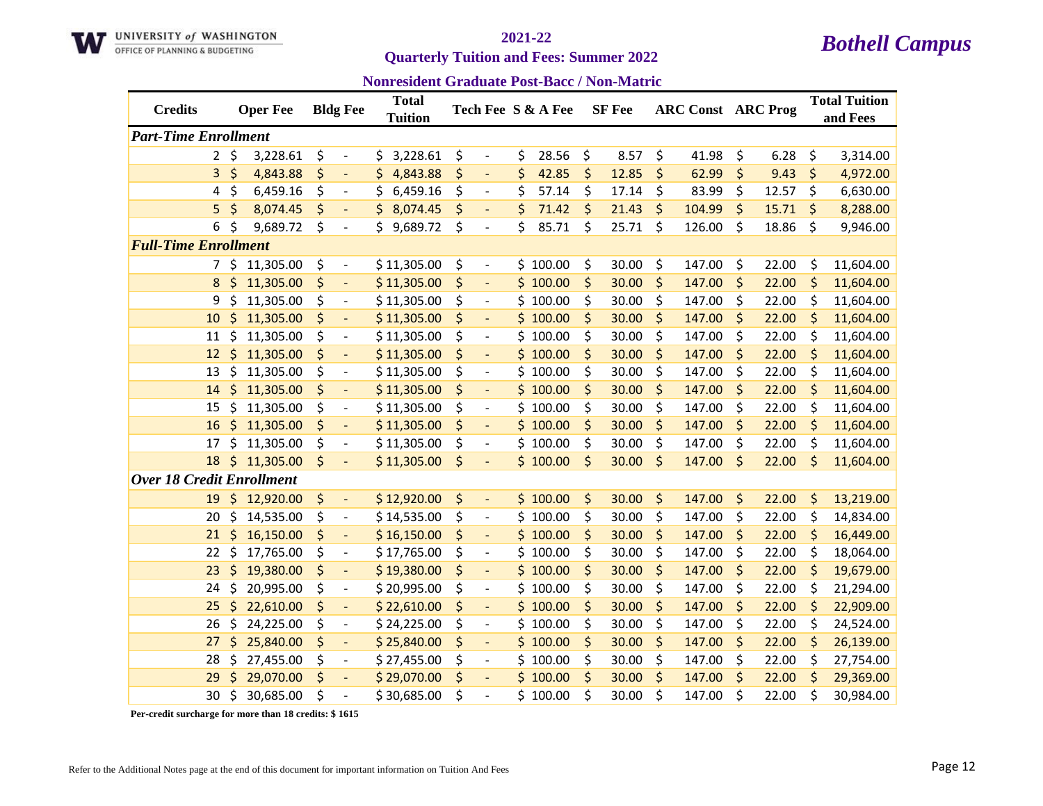

**Quarterly Tuition and Fees: Summer 2022** 

**Nonresident Graduate Post-Bacc / Non-Matric**

| <b>Credits</b>                   |         | <b>Oper Fee</b> | <b>Bldg Fee</b>                | <b>Total</b><br>Tuition |                                    | Tech Fee S & A Fee | <b>SF</b> Fee |         | <b>ARC Const ARC Prog</b> |             | <b>Total Tuition</b><br>and Fees |
|----------------------------------|---------|-----------------|--------------------------------|-------------------------|------------------------------------|--------------------|---------------|---------|---------------------------|-------------|----------------------------------|
| <b>Part-Time Enrollment</b>      |         |                 |                                |                         |                                    |                    |               |         |                           |             |                                  |
| $2^{\circ}$                      | $\zeta$ | 3,228.61        | \$<br>$\overline{\phantom{a}}$ | 3,228.61<br>\$          | \$<br>$\overline{\phantom{a}}$     | \$<br>28.56        | \$<br>8.57    | \$      | 41.98                     | \$<br>6.28  | \$<br>3,314.00                   |
| 3                                | \$      | 4,843.88        | \$<br>$\blacksquare$           | 4,843.88<br>\$          | \$<br>$\blacksquare$               | \$<br>42.85        | \$<br>12.85   | \$      | 62.99                     | \$<br>9.43  | \$<br>4,972.00                   |
| 4                                | \$      | 6,459.16        | \$<br>$\overline{\phantom{a}}$ | \$<br>6,459.16          | \$<br>$\overline{\phantom{a}}$     | \$<br>57.14        | \$<br>17.14   | \$      | 83.99                     | \$<br>12.57 | \$<br>6,630.00                   |
| 5                                | \$      | 8,074.45        | \$                             | \$<br>8,074.45          | \$                                 | \$<br>71.42        | \$<br>21.43   | \$      | 104.99                    | \$<br>15.71 | \$<br>8,288.00                   |
| 6                                | \$      | 9,689.72        | \$<br>$\overline{\phantom{a}}$ | \$.<br>9,689.72         | \$<br>$\overline{\phantom{a}}$     | \$<br>85.71        | \$<br>25.71   | \$      | 126.00                    | \$<br>18.86 | \$<br>9,946.00                   |
| <b>Full-Time Enrollment</b>      |         |                 |                                |                         |                                    |                    |               |         |                           |             |                                  |
|                                  | 7\$     | 11,305.00       | \$<br>$\overline{\phantom{a}}$ | \$11,305.00             | \$<br>$\qquad \qquad \blacksquare$ | \$100.00           | \$<br>30.00   | \$      | 147.00                    | \$<br>22.00 | \$<br>11,604.00                  |
| 8                                | \$      | 11,305.00       | \$<br>$\blacksquare$           | \$11,305.00             | \$                                 | \$100.00           | \$<br>30.00   | \$      | 147.00                    | \$<br>22.00 | \$<br>11,604.00                  |
| 9                                | \$      | 11,305.00       | \$<br>$\overline{\phantom{a}}$ | \$11,305.00             | \$<br>$\overline{\phantom{a}}$     | \$100.00           | \$<br>30.00   | \$      | 147.00                    | \$<br>22.00 | \$<br>11,604.00                  |
| 10                               | \$      | 11,305.00       | \$<br>$\blacksquare$           | \$11,305.00             | \$<br>$\blacksquare$               | \$100.00           | \$<br>30.00   | \$      | 147.00                    | \$<br>22.00 | \$<br>11,604.00                  |
| 11                               | \$      | 11,305.00       | \$<br>$\overline{\phantom{a}}$ | \$11,305.00             | \$<br>$\blacksquare$               | \$100.00           | \$<br>30.00   | \$      | 147.00                    | \$<br>22.00 | \$<br>11,604.00                  |
| 12                               | $\zeta$ | 11,305.00       | \$<br>$\blacksquare$           | \$11,305.00             | \$<br>$\overline{\phantom{a}}$     | \$100.00           | \$<br>30.00   | \$      | 147.00                    | \$<br>22.00 | \$<br>11,604.00                  |
| 13                               | \$      | 11,305.00       | \$<br>$\overline{a}$           | \$11,305.00             | \$<br>$\overline{\phantom{a}}$     | \$100.00           | \$<br>30.00   | \$      | 147.00                    | \$<br>22.00 | \$<br>11,604.00                  |
| 14                               | \$      | 11,305.00       | \$<br>$\overline{a}$           | \$11,305.00             | \$<br>$\overline{\phantom{a}}$     | \$100.00           | \$<br>30.00   | \$      | 147.00                    | \$<br>22.00 | \$<br>11,604.00                  |
| 15                               | \$      | 11,305.00       | \$<br>$\overline{\phantom{a}}$ | \$11,305.00             | \$<br>$\overline{\phantom{a}}$     | \$100.00           | \$<br>30.00   | \$      | 147.00                    | \$<br>22.00 | \$<br>11,604.00                  |
| 16                               | \$      | 11,305.00       | \$<br>$\blacksquare$           | \$11,305.00             | \$<br>$\blacksquare$               | \$100.00           | \$<br>30.00   | \$      | 147.00                    | \$<br>22.00 | \$<br>11,604.00                  |
| 17                               | \$      | 11,305.00       | \$<br>$\overline{\phantom{a}}$ | \$11,305.00             | \$<br>$\overline{\phantom{a}}$     | \$100.00           | \$<br>30.00   | \$      | 147.00                    | \$<br>22.00 | \$<br>11,604.00                  |
| 18                               | \$      | 11,305.00       | \$                             | \$11,305.00             | \$                                 | \$100.00           | \$<br>30.00   | $\zeta$ | 147.00                    | \$<br>22.00 | \$<br>11,604.00                  |
| <b>Over 18 Credit Enrollment</b> |         |                 |                                |                         |                                    |                    |               |         |                           |             |                                  |
| 19                               | $\zeta$ | 12,920.00       | \$<br>$\blacksquare$           | \$12,920.00             | \$<br>$\blacksquare$               | \$100.00           | \$<br>30.00   | \$      | 147.00                    | \$<br>22.00 | \$<br>13,219.00                  |
| 20                               | \$      | 14,535.00       | \$<br>$\blacksquare$           | \$14,535.00             | \$<br>$\overline{\phantom{a}}$     | \$100.00           | \$<br>30.00   | \$      | 147.00                    | \$<br>22.00 | \$<br>14,834.00                  |
| 21                               | \$      | 16,150.00       | \$<br>$\overline{\phantom{a}}$ | \$16,150.00             | \$<br>$\overline{\phantom{a}}$     | \$100.00           | \$<br>30.00   | \$      | 147.00                    | \$<br>22.00 | \$<br>16,449.00                  |
| 22                               | \$      | 17,765.00       | \$<br>$\overline{a}$           | \$17,765.00             | \$<br>$\overline{\phantom{a}}$     | \$100.00           | \$<br>30.00   | \$      | 147.00                    | \$<br>22.00 | \$<br>18,064.00                  |
| 23                               | \$      | 19,380.00       | \$<br>$\blacksquare$           | \$19,380.00             | \$<br>$\overline{\phantom{a}}$     | \$100.00           | \$<br>30.00   | \$      | 147.00                    | \$<br>22.00 | \$<br>19,679.00                  |
| 24                               | \$      | 20,995.00       | \$<br>$\overline{\phantom{a}}$ | \$20,995.00             | \$<br>$\overline{\phantom{a}}$     | \$100.00           | \$<br>30.00   | \$      | 147.00                    | \$<br>22.00 | \$<br>21,294.00                  |
| 25                               | \$      | 22,610.00       | \$<br>$\Box$                   | \$22,610.00             | \$<br>$\blacksquare$               | \$100.00           | \$<br>30.00   | \$      | 147.00                    | \$<br>22.00 | \$<br>22,909.00                  |
| 26                               | \$      | 24,225.00       | \$<br>$\overline{\phantom{a}}$ | \$24,225.00             | \$<br>$\overline{\phantom{a}}$     | \$100.00           | \$<br>30.00   | \$      | 147.00                    | \$<br>22.00 | \$<br>24,524.00                  |
| 27                               | \$      | 25,840.00       | \$<br>$\overline{\phantom{a}}$ | \$25,840.00             | \$                                 | \$100.00           | \$<br>30.00   | \$      | 147.00                    | \$<br>22.00 | \$<br>26,139.00                  |
| 28                               | \$      | 27,455.00       | \$<br>$\overline{\phantom{a}}$ | \$27,455.00             | \$<br>$\overline{\phantom{a}}$     | \$100.00           | \$<br>30.00   | \$      | 147.00                    | \$<br>22.00 | \$<br>27,754.00                  |
| 29                               | \$      | 29,070.00       | \$<br>$\overline{\phantom{a}}$ | \$29,070.00             | \$<br>$\blacksquare$               | \$100.00           | \$<br>30.00   | \$      | 147.00                    | \$<br>22.00 | \$<br>29,369.00                  |
| 30                               | \$      | 30,685.00       | \$                             | \$30,685.00             | \$                                 | \$100.00           | \$<br>30.00   | \$      | 147.00                    | \$<br>22.00 | \$<br>30,984.00                  |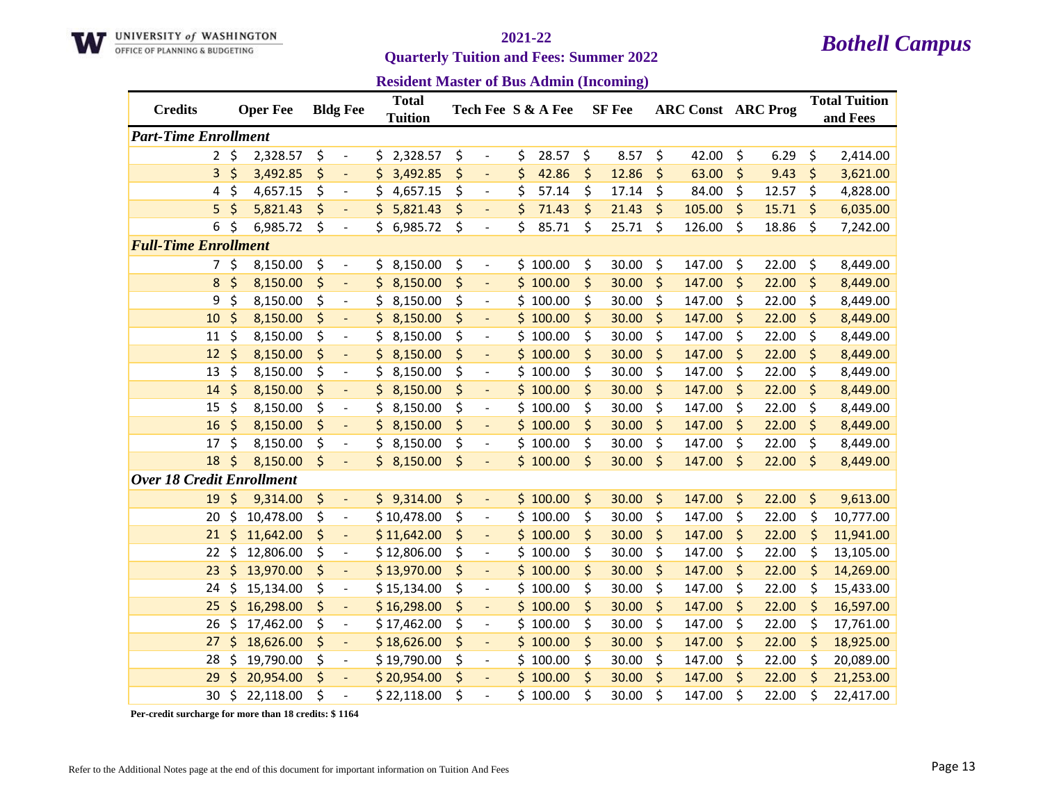

**Quarterly Tuition and Fees: Summer 2022** 

**Resident Master of Bus Admin (Incoming)**

| <b>Credits</b>                   |           | <b>Oper Fee</b> |    | <b>Bldg Fee</b>          |     | <b>Total</b><br><b>Tuition</b> |    |                              | Tech Fee S & A Fee |    | <b>SF</b> Fee | <b>ARC Const ARC Prog</b> |         |       | <b>Total Tuition</b><br>and Fees |
|----------------------------------|-----------|-----------------|----|--------------------------|-----|--------------------------------|----|------------------------------|--------------------|----|---------------|---------------------------|---------|-------|----------------------------------|
| <b>Part-Time Enrollment</b>      |           |                 |    |                          |     |                                |    |                              |                    |    |               |                           |         |       |                                  |
|                                  | $2 \;$ \$ | 2,328.57        | \$ | $\overline{\phantom{a}}$ | \$. | 2,328.57                       | \$ | $\blacksquare$               | \$<br>28.57        | \$ | 8.57          | \$<br>42.00               | \$      | 6.29  | \$<br>2,414.00                   |
| 3                                | \$        | 3,492.85        | \$ | $\blacksquare$           | Ś.  | 3,492.85                       | \$ | $\overline{\phantom{a}}$     | \$<br>42.86        | \$ | 12.86         | \$<br>63.00               | \$      | 9.43  | \$<br>3,621.00                   |
| 4                                | \$        | 4,657.15        | \$ | $\overline{\phantom{a}}$ | \$  | 4,657.15                       | \$ | $\overline{\phantom{a}}$     | \$<br>57.14        | \$ | 17.14         | \$<br>84.00               | \$      | 12.57 | \$<br>4,828.00                   |
| 5                                | \$        | 5,821.43        | \$ |                          | \$  | 5,821.43                       | \$ |                              | \$<br>71.43        | \$ | 21.43         | \$<br>105.00              | \$      | 15.71 | \$<br>6,035.00                   |
| 6                                | \$        | 6,985.72        | \$ | $\overline{\phantom{a}}$ | \$. | 6,985.72                       | \$ | $\overline{\phantom{a}}$     | \$<br>85.71        | \$ | 25.71         | \$<br>126.00              | \$      | 18.86 | \$<br>7,242.00                   |
| <b>Full-Time Enrollment</b>      |           |                 |    |                          |     |                                |    |                              |                    |    |               |                           |         |       |                                  |
| 7                                | \$        | 8,150.00        | \$ | $\overline{\phantom{a}}$ | \$. | 8,150.00                       | \$ | $\qquad \qquad \blacksquare$ | \$100.00           | \$ | 30.00         | \$<br>147.00              | \$      | 22.00 | \$<br>8,449.00                   |
| 8                                | \$        | 8,150.00        | \$ | $\overline{a}$           | \$  | 8,150.00                       | \$ |                              | \$100.00           | \$ | 30.00         | \$<br>147.00              | \$      | 22.00 | \$<br>8,449.00                   |
| 9                                | \$        | 8,150.00        | \$ | $\overline{\phantom{a}}$ | \$  | 8,150.00                       | \$ | $\overline{\phantom{a}}$     | \$100.00           | \$ | 30.00         | \$<br>147.00              | \$      | 22.00 | \$<br>8,449.00                   |
| 10                               | \$        | 8,150.00        | \$ | $\blacksquare$           |     | 8,150.00                       | \$ | $\blacksquare$               | \$100.00           | \$ | 30.00         | \$<br>147.00              | \$      | 22.00 | \$<br>8,449.00                   |
| 11                               | \$        | 8,150.00        | \$ | $\overline{\phantom{a}}$ | \$  | 8,150.00                       | \$ | $\overline{\phantom{a}}$     | \$100.00           | \$ | 30.00         | \$<br>147.00              | \$      | 22.00 | \$<br>8,449.00                   |
| 12                               | \$        | 8,150.00        | \$ | $\Box$                   | \$  | 8,150.00                       | \$ | $\blacksquare$               | \$100.00           | \$ | 30.00         | \$<br>147.00              | \$      | 22.00 | \$<br>8,449.00                   |
| 13                               | \$        | 8,150.00        | \$ | $\overline{a}$           | \$  | 8,150.00                       | \$ |                              | \$100.00           | \$ | 30.00         | \$<br>147.00              | \$      | 22.00 | \$<br>8,449.00                   |
| 14                               | \$        | 8,150.00        | \$ | $\overline{\phantom{a}}$ | \$. | 8,150.00                       | \$ |                              | \$100.00           | \$ | 30.00         | \$<br>147.00              | \$      | 22.00 | \$<br>8,449.00                   |
| 15                               | \$        | 8,150.00        | \$ | $\overline{\phantom{a}}$ | \$  | 8,150.00                       | \$ | $\qquad \qquad \blacksquare$ | \$100.00           | \$ | 30.00         | \$<br>147.00              | \$      | 22.00 | \$<br>8,449.00                   |
| 16                               | \$        | 8,150.00        | \$ | $\overline{\phantom{a}}$ | \$  | 8,150.00                       | \$ | $\overline{\phantom{a}}$     | \$100.00           | \$ | 30.00         | \$<br>147.00              | \$      | 22.00 | \$<br>8,449.00                   |
| 17                               | \$        | 8,150.00        | \$ | $\overline{\phantom{a}}$ | Ś.  | 8,150.00                       | \$ | $\overline{\phantom{a}}$     | \$100.00           | \$ | 30.00         | \$<br>147.00              | \$      | 22.00 | \$<br>8,449.00                   |
| 18                               | \$        | 8,150.00        | \$ | ÷,                       |     | \$3,150.00                     | \$ |                              | \$100.00           | \$ | 30.00         | \$<br>147.00              | \$      | 22.00 | \$<br>8,449.00                   |
| <b>Over 18 Credit Enrollment</b> |           |                 |    |                          |     |                                |    |                              |                    |    |               |                           |         |       |                                  |
| 19                               | \$        | 9,314.00        | \$ | $\blacksquare$           |     | \$9,314.00                     | \$ | $\overline{\phantom{a}}$     | \$100.00           | \$ | 30.00         | \$<br>147.00              | $\zeta$ | 22.00 | \$<br>9,613.00                   |
| 20                               | \$        | 10,478.00       | \$ | $\overline{\phantom{a}}$ |     | \$10,478.00                    | \$ | $\overline{\phantom{a}}$     | \$100.00           | \$ | 30.00         | \$<br>147.00              | \$      | 22.00 | \$<br>10,777.00                  |
| 21                               | \$        | 11,642.00       | \$ | $\overline{\phantom{a}}$ |     | \$11,642.00                    | \$ | $\overline{\phantom{a}}$     | \$100.00           | \$ | 30.00         | \$<br>147.00              | \$      | 22.00 | \$<br>11,941.00                  |
| 22                               | \$        | 12,806.00       | \$ | $\overline{\phantom{a}}$ |     | \$12,806.00                    | \$ | $\overline{\phantom{a}}$     | \$100.00           | \$ | 30.00         | \$<br>147.00              | \$      | 22.00 | \$<br>13,105.00                  |
| 23                               | \$        | 13,970.00       | \$ | $\overline{\phantom{a}}$ |     | \$13,970.00                    | \$ | $\blacksquare$               | \$100.00           | \$ | 30.00         | \$<br>147.00              | \$      | 22.00 | \$<br>14,269.00                  |
| 24                               | \$        | 15,134.00       | \$ | $\overline{\phantom{a}}$ |     | \$15,134.00                    | \$ | $\overline{\phantom{a}}$     | \$100.00           | \$ | 30.00         | \$<br>147.00              | \$      | 22.00 | \$<br>15,433.00                  |
| 25                               | \$        | 16,298.00       | \$ | $\blacksquare$           |     | \$16,298.00                    | \$ | $\Box$                       | \$100.00           | \$ | 30.00         | \$<br>147.00              | \$      | 22.00 | \$<br>16,597.00                  |
| 26                               | \$        | 17,462.00       | \$ | $\overline{\phantom{a}}$ |     | \$17,462.00                    | \$ | $\overline{\phantom{a}}$     | \$100.00           | \$ | 30.00         | \$<br>147.00              | \$      | 22.00 | \$<br>17,761.00                  |
| 27                               | \$        | 18,626.00       | \$ | $\overline{a}$           |     | \$18,626.00                    | \$ |                              | \$100.00           | \$ | 30.00         | \$<br>147.00              | \$      | 22.00 | \$<br>18,925.00                  |
| 28                               | \$        | 19,790.00       | \$ | $\overline{\phantom{a}}$ |     | \$19,790.00                    | \$ | $\overline{\phantom{a}}$     | \$100.00           | \$ | 30.00         | \$<br>147.00              | \$      | 22.00 | \$<br>20,089.00                  |
| 29                               | Ś         | 20,954.00       | \$ | $\overline{\phantom{a}}$ |     | \$20,954.00                    | \$ | $\overline{\phantom{a}}$     | \$100.00           | \$ | 30.00         | \$<br>147.00              | \$      | 22.00 | \$<br>21,253.00                  |
| 30                               | \$        | 22,118.00       | Ś  | $\overline{a}$           |     | \$22,118.00                    | Ś  |                              | \$100.00           | Ś  | 30.00         | \$<br>147.00              | \$      | 22.00 | \$<br>22,417.00                  |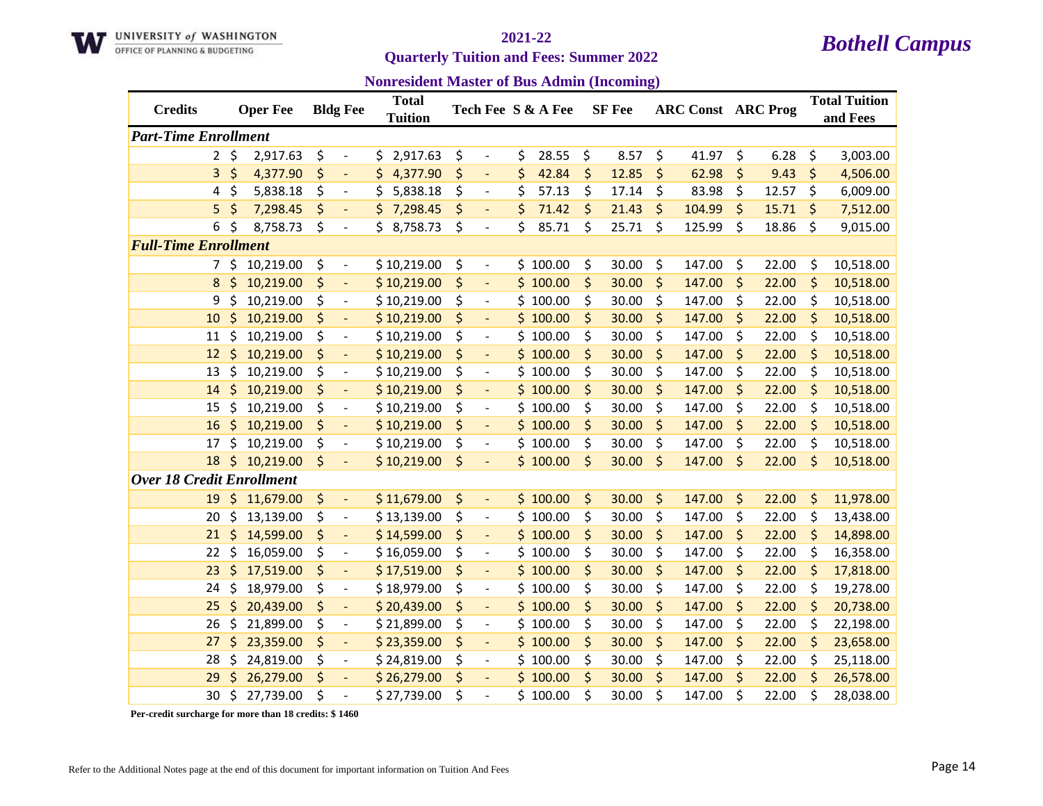

### **Quarterly Tuition and Fees: Summer 2022**

**Nonresident Master of Bus Admin (Incoming)**

| <b>Credits</b>                   |           | <b>Oper Fee</b> | <b>Bldg Fee</b>                | <b>Total</b><br>Tuition |                                | Tech Fee S & A Fee | <b>SF</b> Fee |         | <b>ARC Const ARC Prog</b> |             | <b>Total Tuition</b><br>and Fees |
|----------------------------------|-----------|-----------------|--------------------------------|-------------------------|--------------------------------|--------------------|---------------|---------|---------------------------|-------------|----------------------------------|
| <b>Part-Time Enrollment</b>      |           |                 |                                |                         |                                |                    |               |         |                           |             |                                  |
|                                  | $2 \;$ \$ | 2,917.63        | \$<br>$\overline{\phantom{a}}$ | \$2,917.63              | \$<br>$\overline{\phantom{a}}$ | \$<br>28.55        | \$<br>8.57    | \$      | 41.97                     | \$<br>6.28  | \$<br>3,003.00                   |
| 3                                | \$        | 4,377.90        | \$<br>$\blacksquare$           | \$.<br>4,377.90         | \$<br>$\Box$                   | \$<br>42.84        | \$<br>12.85   | \$      | 62.98                     | \$<br>9.43  | \$<br>4,506.00                   |
| 4                                | \$        | 5,838.18        | \$<br>$\blacksquare$           | \$<br>5,838.18          | \$<br>$\overline{\phantom{a}}$ | \$<br>57.13        | \$<br>17.14   | \$      | 83.98                     | \$<br>12.57 | \$<br>6,009.00                   |
| 5                                | \$        | 7,298.45        | \$                             | \$<br>7,298.45          | \$                             | \$<br>71.42        | \$<br>21.43   | \$      | 104.99                    | \$<br>15.71 | \$<br>7,512.00                   |
| 6                                | \$        | 8,758.73        | \$<br>$\overline{\phantom{a}}$ | \$.<br>8,758.73         | \$<br>$\overline{\phantom{a}}$ | \$<br>85.71        | \$<br>25.71   | \$      | 125.99                    | \$<br>18.86 | \$<br>9,015.00                   |
| <b>Full-Time Enrollment</b>      |           |                 |                                |                         |                                |                    |               |         |                           |             |                                  |
|                                  | 7\$       | 10,219.00       | \$<br>$\overline{\phantom{a}}$ | \$10,219.00             | \$<br>$\overline{\phantom{a}}$ | \$100.00           | \$<br>30.00   | \$      | 147.00                    | \$<br>22.00 | \$<br>10,518.00                  |
| 8                                | \$        | 10,219.00       | \$<br>$\overline{a}$           | \$10,219.00             | \$                             | \$100.00           | \$<br>30.00   | \$      | 147.00                    | \$<br>22.00 | \$<br>10,518.00                  |
| 9                                | \$        | 10,219.00       | \$<br>$\overline{\phantom{a}}$ | \$10,219.00             | \$<br>$\overline{\phantom{a}}$ | \$100.00           | \$<br>30.00   | \$      | 147.00                    | \$<br>22.00 | \$<br>10,518.00                  |
| 10                               | \$        | 10,219.00       | \$<br>$\blacksquare$           | \$10,219.00             | \$<br>$\blacksquare$           | \$100.00           | \$<br>30.00   | \$      | 147.00                    | \$<br>22.00 | \$<br>10,518.00                  |
| 11                               | \$        | 10,219.00       | \$<br>$\overline{\phantom{a}}$ | \$10,219.00             | \$<br>$\overline{\phantom{a}}$ | \$100.00           | \$<br>30.00   | \$      | 147.00                    | \$<br>22.00 | \$<br>10,518.00                  |
| 12                               | \$        | 10,219.00       | \$<br>$\Box$                   | \$10,219.00             | \$<br>$\blacksquare$           | \$100.00           | \$<br>30.00   | \$      | 147.00                    | \$<br>22.00 | \$<br>10,518.00                  |
| 13                               | \$        | 10,219.00       | \$<br>$\overline{a}$           | \$10,219.00             | \$<br>$\overline{\phantom{a}}$ | \$100.00           | \$<br>30.00   | \$      | 147.00                    | \$<br>22.00 | \$<br>10,518.00                  |
| 14                               | \$        | 10,219.00       | \$<br>$\overline{a}$           | \$10,219.00             | \$                             | \$100.00           | \$<br>30.00   | \$      | 147.00                    | \$<br>22.00 | \$<br>10,518.00                  |
| 15                               | \$        | 10,219.00       | \$<br>$\overline{\phantom{a}}$ | \$10,219.00             | \$<br>$\overline{\phantom{a}}$ | \$100.00           | \$<br>30.00   | \$      | 147.00                    | \$<br>22.00 | \$<br>10,518.00                  |
| 16                               | \$        | 10,219.00       | \$<br>$\blacksquare$           | \$10,219.00             | \$<br>$\blacksquare$           | \$100.00           | \$<br>30.00   | \$      | 147.00                    | \$<br>22.00 | \$<br>10,518.00                  |
| 17                               | \$        | 10,219.00       | \$<br>$\blacksquare$           | \$10,219.00             | \$<br>$\overline{\phantom{a}}$ | \$100.00           | \$<br>30.00   | \$      | 147.00                    | \$<br>22.00 | \$<br>10,518.00                  |
| 18                               | \$        | 10,219.00       | \$<br>$\overline{\phantom{a}}$ | \$10,219.00             | \$<br>$\overline{\phantom{a}}$ | \$100.00           | \$<br>30.00   | $\zeta$ | 147.00                    | \$<br>22.00 | \$<br>10,518.00                  |
| <b>Over 18 Credit Enrollment</b> |           |                 |                                |                         |                                |                    |               |         |                           |             |                                  |
| 19                               | \$        | 11,679.00       | \$<br>$\blacksquare$           | \$11,679.00             | \$<br>$\overline{\phantom{a}}$ | \$100.00           | \$<br>30.00   | \$      | 147.00                    | \$<br>22.00 | \$<br>11,978.00                  |
| 20                               | \$        | 13,139.00       | \$<br>$\overline{\phantom{a}}$ | \$13,139.00             | \$<br>$\overline{\phantom{a}}$ | \$100.00           | \$<br>30.00   | \$      | 147.00                    | \$<br>22.00 | \$<br>13,438.00                  |
| 21                               | \$        | 14,599.00       | \$<br>$\overline{\phantom{a}}$ | \$14,599.00             | \$<br>$\overline{\phantom{a}}$ | \$100.00           | \$<br>30.00   | \$      | 147.00                    | \$<br>22.00 | \$<br>14,898.00                  |
| 22                               | \$        | 16,059.00       | \$<br>$\overline{a}$           | \$16,059.00             | \$<br>$\overline{\phantom{a}}$ | \$100.00           | \$<br>30.00   | \$      | 147.00                    | \$<br>22.00 | \$<br>16,358.00                  |
| 23                               | \$        | 17,519.00       | \$<br>$\overline{\phantom{a}}$ | \$17,519.00             | \$<br>$\blacksquare$           | \$100.00           | \$<br>30.00   | \$      | 147.00                    | \$<br>22.00 | \$<br>17,818.00                  |
| 24                               | \$        | 18,979.00       | \$<br>$\overline{\phantom{a}}$ | \$18,979.00             | \$<br>$\overline{\phantom{a}}$ | \$100.00           | \$<br>30.00   | \$      | 147.00                    | \$<br>22.00 | \$<br>19,278.00                  |
| 25                               | \$        | 20,439.00       | \$<br>$\Box$                   | \$20,439.00             | \$<br>$\blacksquare$           | \$100.00           | \$<br>30.00   | \$      | 147.00                    | \$<br>22.00 | \$<br>20,738.00                  |
| 26                               | \$        | 21,899.00       | \$<br>$\blacksquare$           | \$21,899.00             | \$<br>$\blacksquare$           | \$100.00           | \$<br>30.00   | \$      | 147.00                    | \$<br>22.00 | \$<br>22,198.00                  |
| 27                               | \$        | 23,359.00       | \$<br>$\overline{\phantom{a}}$ | \$23,359.00             | \$                             | \$100.00           | \$<br>30.00   | \$      | 147.00                    | \$<br>22.00 | \$<br>23,658.00                  |
| 28                               | \$        | 24,819.00       | \$<br>$\overline{\phantom{a}}$ | \$24,819.00             | \$<br>$\overline{\phantom{a}}$ | \$100.00           | \$<br>30.00   | \$      | 147.00                    | \$<br>22.00 | \$<br>25,118.00                  |
| 29                               | Ś         | 26,279.00       | \$<br>$\overline{\phantom{a}}$ | \$26,279.00             | \$<br>$\blacksquare$           | \$100.00           | \$<br>30.00   | \$      | 147.00                    | \$<br>22.00 | \$<br>26,578.00                  |
| 30                               | \$        | 27,739.00       | \$<br>$\overline{\phantom{a}}$ | \$27,739.00             | \$                             | \$100.00           | \$<br>30.00   | \$      | 147.00                    | \$<br>22.00 | \$<br>28,038.00                  |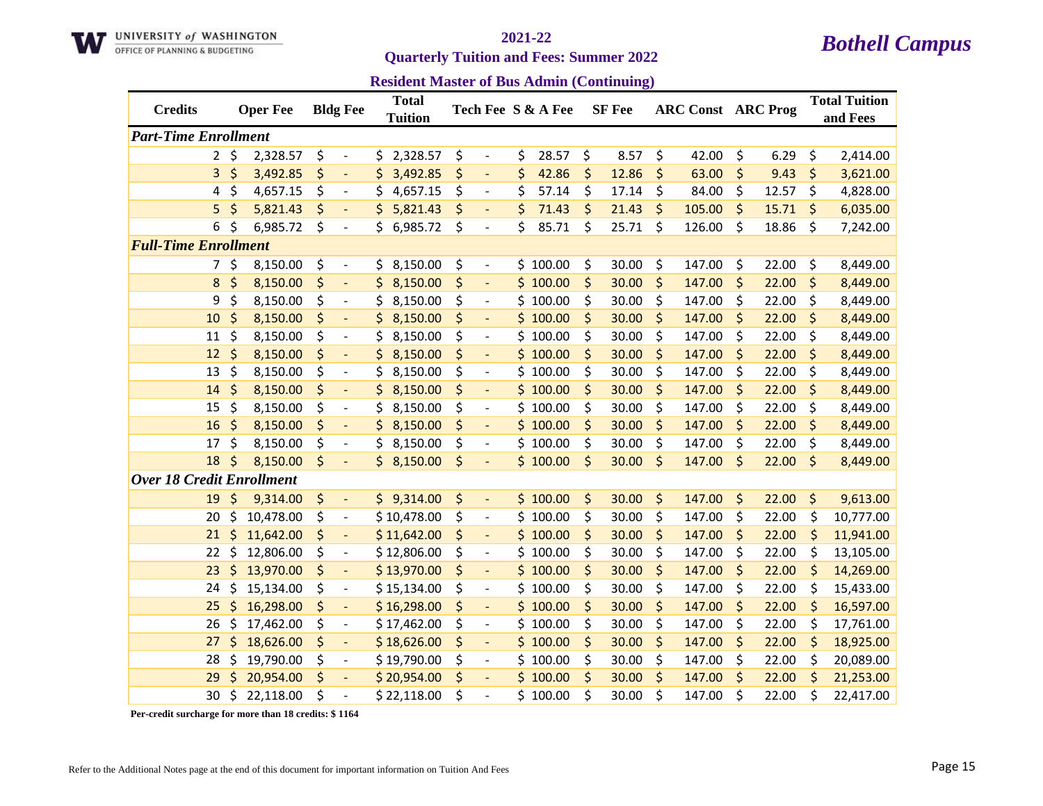

**Quarterly Tuition and Fees: Summer 2022** 

**Resident Master of Bus Admin (Continuing)**

| <b>Credits</b>                   |              | <b>Oper Fee</b> | <b>Bldg Fee</b>                |     | <b>Total</b><br><b>Tuition</b> |                                    | Tech Fee S & A Fee | <b>SF</b> Fee | <b>ARC Const ARC Prog</b> |             | <b>Total Tuition</b><br>and Fees |
|----------------------------------|--------------|-----------------|--------------------------------|-----|--------------------------------|------------------------------------|--------------------|---------------|---------------------------|-------------|----------------------------------|
| <b>Part-Time Enrollment</b>      |              |                 |                                |     |                                |                                    |                    |               |                           |             |                                  |
|                                  | $2 \; \zeta$ | 2,328.57        | \$<br>$\overline{\phantom{a}}$ | \$. | 2,328.57                       | \$<br>$\blacksquare$               | \$<br>28.57        | \$<br>8.57    | \$<br>42.00               | \$<br>6.29  | \$<br>2,414.00                   |
| 3                                | \$           | 3,492.85        | \$<br>$\blacksquare$           | \$  | 3,492.85                       | \$<br>$\overline{\phantom{a}}$     | \$<br>42.86        | \$<br>12.86   | \$<br>63.00               | \$<br>9.43  | \$<br>3,621.00                   |
| 4                                | \$           | 4,657.15        | \$<br>$\overline{\phantom{a}}$ | \$  | 4,657.15                       | \$<br>$\overline{\phantom{a}}$     | \$<br>57.14        | \$<br>17.14   | \$<br>84.00               | \$<br>12.57 | \$<br>4,828.00                   |
| 5                                | \$           | 5,821.43        | \$                             | \$  | 5,821.43                       | \$                                 | \$<br>71.43        | \$<br>21.43   | \$<br>105.00              | \$<br>15.71 | \$<br>6,035.00                   |
| 6                                | \$           | 6,985.72        | \$<br>$\overline{\phantom{a}}$ | \$  | 6,985.72                       | \$<br>$\overline{\phantom{a}}$     | \$<br>85.71        | \$<br>25.71   | \$<br>126.00              | \$<br>18.86 | \$<br>7,242.00                   |
| <b>Full-Time Enrollment</b>      |              |                 |                                |     |                                |                                    |                    |               |                           |             |                                  |
| 7.                               | \$           | 8,150.00        | \$<br>$\overline{\phantom{a}}$ | \$  | 8,150.00                       | \$<br>$\qquad \qquad \blacksquare$ | \$100.00           | \$<br>30.00   | \$<br>147.00              | \$<br>22.00 | \$<br>8,449.00                   |
| 8                                | \$           | 8,150.00        | \$<br>÷,                       | \$  | 8,150.00                       | \$                                 | \$100.00           | \$<br>30.00   | \$<br>147.00              | \$<br>22.00 | \$<br>8,449.00                   |
| 9                                | \$           | 8,150.00        | \$<br>$\overline{\phantom{a}}$ | \$  | 8,150.00                       | \$<br>$\overline{\phantom{a}}$     | \$100.00           | \$<br>30.00   | \$<br>147.00              | \$<br>22.00 | \$<br>8,449.00                   |
| 10                               | \$           | 8,150.00        | \$<br>$\blacksquare$           | \$  | 8,150.00                       | \$<br>$\overline{\phantom{a}}$     | \$100.00           | \$<br>30.00   | \$<br>147.00              | \$<br>22.00 | \$<br>8,449.00                   |
| 11                               | \$           | 8,150.00        | \$<br>$\blacksquare$           | \$  | 8,150.00                       | \$<br>$\overline{\phantom{a}}$     | \$100.00           | \$<br>30.00   | \$<br>147.00              | \$<br>22.00 | \$<br>8,449.00                   |
| 12                               | \$           | 8,150.00        | \$<br>$\overline{a}$           | \$  | 8,150.00                       | \$                                 | \$100.00           | \$<br>30.00   | \$<br>147.00              | \$<br>22.00 | \$<br>8,449.00                   |
| 13                               | \$           | 8,150.00        | \$                             | \$  | 8,150.00                       | \$                                 | \$100.00           | \$<br>30.00   | \$<br>147.00              | \$<br>22.00 | \$<br>8,449.00                   |
| 14                               | \$           | 8,150.00        | \$<br>$\overline{\phantom{a}}$ | \$  | 8,150.00                       | \$                                 | \$100.00           | \$<br>30.00   | \$<br>147.00              | \$<br>22.00 | \$<br>8,449.00                   |
| 15                               | \$           | 8,150.00        | \$<br>$\overline{\phantom{a}}$ | \$  | 8,150.00                       | \$<br>$\qquad \qquad \blacksquare$ | \$100.00           | \$<br>30.00   | \$<br>147.00              | \$<br>22.00 | \$<br>8,449.00                   |
| 16                               | \$           | 8,150.00        | \$<br>$\blacksquare$           | \$  | 8,150.00                       | \$<br>$\overline{\phantom{a}}$     | \$100.00           | \$<br>30.00   | \$<br>147.00              | \$<br>22.00 | \$<br>8,449.00                   |
| 17                               | \$           | 8,150.00        | \$<br>$\blacksquare$           | \$. | 8,150.00                       | \$<br>$\overline{\phantom{a}}$     | \$100.00           | \$<br>30.00   | \$<br>147.00              | \$<br>22.00 | \$<br>8,449.00                   |
| 18                               | \$           | 8,150.00        | \$                             |     | \$3,150.00                     | \$                                 | \$100.00           | \$<br>30.00   | \$<br>147.00              | \$<br>22.00 | \$<br>8,449.00                   |
| <b>Over 18 Credit Enrollment</b> |              |                 |                                |     |                                |                                    |                    |               |                           |             |                                  |
| 19                               | \$           | 9,314.00        | \$<br>$\blacksquare$           |     | \$9,314.00                     | \$<br>$\Box$                       | \$100.00           | \$<br>30.00   | \$<br>147.00              | \$<br>22.00 | \$<br>9,613.00                   |
| 20                               | \$           | 10,478.00       | \$<br>$\overline{\phantom{a}}$ |     | \$10,478.00                    | \$<br>$\overline{\phantom{a}}$     | \$100.00           | \$<br>30.00   | \$<br>147.00              | \$<br>22.00 | \$<br>10,777.00                  |
| 21                               | \$           | 11,642.00       | \$<br>$\overline{a}$           |     | \$11,642.00                    | \$<br>$\overline{\phantom{a}}$     | \$100.00           | \$<br>30.00   | \$<br>147.00              | \$<br>22.00 | \$<br>11,941.00                  |
| 22                               | \$           | 12,806.00       | \$<br>$\overline{\phantom{a}}$ |     | \$12,806.00                    | \$<br>$\qquad \qquad \blacksquare$ | \$100.00           | \$<br>30.00   | \$<br>147.00              | \$<br>22.00 | \$<br>13,105.00                  |
| 23                               | \$           | 13,970.00       | \$<br>$\blacksquare$           |     | \$13,970.00                    | \$<br>$\overline{\phantom{a}}$     | \$100.00           | \$<br>30.00   | \$<br>147.00              | \$<br>22.00 | \$<br>14,269.00                  |
| 24                               | \$           | 15,134.00       | \$<br>$\overline{\phantom{a}}$ |     | \$15,134.00                    | \$<br>$\overline{\phantom{a}}$     | \$100.00           | \$<br>30.00   | \$<br>147.00              | \$<br>22.00 | \$<br>15,433.00                  |
| 25                               | \$           | 16,298.00       | \$<br>$\overline{\phantom{a}}$ |     | \$16,298.00                    | \$<br>$\overline{\phantom{a}}$     | \$100.00           | \$<br>30.00   | \$<br>147.00              | \$<br>22.00 | \$<br>16,597.00                  |
| 26                               | \$           | 17,462.00       | \$<br>$\overline{\phantom{a}}$ |     | \$17,462.00                    | \$<br>$\overline{\phantom{a}}$     | \$100.00           | \$<br>30.00   | \$<br>147.00              | \$<br>22.00 | \$<br>17,761.00                  |
| 27                               | \$           | 18,626.00       | \$<br>$\overline{\phantom{a}}$ |     | \$18,626.00                    | \$                                 | \$100.00           | \$<br>30.00   | \$<br>147.00              | \$<br>22.00 | \$<br>18,925.00                  |
| 28                               | \$           | 19,790.00       | \$<br>$\overline{\phantom{a}}$ |     | \$19,790.00                    | \$<br>$\qquad \qquad \blacksquare$ | \$100.00           | \$<br>30.00   | \$<br>147.00              | \$<br>22.00 | \$<br>20,089.00                  |
| 29                               | \$           | 20,954.00       | \$<br>$\overline{\phantom{a}}$ |     | \$20,954.00                    | \$<br>$\overline{\phantom{a}}$     | \$100.00           | \$<br>30.00   | \$<br>147.00              | \$<br>22.00 | \$<br>21,253.00                  |
| 30                               | \$           | 22,118.00       | \$                             |     | \$22,118.00                    | \$                                 | \$100.00           | \$<br>30.00   | \$<br>147.00              | \$<br>22.00 | \$<br>22,417.00                  |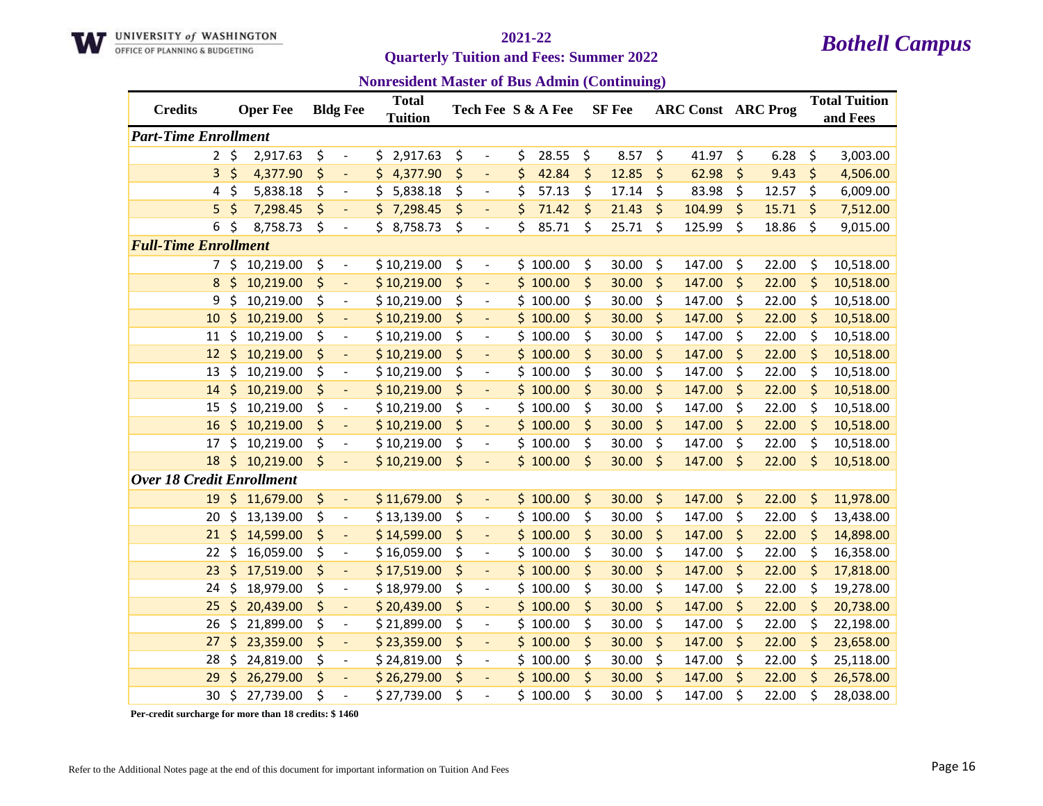

**Quarterly Tuition and Fees: Summer 2022** 

**Nonresident Master of Bus Admin (Continuing)**

| <b>Credits</b>                   |              | <b>Oper Fee</b> |    | <b>Bldg Fee</b>          | <b>Total</b><br><b>Tuition</b> |                                | Tech Fee S & A Fee |    | <b>SF</b> Fee | <b>ARC Const ARC Prog</b> |             | <b>Total Tuition</b><br>and Fees |
|----------------------------------|--------------|-----------------|----|--------------------------|--------------------------------|--------------------------------|--------------------|----|---------------|---------------------------|-------------|----------------------------------|
| <b>Part-Time Enrollment</b>      |              |                 |    |                          |                                |                                |                    |    |               |                           |             |                                  |
|                                  | $2 \; \zeta$ | 2,917.63        | \$ | $\overline{\phantom{a}}$ | \$2,917.63                     | \$<br>$\overline{\phantom{a}}$ | \$<br>28.55        | \$ | 8.57          | \$<br>41.97               | \$<br>6.28  | \$<br>3,003.00                   |
| 3                                | \$           | 4,377.90        | \$ | ÷,                       | \$4,377.90                     | \$<br>$\blacksquare$           | \$<br>42.84        | \$ | 12.85         | \$<br>62.98               | \$<br>9.43  | \$<br>4,506.00                   |
| 4                                | \$           | 5,838.18        | \$ | $\overline{\phantom{a}}$ | \$<br>5,838.18                 | \$<br>$\overline{\phantom{a}}$ | \$<br>57.13        | \$ | 17.14         | \$<br>83.98               | \$<br>12.57 | \$<br>6,009.00                   |
| 5                                | \$           | 7,298.45        | \$ |                          | \$.<br>7,298.45                | \$<br>$\overline{\phantom{a}}$ | \$<br>71.42        | \$ | 21.43         | \$<br>104.99              | \$<br>15.71 | \$<br>7,512.00                   |
| 6                                | \$           | 8,758.73        | \$ | $\overline{\phantom{a}}$ | 8,758.73                       | \$<br>$\overline{\phantom{a}}$ | \$<br>85.71        | \$ | 25.71         | \$<br>125.99              | \$<br>18.86 | \$<br>9,015.00                   |
| <b>Full-Time Enrollment</b>      |              |                 |    |                          |                                |                                |                    |    |               |                           |             |                                  |
|                                  | \$           | 10,219.00       | \$ | $\overline{\phantom{a}}$ | \$10,219.00                    | \$<br>$\overline{\phantom{a}}$ | \$100.00           | \$ | 30.00         | \$<br>147.00              | \$<br>22.00 | \$<br>10,518.00                  |
| 8                                | \$           | 10,219.00       | \$ |                          | \$10,219.00                    | \$                             | \$100.00           | \$ | 30.00         | \$<br>147.00              | \$<br>22.00 | \$<br>10,518.00                  |
| 9                                | \$           | 10,219.00       | \$ | $\overline{\phantom{a}}$ | \$10,219.00                    | \$<br>$\overline{\phantom{a}}$ | \$100.00           | \$ | 30.00         | \$<br>147.00              | \$<br>22.00 | \$<br>10,518.00                  |
| 10                               | \$           | 10,219.00       | \$ | $\blacksquare$           | \$10,219.00                    | \$<br>$\blacksquare$           | \$100.00           | \$ | 30.00         | \$<br>147.00              | \$<br>22.00 | \$<br>10,518.00                  |
| 11                               | \$           | 10,219.00       | \$ | $\overline{\phantom{a}}$ | \$10,219.00                    | \$<br>$\blacksquare$           | \$100.00           | \$ | 30.00         | \$<br>147.00              | \$<br>22.00 | \$<br>10,518.00                  |
| 12                               | \$           | 10,219.00       | \$ | $\blacksquare$           | \$10,219.00                    | \$<br>$\overline{\phantom{a}}$ | \$100.00           | \$ | 30.00         | \$<br>147.00              | \$<br>22.00 | \$<br>10,518.00                  |
| 13                               | \$           | 10,219.00       | \$ | $\overline{a}$           | \$10,219.00                    | \$<br>$\overline{\phantom{a}}$ | \$100.00           | \$ | 30.00         | \$<br>147.00              | \$<br>22.00 | \$<br>10,518.00                  |
| 14                               | \$           | 10,219.00       | \$ | $\blacksquare$           | \$10,219.00                    | \$<br>$\overline{\phantom{a}}$ | \$100.00           | \$ | 30.00         | \$<br>147.00              | \$<br>22.00 | \$<br>10,518.00                  |
| 15                               | \$           | 10,219.00       | \$ | $\overline{\phantom{a}}$ | \$10,219.00                    | \$<br>$\overline{\phantom{a}}$ | \$100.00           | \$ | 30.00         | \$<br>147.00              | \$<br>22.00 | \$<br>10,518.00                  |
| 16                               | \$           | 10,219.00       | \$ | $\Box$                   | \$10,219.00                    | \$<br>$\blacksquare$           | \$100.00           | \$ | 30.00         | \$<br>147.00              | \$<br>22.00 | \$<br>10,518.00                  |
| 17                               | \$           | 10,219.00       | \$ | $\blacksquare$           | \$10,219.00                    | \$<br>$\overline{\phantom{a}}$ | \$100.00           | \$ | 30.00         | \$<br>147.00              | \$<br>22.00 | \$<br>10,518.00                  |
| 18                               | \$           | 10,219.00       | \$ |                          | \$10,219.00                    | \$                             | \$100.00           | \$ | 30.00         | \$<br>147.00              | \$<br>22.00 | \$<br>10,518.00                  |
| <b>Over 18 Credit Enrollment</b> |              |                 |    |                          |                                |                                |                    |    |               |                           |             |                                  |
| 19                               | $\zeta$      | 11,679.00       | \$ | $\blacksquare$           | \$11,679.00                    | \$<br>$\blacksquare$           | \$100.00           | \$ | 30.00         | \$<br>147.00              | \$<br>22.00 | \$<br>11,978.00                  |
| 20                               | \$           | 13,139.00       | \$ | $\blacksquare$           | \$13,139.00                    | \$<br>$\blacksquare$           | \$100.00           | \$ | 30.00         | \$<br>147.00              | \$<br>22.00 | \$<br>13,438.00                  |
| 21                               | \$           | 14,599.00       | \$ | $\overline{\phantom{a}}$ | \$14,599.00                    | \$<br>$\overline{\phantom{a}}$ | \$100.00           | \$ | 30.00         | \$<br>147.00              | \$<br>22.00 | \$<br>14,898.00                  |
| 22                               | \$           | 16,059.00       | \$ | $\overline{a}$           | \$16,059.00                    | \$<br>$\overline{\phantom{a}}$ | \$100.00           | \$ | 30.00         | \$<br>147.00              | \$<br>22.00 | \$<br>16,358.00                  |
| 23                               | \$           | 17,519.00       | \$ | $\overline{\phantom{a}}$ | \$17,519.00                    | \$<br>$\overline{\phantom{a}}$ | \$100.00           | \$ | 30.00         | \$<br>147.00              | \$<br>22.00 | \$<br>17,818.00                  |
| 24                               | \$           | 18,979.00       | \$ | $\overline{\phantom{a}}$ | \$18,979.00                    | \$<br>$\overline{\phantom{a}}$ | \$100.00           | \$ | 30.00         | \$<br>147.00              | \$<br>22.00 | \$<br>19,278.00                  |
| 25                               | \$           | 20,439.00       | \$ | $\overline{\phantom{a}}$ | \$20,439.00                    | \$<br>$\Box$                   | \$100.00           | \$ | 30.00         | \$<br>147.00              | \$<br>22.00 | \$<br>20,738.00                  |
| 26                               | \$           | 21,899.00       | \$ | $\overline{\phantom{a}}$ | \$21,899.00                    | \$<br>$\overline{\phantom{a}}$ | \$100.00           | \$ | 30.00         | \$<br>147.00              | \$<br>22.00 | \$<br>22,198.00                  |
| 27                               | \$           | 23,359.00       | \$ | $\overline{\phantom{a}}$ | \$23,359.00                    | \$                             | \$100.00           | \$ | 30.00         | \$<br>147.00              | \$<br>22.00 | \$<br>23,658.00                  |
| 28                               | \$           | 24,819.00       | \$ | $\overline{\phantom{a}}$ | \$24,819.00                    | \$<br>$\overline{\phantom{a}}$ | \$100.00           | \$ | 30.00         | \$<br>147.00              | \$<br>22.00 | \$<br>25,118.00                  |
| 29                               | Ś            | 26,279.00       | \$ | $\blacksquare$           | \$26,279.00                    | \$<br>$\blacksquare$           | \$100.00           | \$ | 30.00         | \$<br>147.00              | \$<br>22.00 | \$<br>26,578.00                  |
| 30                               | \$           | 27,739.00       | Ś  | $\overline{a}$           | \$27,739.00                    | \$                             | \$100.00           | Ś. | 30.00         | \$<br>147.00              | \$<br>22.00 | \$<br>28,038.00                  |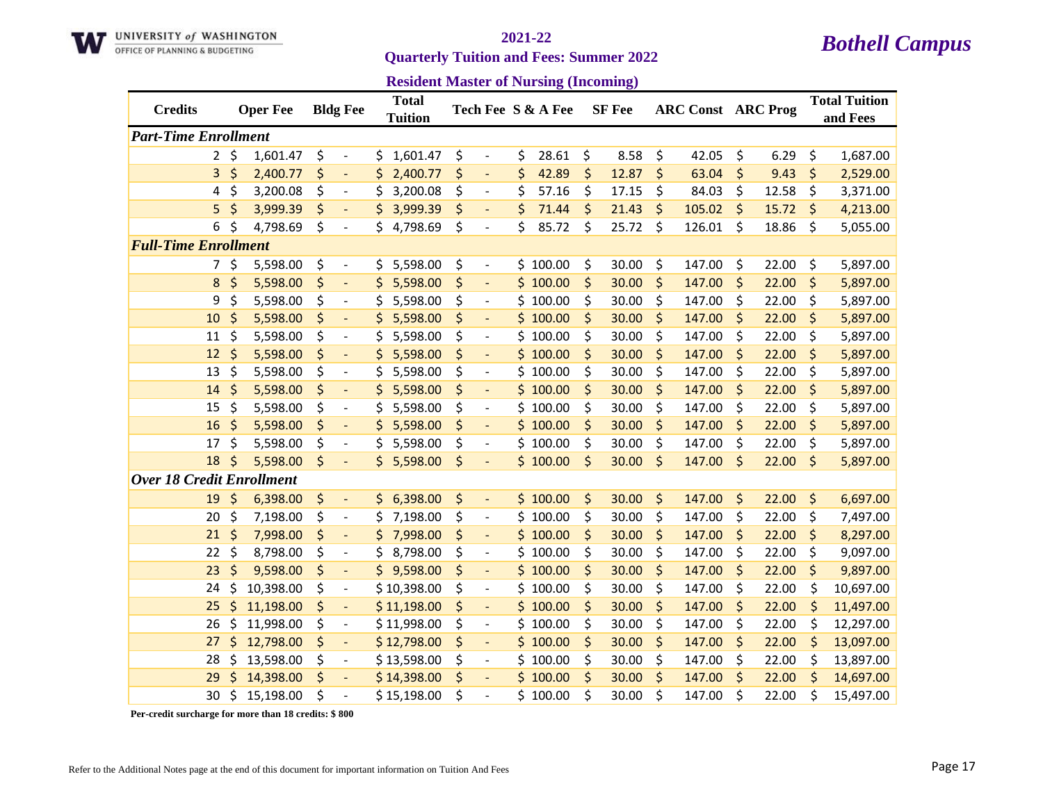

**Quarterly Tuition and Fees: Summer 2022** 

|  |  | <b>Resident Master of Nursing (Incoming)</b> |  |
|--|--|----------------------------------------------|--|
|--|--|----------------------------------------------|--|

| <b>Credits</b>                   |           | <b>Oper Fee</b> |    | <b>Bldg Fee</b>          | <b>Total</b><br><b>Tuition</b> |    |                          | Tech Fee S & A Fee | <b>SF</b> Fee |         | <b>ARC Const ARC Prog</b> |         |       | <b>Total Tuition</b><br>and Fees |
|----------------------------------|-----------|-----------------|----|--------------------------|--------------------------------|----|--------------------------|--------------------|---------------|---------|---------------------------|---------|-------|----------------------------------|
| <b>Part-Time Enrollment</b>      |           |                 |    |                          |                                |    |                          |                    |               |         |                           |         |       |                                  |
|                                  | $2 \;$ \$ | 1,601.47        | \$ | $\overline{\phantom{a}}$ | \$<br>1,601.47                 | \$ | $\overline{\phantom{a}}$ | \$<br>28.61        | \$<br>8.58    | \$      | 42.05                     | \$      | 6.29  | \$<br>1,687.00                   |
| 3                                | $\zeta$   | 2,400.77        | \$ | $\overline{\phantom{a}}$ | \$<br>2,400.77                 | \$ | $\overline{\phantom{a}}$ | \$<br>42.89        | \$<br>12.87   | $\zeta$ | 63.04                     | \$      | 9.43  | \$<br>2,529.00                   |
| 4                                | \$        | 3,200.08        | \$ | $\overline{\phantom{a}}$ | \$<br>3,200.08                 | \$ | $\overline{\phantom{a}}$ | \$<br>57.16        | \$<br>17.15   | \$      | 84.03                     | \$      | 12.58 | \$<br>3,371.00                   |
| 5                                | \$        | 3,999.39        | \$ |                          | \$<br>3,999.39                 | \$ | $\overline{\phantom{a}}$ | \$<br>71.44        | \$<br>21.43   | \$      | 105.02                    | $\zeta$ | 15.72 | \$<br>4,213.00                   |
| 6                                | \$        | 4,798.69        | \$ | $\overline{\phantom{a}}$ | \$4,798.69                     | \$ | $\overline{\phantom{a}}$ | \$<br>85.72        | \$<br>25.72   | \$      | 126.01                    | \$      | 18.86 | \$<br>5,055.00                   |
| <b>Full-Time Enrollment</b>      |           |                 |    |                          |                                |    |                          |                    |               |         |                           |         |       |                                  |
| 7                                | $\zeta$   | 5,598.00        | \$ | $\overline{\phantom{a}}$ | \$5,598.00                     | \$ | $\overline{\phantom{a}}$ | \$100.00           | \$<br>30.00   | \$      | 147.00                    | \$      | 22.00 | \$<br>5,897.00                   |
| 8                                | \$        | 5,598.00        | \$ | $\overline{\phantom{a}}$ | \$<br>5,598.00                 | \$ |                          | \$100.00           | \$<br>30.00   | \$      | 147.00                    | $\zeta$ | 22.00 | \$<br>5,897.00                   |
| 9                                | \$        | 5,598.00        | \$ | $\overline{\phantom{a}}$ | \$<br>5,598.00                 | \$ | $\overline{\phantom{a}}$ | \$100.00           | \$<br>30.00   | \$      | 147.00                    | \$      | 22.00 | \$<br>5,897.00                   |
| 10                               | \$        | 5,598.00        | \$ | $\overline{\phantom{a}}$ | \$<br>5,598.00                 | \$ | $\blacksquare$           | \$100.00           | \$<br>30.00   | \$      | 147.00                    | \$      | 22.00 | \$<br>5,897.00                   |
| 11                               | \$        | 5,598.00        | \$ | $\overline{\phantom{a}}$ | \$<br>5,598.00                 | \$ | $\overline{\phantom{a}}$ | \$100.00           | \$<br>30.00   | \$      | 147.00                    | \$      | 22.00 | \$<br>5,897.00                   |
| 12                               | $\zeta$   | 5,598.00        | \$ | $\overline{\phantom{a}}$ | \$5,598.00                     | \$ |                          | \$100.00           | \$<br>30.00   | \$      | 147.00                    | \$      | 22.00 | \$<br>5,897.00                   |
| 13                               | \$        | 5,598.00        | \$ | $\overline{a}$           | \$<br>5,598.00                 | \$ | $\overline{a}$           | \$100.00           | \$<br>30.00   | \$      | 147.00                    | \$      | 22.00 | \$<br>5,897.00                   |
| 14                               | $\zeta$   | 5,598.00        | \$ | $\qquad \qquad -$        | \$<br>5,598.00                 | \$ | $\overline{\phantom{a}}$ | \$100.00           | \$<br>30.00   | \$      | 147.00                    | \$      | 22.00 | \$<br>5,897.00                   |
| 15                               | \$        | 5,598.00        | \$ | $\overline{\phantom{a}}$ | \$<br>5,598.00                 | \$ | $\overline{\phantom{a}}$ | \$100.00           | \$<br>30.00   | \$      | 147.00                    | \$      | 22.00 | \$<br>5,897.00                   |
| 16                               | \$        | 5,598.00        | \$ | $\overline{\phantom{a}}$ | \$<br>5,598.00                 | \$ | $\blacksquare$           | \$100.00           | \$<br>30.00   | \$      | 147.00                    | \$      | 22.00 | \$<br>5,897.00                   |
| 17                               | \$        | 5,598.00        | \$ | $\overline{\phantom{a}}$ | \$<br>5,598.00                 | \$ | $\overline{\phantom{a}}$ | \$100.00           | \$<br>30.00   | \$      | 147.00                    | \$      | 22.00 | \$<br>5,897.00                   |
| 18                               | $\zeta$   | 5,598.00        | \$ | $\overline{\phantom{a}}$ | \$5,598.00                     | \$ |                          | \$100.00           | \$<br>30.00   | \$      | 147.00                    | \$      | 22.00 | \$<br>5,897.00                   |
| <b>Over 18 Credit Enrollment</b> |           |                 |    |                          |                                |    |                          |                    |               |         |                           |         |       |                                  |
| 19                               | \$        | 6,398.00        | \$ | $\overline{\phantom{a}}$ | \$6,398.00                     | \$ | $\blacksquare$           | \$100.00           | \$<br>30.00   | \$      | 147.00                    | \$      | 22.00 | \$<br>6,697.00                   |
| 20                               | \$        | 7,198.00        | \$ | $\overline{\phantom{a}}$ | \$<br>7,198.00                 | \$ | $\overline{\phantom{a}}$ | \$100.00           | \$<br>30.00   | \$      | 147.00                    | \$      | 22.00 | \$<br>7,497.00                   |
| 21                               | $\zeta$   | 7,998.00        | \$ | $\overline{\phantom{a}}$ | \$<br>7,998.00                 | \$ | $\overline{\phantom{a}}$ | \$100.00           | \$<br>30.00   | \$      | 147.00                    | \$      | 22.00 | \$<br>8,297.00                   |
| 22                               | \$        | 8,798.00        | \$ | $\overline{a}$           | \$<br>8,798.00                 | \$ | $\overline{\phantom{a}}$ | \$100.00           | \$<br>30.00   | \$      | 147.00                    | \$      | 22.00 | \$<br>9,097.00                   |
| 23                               | \$        | 9,598.00        | \$ | $\blacksquare$           | \$9,598.00                     | \$ | $\overline{\phantom{a}}$ | \$100.00           | \$<br>30.00   | \$      | 147.00                    | \$      | 22.00 | \$<br>9,897.00                   |
| 24                               | \$        | 10,398.00       | \$ | $\overline{\phantom{a}}$ | \$10,398.00                    | \$ | $\overline{\phantom{a}}$ | \$100.00           | \$<br>30.00   | \$      | 147.00                    | \$      | 22.00 | \$<br>10,697.00                  |
| 25                               | \$        | 11,198.00       | \$ | $\overline{\phantom{a}}$ | \$11,198.00                    | \$ | $\overline{\phantom{a}}$ | \$100.00           | \$<br>30.00   | \$      | 147.00                    | \$      | 22.00 | \$<br>11,497.00                  |
| 26                               | \$        | 11,998.00       | \$ | $\overline{\phantom{a}}$ | \$11,998.00                    | \$ |                          | \$100.00           | \$<br>30.00   | \$      | 147.00                    | \$      | 22.00 | \$<br>12,297.00                  |
| 27                               | \$        | 12,798.00       | \$ | $\overline{\phantom{a}}$ | \$12,798.00                    | \$ |                          | \$100.00           | \$<br>30.00   | \$      | 147.00                    | \$      | 22.00 | \$<br>13,097.00                  |
| 28                               | \$        | 13,598.00       | \$ | $\overline{\phantom{a}}$ | \$13,598.00                    | \$ | $\overline{\phantom{a}}$ | \$100.00           | \$<br>30.00   | \$      | 147.00                    | \$      | 22.00 | \$<br>13,897.00                  |
| 29                               | Ś         | 14,398.00       | \$ | $\blacksquare$           | \$14,398.00                    | \$ | $\overline{\phantom{a}}$ | \$100.00           | \$<br>30.00   | \$      | 147.00                    | \$      | 22.00 | \$<br>14,697.00                  |
| 30                               | \$        | 15,198.00       | Ś  | $\overline{\phantom{a}}$ | \$15,198.00                    | Ś  |                          | \$100.00           | \$<br>30.00   | \$      | 147.00                    | Ś       | 22.00 | \$<br>15,497.00                  |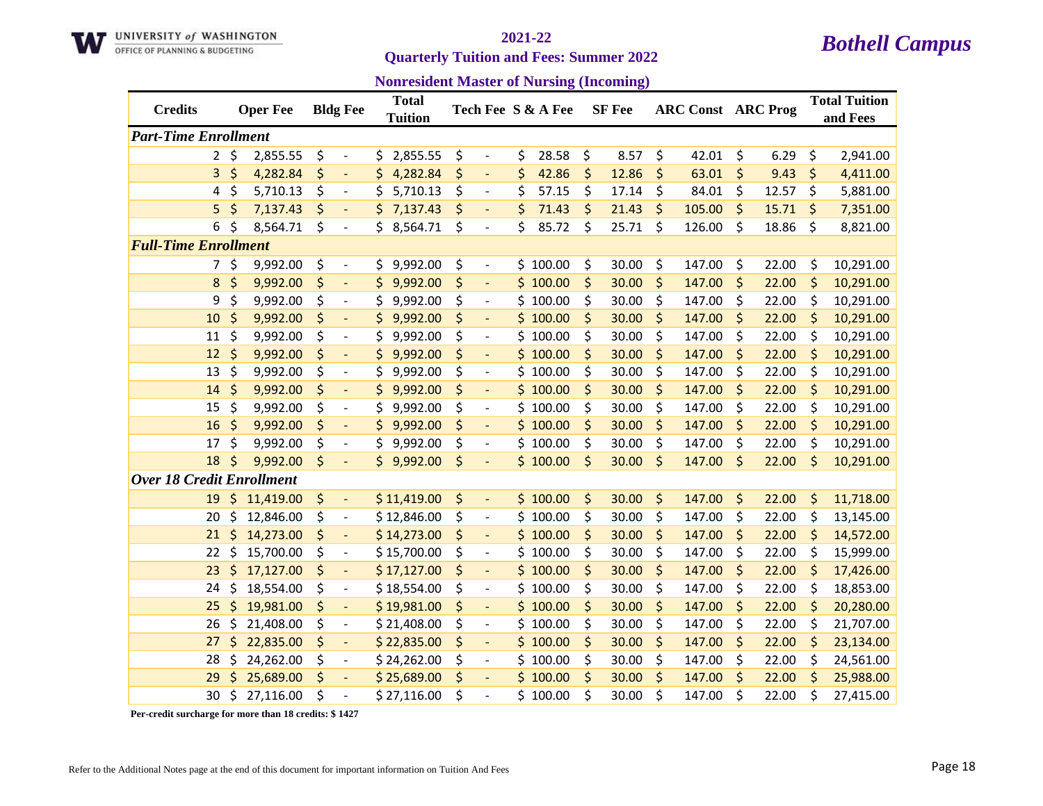

### **Quarterly Tuition and Fees: Summer 2022**

| <b>Nonresident Master of Nursing (Incoming)</b> |  |  |
|-------------------------------------------------|--|--|
|-------------------------------------------------|--|--|

| <b>Credits</b>                   | <b>Oper Fee</b> |    | <b>Bldg Fee</b>          |     | <b>Total</b><br><b>Tuition</b> |    |                          | Tech Fee S & A Fee |    | <b>SF</b> Fee | <b>ARC Const ARC Prog</b> |             | <b>Total Tuition</b><br>and Fees |
|----------------------------------|-----------------|----|--------------------------|-----|--------------------------------|----|--------------------------|--------------------|----|---------------|---------------------------|-------------|----------------------------------|
| <b>Part-Time Enrollment</b>      |                 |    |                          |     |                                |    |                          |                    |    |               |                           |             |                                  |
| $\overline{2}$                   | \$<br>2,855.55  | \$ | $\overline{\phantom{a}}$ | \$. | 2,855.55                       | \$ | $\overline{\phantom{a}}$ | \$<br>28.58        | \$ | 8.57          | \$<br>42.01               | \$<br>6.29  | \$<br>2,941.00                   |
| 3                                | \$<br>4,282.84  | \$ | $\overline{\phantom{a}}$ | \$  | 4,282.84                       | \$ | $\overline{\phantom{a}}$ | \$<br>42.86        | \$ | 12.86         | \$<br>63.01               | \$<br>9.43  | \$<br>4,411.00                   |
| 4                                | \$<br>5,710.13  | \$ | $\overline{\phantom{a}}$ | \$  | 5,710.13                       | \$ | $\overline{\phantom{a}}$ | \$<br>57.15        | \$ | 17.14         | \$<br>84.01               | \$<br>12.57 | \$<br>5,881.00                   |
| 5                                | \$<br>7,137.43  | \$ | $\overline{\phantom{a}}$ | \$  | 7,137.43                       | \$ | $\overline{\phantom{0}}$ | \$<br>71.43        | \$ | 21.43         | \$<br>105.00              | \$<br>15.71 | \$<br>7,351.00                   |
| 6                                | \$<br>8,564.71  | \$ | $\overline{\phantom{a}}$ |     | 8,564.71                       | \$ | $\overline{\phantom{0}}$ | \$<br>85.72        | \$ | 25.71         | \$<br>126.00              | \$<br>18.86 | \$<br>8,821.00                   |
| <b>Full-Time Enrollment</b>      |                 |    |                          |     |                                |    |                          |                    |    |               |                           |             |                                  |
| 7                                | \$<br>9,992.00  | \$ | $\overline{\phantom{a}}$ | S.  | 9,992.00                       | \$ | $\overline{a}$           | \$100.00           | \$ | 30.00         | \$<br>147.00              | \$<br>22.00 | \$<br>10,291.00                  |
| 8                                | \$<br>9,992.00  | \$ | $\overline{\phantom{a}}$ | \$  | 9,992.00                       | \$ |                          | \$100.00           | \$ | 30.00         | \$<br>147.00              | \$<br>22.00 | \$<br>10,291.00                  |
| 9                                | \$<br>9,992.00  | \$ | $\overline{\phantom{a}}$ | \$  | 9,992.00                       | \$ | $\overline{\phantom{0}}$ | \$100.00           | \$ | 30.00         | \$<br>147.00              | \$<br>22.00 | \$<br>10,291.00                  |
| 10                               | \$<br>9,992.00  | \$ | $\Box$                   | \$  | 9,992.00                       | \$ | $\blacksquare$           | \$100.00           | \$ | 30.00         | \$<br>147.00              | \$<br>22.00 | \$<br>10,291.00                  |
| 11                               | \$<br>9,992.00  | \$ | $\overline{\phantom{a}}$ | \$  | 9,992.00                       | \$ | $\overline{\phantom{0}}$ | \$100.00           | \$ | 30.00         | \$<br>147.00              | \$<br>22.00 | \$<br>10,291.00                  |
| 12                               | \$<br>9,992.00  | \$ | $\overline{\phantom{a}}$ | \$  | 9,992.00                       | \$ | $\overline{\phantom{a}}$ | \$100.00           | \$ | 30.00         | \$<br>147.00              | \$<br>22.00 | \$<br>10,291.00                  |
| 13                               | \$<br>9,992.00  | \$ | $\overline{a}$           | \$  | 9,992.00                       | \$ | $\overline{\phantom{a}}$ | \$100.00           | \$ | 30.00         | \$<br>147.00              | \$<br>22.00 | \$<br>10,291.00                  |
| 14                               | \$<br>9,992.00  | \$ | $\overline{\phantom{a}}$ | \$  | 9,992.00                       | \$ | $\overline{\phantom{0}}$ | \$100.00           | \$ | 30.00         | \$<br>147.00              | \$<br>22.00 | \$<br>10,291.00                  |
| 15                               | \$<br>9,992.00  | \$ | $\overline{\phantom{a}}$ | \$  | 9,992.00                       | \$ | $\overline{\phantom{0}}$ | \$100.00           | \$ | 30.00         | \$<br>147.00              | \$<br>22.00 | \$<br>10,291.00                  |
| 16                               | \$<br>9,992.00  | \$ | $\overline{\phantom{a}}$ | \$  | 9,992.00                       | \$ | $\overline{\phantom{a}}$ | \$100.00           | \$ | 30.00         | \$<br>147.00              | \$<br>22.00 | \$<br>10,291.00                  |
| 17                               | \$<br>9,992.00  | \$ | $\overline{\phantom{a}}$ | \$  | 9,992.00                       | \$ | $\overline{\phantom{0}}$ | \$100.00           | \$ | 30.00         | \$<br>147.00              | \$<br>22.00 | \$<br>10,291.00                  |
| 18                               | \$<br>9,992.00  | \$ |                          |     | \$9,992.00                     | \$ |                          | \$100.00           | \$ | 30.00         | \$<br>147.00              | \$<br>22.00 | \$<br>10,291.00                  |
| <b>Over 18 Credit Enrollment</b> |                 |    |                          |     |                                |    |                          |                    |    |               |                           |             |                                  |
| 19                               | \$<br>11,419.00 | \$ | $\overline{\phantom{a}}$ |     | \$11,419.00                    | \$ | $\overline{\phantom{a}}$ | \$100.00           | \$ | 30.00         | \$<br>147.00              | \$<br>22.00 | \$<br>11,718.00                  |
| 20                               | \$<br>12,846.00 | \$ | $\blacksquare$           |     | \$12,846.00                    | \$ | $\overline{\phantom{a}}$ | \$100.00           | \$ | 30.00         | \$<br>147.00              | \$<br>22.00 | \$<br>13,145.00                  |
| 21                               | \$<br>14,273.00 | \$ | $\overline{\phantom{a}}$ |     | \$14,273.00                    | \$ | $\qquad \qquad -$        | \$100.00           | \$ | 30.00         | \$<br>147.00              | \$<br>22.00 | \$<br>14,572.00                  |
| 22                               | \$<br>15,700.00 | \$ | $\overline{\phantom{a}}$ |     | \$15,700.00                    | \$ | $\overline{\phantom{a}}$ | \$100.00           | \$ | 30.00         | \$<br>147.00              | \$<br>22.00 | \$<br>15,999.00                  |
| 23                               | \$<br>17,127.00 | \$ | $\overline{\phantom{a}}$ |     | \$17,127.00                    | \$ | $\overline{\phantom{0}}$ | \$100.00           | \$ | 30.00         | \$<br>147.00              | \$<br>22.00 | \$<br>17,426.00                  |
| 24                               | \$<br>18,554.00 | \$ | $\overline{\phantom{a}}$ |     | \$18,554.00                    | \$ | $\overline{\phantom{0}}$ | \$100.00           | \$ | 30.00         | \$<br>147.00              | \$<br>22.00 | \$<br>18,853.00                  |
| 25                               | \$<br>19,981.00 | \$ | $\Box$                   |     | \$19,981.00                    | \$ | $\overline{\phantom{a}}$ | \$100.00           | \$ | 30.00         | \$<br>147.00              | \$<br>22.00 | \$<br>20,280.00                  |
| 26                               | \$<br>21,408.00 | \$ | $\overline{\phantom{a}}$ |     | \$21,408.00                    | \$ | $\overline{\phantom{a}}$ | \$100.00           | \$ | 30.00         | \$<br>147.00              | \$<br>22.00 | \$<br>21,707.00                  |
| 27                               | \$<br>22,835.00 | \$ | $\overline{\phantom{a}}$ |     | \$22,835.00                    | \$ |                          | \$100.00           | \$ | 30.00         | \$<br>147.00              | \$<br>22.00 | \$<br>23,134.00                  |
| 28                               | \$<br>24,262.00 | \$ | $\overline{\phantom{a}}$ |     | \$24,262.00                    | \$ | $\overline{\phantom{a}}$ | \$100.00           | \$ | 30.00         | \$<br>147.00              | \$<br>22.00 | \$<br>24,561.00                  |
| 29                               | 25,689.00       | \$ | $\overline{\phantom{a}}$ |     | \$25,689.00                    | \$ | $\overline{\phantom{a}}$ | \$100.00           | \$ | 30.00         | \$<br>147.00              | \$<br>22.00 | \$<br>25,988.00                  |
| 30                               | \$<br>27,116.00 | Ś  | $\overline{a}$           |     | \$27,116.00                    | Ś  |                          | \$100.00           | Ś  | 30.00         | \$<br>147.00              | \$<br>22.00 | \$<br>27,415.00                  |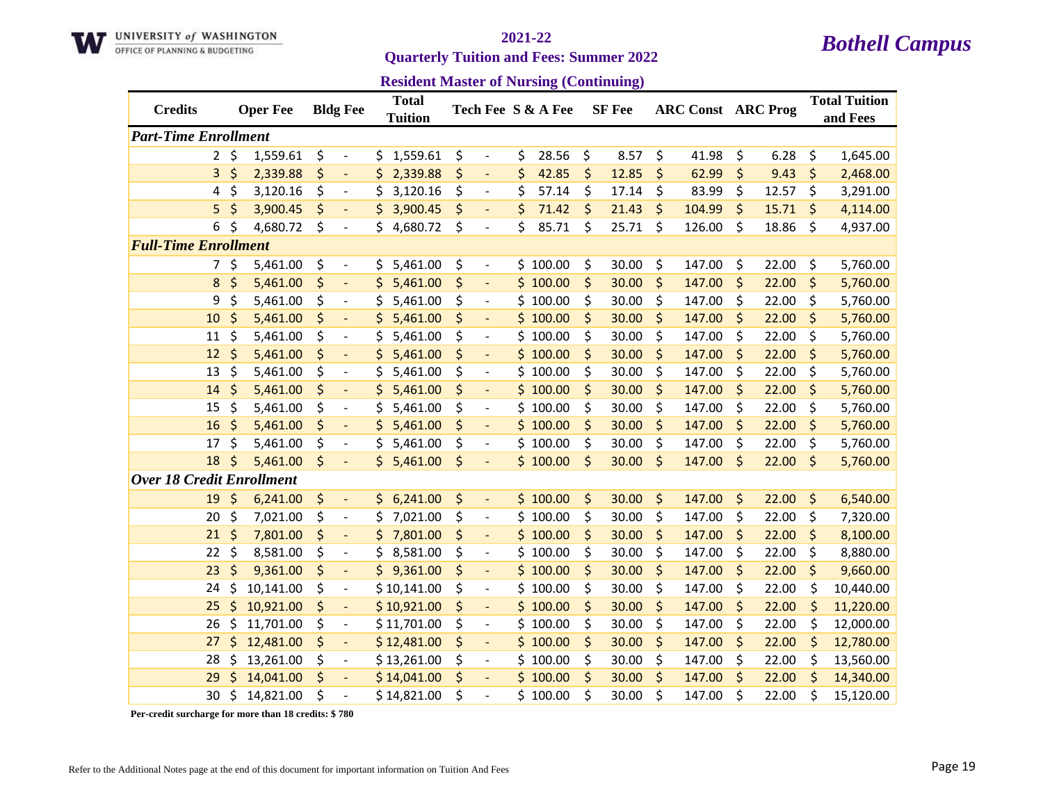

**Quarterly Tuition and Fees: Summer 2022** 

| <b>Resident Master of Nursing (Continuing)</b> |  |  |
|------------------------------------------------|--|--|
|------------------------------------------------|--|--|

| <b>Credits</b>                   |           | <b>Oper Fee</b> |    | <b>Bldg Fee</b>          |     | <b>Total</b><br><b>Tuition</b> |    |                          | Tech Fee S & A Fee |    | <b>SF</b> Fee | <b>ARC Const ARC Prog</b> |             | <b>Total Tuition</b><br>and Fees |
|----------------------------------|-----------|-----------------|----|--------------------------|-----|--------------------------------|----|--------------------------|--------------------|----|---------------|---------------------------|-------------|----------------------------------|
| <b>Part-Time Enrollment</b>      |           |                 |    |                          |     |                                |    |                          |                    |    |               |                           |             |                                  |
|                                  | $2 \zeta$ | 1,559.61        | \$ | $\overline{\phantom{a}}$ | \$. | 1,559.61                       | \$ | $\overline{\phantom{a}}$ | \$<br>28.56        | \$ | 8.57          | \$<br>41.98               | \$<br>6.28  | \$<br>1,645.00                   |
| 3                                | $\zeta$   | 2,339.88        | \$ | $\overline{\phantom{a}}$ | Ś.  | 2,339.88                       | \$ | $\Box$                   | \$<br>42.85        | \$ | 12.85         | \$<br>62.99               | \$<br>9.43  | \$<br>2,468.00                   |
| 4                                | \$        | 3,120.16        | \$ | $\overline{\phantom{a}}$ | \$  | 3,120.16                       | \$ | $\overline{\phantom{a}}$ | \$<br>57.14        | \$ | 17.14         | \$<br>83.99               | \$<br>12.57 | \$<br>3,291.00                   |
| 5                                | \$        | 3,900.45        | \$ |                          | \$  | 3,900.45                       | \$ |                          | \$<br>71.42        | \$ | 21.43         | \$<br>104.99              | \$<br>15.71 | \$<br>4,114.00                   |
| 6                                | \$        | 4,680.72        | \$ | $\overline{\phantom{a}}$ | \$  | 4,680.72                       | \$ | $\overline{\phantom{a}}$ | \$<br>85.71        | \$ | 25.71         | \$<br>126.00              | \$<br>18.86 | \$<br>4,937.00                   |
| <b>Full-Time Enrollment</b>      |           |                 |    |                          |     |                                |    |                          |                    |    |               |                           |             |                                  |
| 7                                | \$        | 5,461.00        | \$ | $\overline{\phantom{a}}$ | \$  | 5,461.00                       | \$ | $\overline{\phantom{a}}$ | \$100.00           | \$ | 30.00         | \$<br>147.00              | \$<br>22.00 | \$<br>5,760.00                   |
| 8                                | \$        | 5,461.00        | \$ |                          | \$  | 5,461.00                       | \$ |                          | \$100.00           | \$ | 30.00         | \$<br>147.00              | \$<br>22.00 | \$<br>5,760.00                   |
| 9                                | \$        | 5,461.00        | \$ | $\overline{\phantom{a}}$ | \$  | 5,461.00                       | \$ | $\overline{\phantom{a}}$ | \$100.00           | \$ | 30.00         | \$<br>147.00              | \$<br>22.00 | \$<br>5,760.00                   |
| 10                               | \$        | 5,461.00        | \$ | $\Box$                   | \$  | 5,461.00                       | \$ | $\blacksquare$           | \$100.00           | \$ | 30.00         | \$<br>147.00              | \$<br>22.00 | \$<br>5,760.00                   |
| 11                               | \$        | 5,461.00        | \$ | $\overline{\phantom{a}}$ | \$  | 5,461.00                       | \$ | $\overline{\phantom{a}}$ | \$100.00           | \$ | 30.00         | \$<br>147.00              | \$<br>22.00 | \$<br>5,760.00                   |
| 12                               | \$        | 5,461.00        | \$ | $\blacksquare$           | \$  | 5,461.00                       | \$ | $\overline{\phantom{a}}$ | \$100.00           | \$ | 30.00         | \$<br>147.00              | \$<br>22.00 | \$<br>5,760.00                   |
| 13                               | \$        | 5,461.00        | \$ | $\overline{a}$           | \$  | 5,461.00                       | \$ |                          | \$100.00           | \$ | 30.00         | \$<br>147.00              | \$<br>22.00 | \$<br>5,760.00                   |
| 14                               | \$        | 5,461.00        | \$ |                          | \$  | 5,461.00                       | \$ |                          | \$100.00           | \$ | 30.00         | \$<br>147.00              | \$<br>22.00 | \$<br>5,760.00                   |
| 15                               | \$        | 5,461.00        | \$ | $\overline{\phantom{a}}$ | \$  | 5,461.00                       | \$ | $\overline{\phantom{a}}$ | \$100.00           | \$ | 30.00         | \$<br>147.00              | \$<br>22.00 | \$<br>5,760.00                   |
| 16                               | \$        | 5,461.00        | \$ | $\Box$                   | \$  | 5,461.00                       | \$ | $\blacksquare$           | \$100.00           | \$ | 30.00         | \$<br>147.00              | \$<br>22.00 | \$<br>5,760.00                   |
| 17                               | \$        | 5,461.00        | \$ | $\overline{\phantom{a}}$ | \$  | 5,461.00                       | \$ | $\overline{\phantom{a}}$ | \$100.00           | \$ | 30.00         | \$<br>147.00              | \$<br>22.00 | \$<br>5,760.00                   |
| 18                               | $\zeta$   | 5,461.00        | \$ | $\overline{\phantom{a}}$ |     | \$5,461.00                     | \$ | $\overline{\phantom{a}}$ | \$100.00           | \$ | 30.00         | \$<br>147.00              | \$<br>22.00 | \$<br>5,760.00                   |
| <b>Over 18 Credit Enrollment</b> |           |                 |    |                          |     |                                |    |                          |                    |    |               |                           |             |                                  |
| 19                               | \$        | 6,241.00        | \$ | $\overline{\phantom{a}}$ |     | \$6,241.00                     | \$ | $\overline{\phantom{a}}$ | \$100.00           | \$ | 30.00         | \$<br>147.00              | \$<br>22.00 | \$<br>6,540.00                   |
| 20                               | \$        | 7,021.00        | \$ | $\blacksquare$           | \$  | 7,021.00                       | \$ | $\blacksquare$           | \$100.00           | \$ | 30.00         | \$<br>147.00              | \$<br>22.00 | \$<br>7,320.00                   |
| 21                               | \$        | 7,801.00        | \$ | $\overline{\phantom{a}}$ | \$. | 7,801.00                       | \$ | $\overline{\phantom{a}}$ | \$100.00           | \$ | 30.00         | \$<br>147.00              | \$<br>22.00 | \$<br>8,100.00                   |
| 22                               | \$        | 8,581.00        | \$ |                          | \$  | 8,581.00                       | \$ | $\overline{\phantom{a}}$ | \$100.00           | \$ | 30.00         | \$<br>147.00              | \$<br>22.00 | \$<br>8,880.00                   |
| 23                               | \$        | 9,361.00        | \$ | $\blacksquare$           | \$. | 9,361.00                       | \$ | $\overline{\phantom{a}}$ | \$100.00           | \$ | 30.00         | \$<br>147.00              | \$<br>22.00 | \$<br>9,660.00                   |
| 24                               | \$        | 10,141.00       | \$ | $\overline{\phantom{a}}$ |     | \$10,141.00                    | \$ | $\overline{\phantom{a}}$ | \$100.00           | \$ | 30.00         | \$<br>147.00              | \$<br>22.00 | \$<br>10,440.00                  |
| 25                               | \$        | 10,921.00       | \$ | $\overline{\phantom{a}}$ |     | \$10,921.00                    | \$ | $\overline{a}$           | \$100.00           | \$ | 30.00         | \$<br>147.00              | \$<br>22.00 | \$<br>11,220.00                  |
| 26                               | \$        | 11,701.00       | \$ | $\blacksquare$           |     | \$11,701.00                    | \$ | $\overline{\phantom{a}}$ | \$100.00           | \$ | 30.00         | \$<br>147.00              | \$<br>22.00 | \$<br>12,000.00                  |
| 27                               | \$        | 12,481.00       | \$ | $\overline{\phantom{a}}$ |     | \$12,481.00                    | \$ |                          | \$100.00           | \$ | 30.00         | \$<br>147.00              | \$<br>22.00 | \$<br>12,780.00                  |
| 28                               | \$        | 13,261.00       | \$ | $\overline{\phantom{a}}$ |     | \$13,261.00                    | \$ | $\overline{\phantom{a}}$ | \$100.00           | \$ | 30.00         | \$<br>147.00              | \$<br>22.00 | \$<br>13,560.00                  |
| 29                               | Ś         | 14,041.00       | \$ | $\blacksquare$           |     | \$14,041.00                    | \$ | $\overline{\phantom{a}}$ | \$100.00           | \$ | 30.00         | \$<br>147.00              | \$<br>22.00 | \$<br>14,340.00                  |
| 30                               | \$        | 14,821.00       | Ś  | $\overline{a}$           |     | \$14,821.00                    | Ś  |                          | \$100.00           | Ś  | 30.00         | \$<br>147.00              | \$<br>22.00 | \$<br>15,120.00                  |